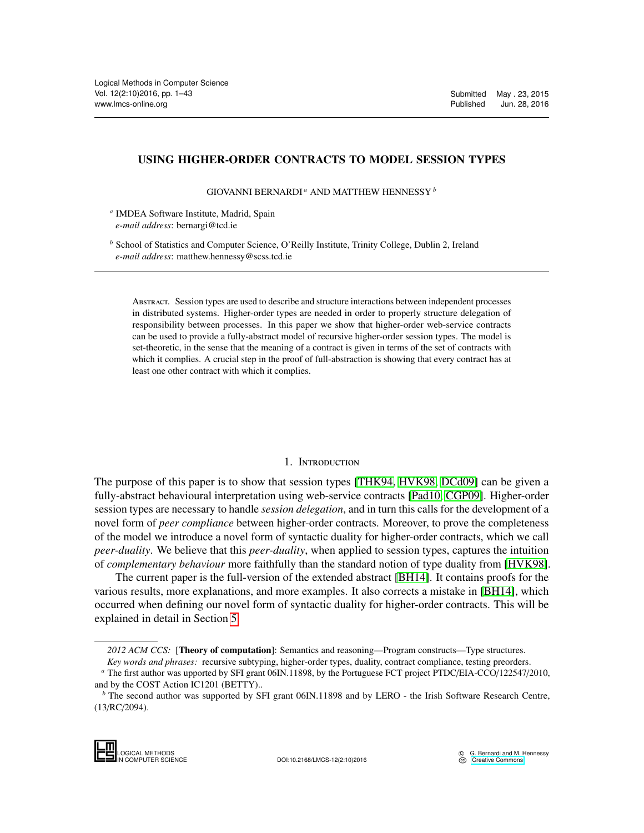## USING HIGHER-ORDER CONTRACTS TO MODEL SESSION TYPES

GIOVANNI BERNARDI *<sup>a</sup>* AND MATTHEW HENNESSY *<sup>b</sup>*

*a* IMDEA Software Institute, Madrid, Spain *e-mail address*: bernargi@tcd.ie

*<sup>b</sup>* School of Statistics and Computer Science, O'Reilly Institute, Trinity College, Dublin 2, Ireland *e-mail address*: matthew.hennessy@scss.tcd.ie

Abstract. Session types are used to describe and structure interactions between independent processes in distributed systems. Higher-order types are needed in order to properly structure delegation of responsibility between processes. In this paper we show that higher-order web-service contracts can be used to provide a fully-abstract model of recursive higher-order session types. The model is set-theoretic, in the sense that the meaning of a contract is given in terms of the set of contracts with which it complies. A crucial step in the proof of full-abstraction is showing that every contract has at least one other contract with which it complies.

## 1. INTRODUCTION

The purpose of this paper is to show that session types [\[THK94,](#page-42-0) [HVK98,](#page-42-1) [DCd09\]](#page-41-0) can be given a fully-abstract behavioural interpretation using web-service contracts [\[Pad10,](#page-42-2) [CGP09\]](#page-41-1). Higher-order session types are necessary to handle *session delegation*, and in turn this calls for the development of a novel form of *peer compliance* between higher-order contracts. Moreover, to prove the completeness of the model we introduce a novel form of syntactic duality for higher-order contracts, which we call *peer-duality*. We believe that this *peer-duality*, when applied to session types, captures the intuition of *complementary behaviour* more faithfully than the standard notion of type duality from [\[HVK98\]](#page-42-1).

The current paper is the full-version of the extended abstract [\[BH14\]](#page-41-2). It contains proofs for the various results, more explanations, and more examples. It also corrects a mistake in [\[BH14\]](#page-41-2), which occurred when defining our novel form of syntactic duality for higher-order contracts. This will be explained in detail in Section [5.](#page-21-0)

*<sup>2012</sup> ACM CCS:* [Theory of computation]: Semantics and reasoning—Program constructs—Type structures.

*Key words and phrases:* recursive subtyping, higher-order types, duality, contract compliance, testing preorders.

*<sup>a</sup>* The first author was upported by SFI grant 06IN.11898, by the Portuguese FCT project PTDC/EIA-CCO/122547/2010, and by the COST Action IC1201 (BETTY)..

*b* The second author was supported by SFI grant 06IN.11898 and by LERO - the Irish Software Research Centre, (13/RC/2094).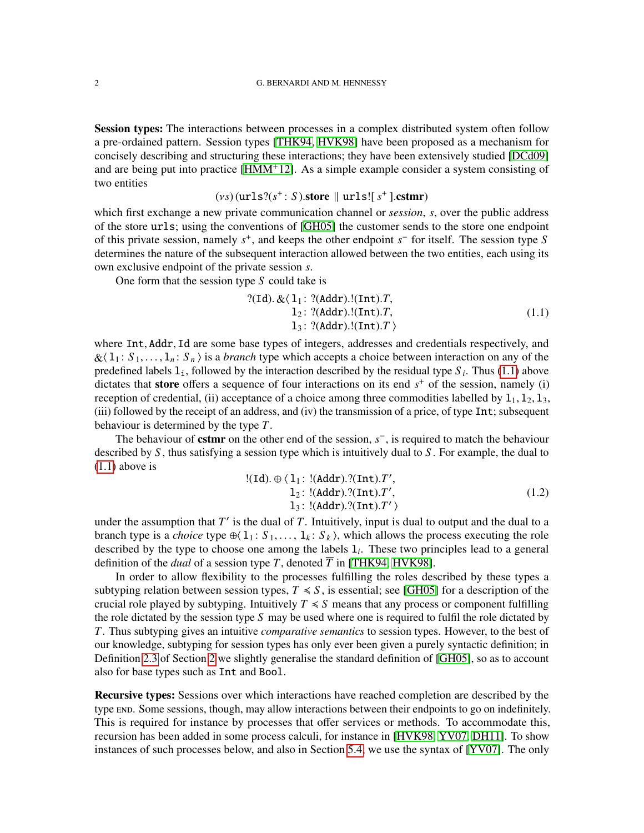Session types: The interactions between processes in a complex distributed system often follow a pre-ordained pattern. Session types [\[THK94,](#page-42-0) [HVK98\]](#page-42-1) have been proposed as a mechanism for concisely describing and structuring these interactions; they have been extensively studied [\[DCd09\]](#page-41-0) and are being put into practice [\[HMM](#page-42-3)<sup>+12]</sup>. As a simple example consider a system consisting of two entities

# $(vs)$  (urls? $(s^+ : S)$ .store  $||$  urls! $[s^+]$ .cstmr)

which first exchange a new private communication channel or *session*, *s*, over the public address of the store urls; using the conventions of [\[GH05\]](#page-42-4) the customer sends to the store one endpoint of this private session, namely *s* + , and keeps the other endpoint *s* − for itself. The session type *S* determines the nature of the subsequent interaction allowed between the two entities, each using its own exclusive endpoint of the private session *s*.

One form that the session type *S* could take is

<span id="page-1-0"></span>?(Id). 
$$
\& \langle 1_1 : ?(Addr).!(Int).T,
$$
  
\n $1_2 : ?(Addr).!(Int).T,$   
\n $1_3 : ?(Addr).!(Int).T \rangle$  (1.1)

where Int, Addr, Id are some base types of integers, addresses and credentials respectively, and  $\&\langle 1_1 : S_1, \ldots, 1_n : S_n \rangle$  is a *branch* type which accepts a choice between interaction on any of the predefined labels  $1_i$ , followed by the interaction described by the residual type  $S_i$ . Thus [\(1.1\)](#page-1-0) above dictates that **store** offers a sequence of four interactions on its end  $s<sup>+</sup>$  of the session, namely (i) reception of credential, (ii) acceptance of a choice among three commodities labelled by  $1_1$ ,  $1_2$ ,  $1_3$ , (iii) followed by the receipt of an address, and (iv) the transmission of a price, of type Int; subsequent behaviour is determined by the type *T*.

The behaviour of **cstmr** on the other end of the session, *s*<sup>−</sup>, is required to match the behaviour described by *S* , thus satisfying a session type which is intuitively dual to *S* . For example, the dual to [\(1.1\)](#page-1-0) above is

<span id="page-1-1"></span>
$$
!(\text{Id}). \oplus \langle 1_1 : !(\text{Addr}).?(\text{Int}).T',\n1_2 : !(\text{Addr}).?(\text{Int}).T',\n1_3 : !(\text{Addr}).?(\text{Int}).T'\rangle
$$
\n(1.2)

under the assumption that  $T'$  is the dual of  $T$ . Intuitively, input is dual to output and the dual to a branch type is a *choice* type  $\oplus$ ( $1_1$ :  $S_1$ , ...,  $1_k$ :  $S_k$ ), which allows the process executing the role described by the type to choose one among the labels l*<sup>i</sup>* . These two principles lead to a general definition of the *dual* of a session type *T*, denoted  $\overline{T}$  in [\[THK94,](#page-42-0) [HVK98\]](#page-42-1).

In order to allow flexibility to the processes fulfilling the roles described by these types a subtyping relation between session types,  $T \le S$ , is essential; see [\[GH05\]](#page-42-4) for a description of the crucial role played by subtyping. Intuitively  $T \leq S$  means that any process or component fulfilling the role dictated by the session type *S* may be used where one is required to fulfil the role dictated by *T*. Thus subtyping gives an intuitive *comparative semantics* to session types. However, to the best of our knowledge, subtyping for session types has only ever been given a purely syntactic definition; in Definition [2.3](#page-7-0) of Section [2](#page-6-0) we slightly generalise the standard definition of [\[GH05\]](#page-42-4), so as to account also for base types such as Int and Bool.

Recursive types: Sessions over which interactions have reached completion are described by the type END. Some sessions, though, may allow interactions between their endpoints to go on indefinitely. This is required for instance by processes that offer services or methods. To accommodate this, recursion has been added in some process calculi, for instance in [\[HVK98,](#page-42-1) [YV07,](#page-42-5) [DH11\]](#page-41-3). To show instances of such processes below, and also in Section [5.4,](#page-30-0) we use the syntax of [\[YV07\]](#page-42-5). The only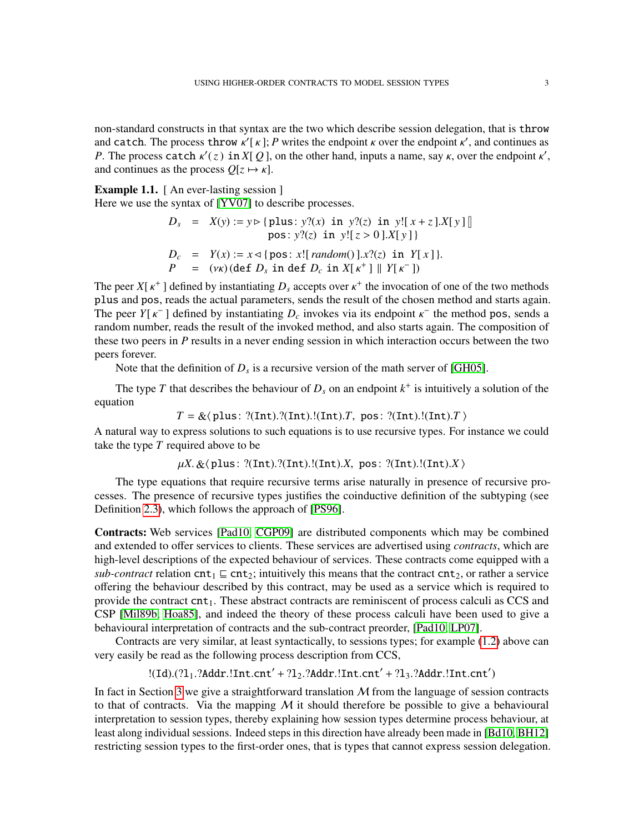non-standard constructs in that syntax are the two which describe session delegation, that is throw and catch. The process throw  $\kappa'$ [ $\kappa$ ]; *P* writes the endpoint  $\kappa$  over the endpoint  $\kappa'$ , and continues as *P*. The process catch  $\kappa'(z)$  in *X*[Q], on the other hand, inputs a name, say  $\kappa$ , over the endpoint  $\kappa'$ , and continues as the process  $O[z \mapsto \kappa]$ .

Example 1.1. [ An ever-lasting session ]

Here we use the syntax of [\[YV07\]](#page-42-5) to describe processes.

$$
D_s = X(y) := y \triangleright \{ \text{plus} : y?(x) \text{ in } y?(z) \text{ in } y! [x + z].X[y] \]
$$
  
\n
$$
\text{pos} : y?(z) \text{ in } y! [z > 0].X[y] \}
$$
  
\n
$$
D_c = Y(x) := x \triangleleft \{ \text{pos} : x! [ \text{ random}(x)].X?(z) \text{ in } Y[x] \}.
$$
  
\n
$$
P = (vx) (\text{def } D_s \text{ in } \text{def } D_c \text{ in } X[x^+] \parallel Y[x^-])
$$

The peer  $X[\kappa^+]$  defined by instantiating  $D_s$  accepts over  $\kappa^+$  the invocation of one of the two methods plus and pos, reads the actual parameters, sends the result of the chosen method and starts again. The peer *Y*[ $\kappa$ <sup>-</sup>] defined by instantiating  $D_c$  invokes via its endpoint  $\kappa$ <sup>-</sup> the method pos, sends a random number, reads the result of the invoked method, and also starts again. The composition of these two peers in *P* results in a never ending session in which interaction occurs between the two peers forever.

Note that the definition of  $D_s$  is a recursive version of the math server of [\[GH05\]](#page-42-4).

The type *T* that describes the behaviour of  $D_s$  on an endpoint  $k^+$  is intuitively a solution of the equation

 $T = \&\langle$  plus: ?(Int).?(Int).!(Int).*T*, pos: ?(Int).!(Int).*T*  $\rangle$ 

A natural way to express solutions to such equations is to use recursive types. For instance we could take the type *T* required above to be

 $\mu X. \&$  (plus: ?(Int).?(Int).!(Int).*X*, pos: ?(Int).!(Int).*X*  $\rangle$ 

The type equations that require recursive terms arise naturally in presence of recursive processes. The presence of recursive types justifies the coinductive definition of the subtyping (see Definition [2.3\)](#page-7-0), which follows the approach of [\[PS96\]](#page-42-6).

Contracts: Web services [\[Pad10,](#page-42-2) [CGP09\]](#page-41-1) are distributed components which may be combined and extended to offer services to clients. These services are advertised using *contracts*, which are high-level descriptions of the expected behaviour of services. These contracts come equipped with a *sub-contract* relation  $\text{cnt}_1 \subseteq \text{cnt}_2$ ; intuitively this means that the contract  $\text{cnt}_2$ , or rather a service offering the behaviour described by this contract, may be used as a service which is required to provide the contract  $cnt<sub>1</sub>$ . These abstract contracts are reminiscent of process calculi as CCS and CSP [\[Mil89b,](#page-42-7) [Hoa85\]](#page-42-8), and indeed the theory of these process calculi have been used to give a behavioural interpretation of contracts and the sub-contract preorder, [\[Pad10,](#page-42-2) [LP07\]](#page-42-9).

Contracts are very similar, at least syntactically, to sessions types; for example [\(1.2\)](#page-1-1) above can very easily be read as the following process description from CCS,

 $!(\mathtt{Id}).(?l_1.?Addr.!\mathtt{Int}.\mathtt{cnt'} + ?l_2.?Addr.!\mathtt{Int}.\mathtt{cnt'} + ?l_3.?Addr.!\mathtt{Int}.\mathtt{cnt'})$ 

In fact in Section [3](#page-9-0) we give a straightforward translation  $M$  from the language of session contracts to that of contracts. Via the mapping  $M$  it should therefore be possible to give a behavioural interpretation to session types, thereby explaining how session types determine process behaviour, at least along individual sessions. Indeed steps in this direction have already been made in [\[Bd10,](#page-40-0) [BH12\]](#page-41-4) restricting session types to the first-order ones, that is types that cannot express session delegation.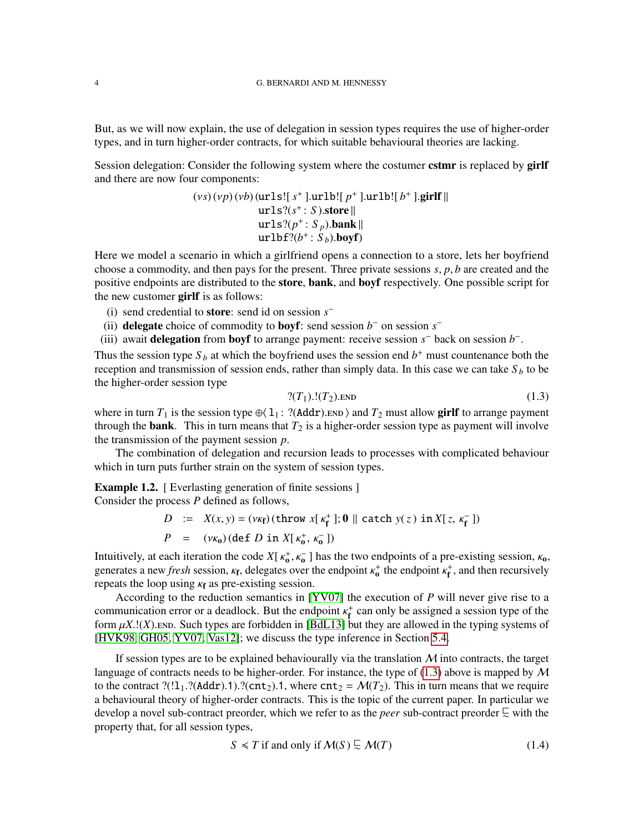But, as we will now explain, the use of delegation in session types requires the use of higher-order types, and in turn higher-order contracts, for which suitable behavioural theories are lacking.

Session delegation: Consider the following system where the costumer cstmr is replaced by girlf and there are now four components:

$$
(vs)(vp)(vb)(urls![s+].urlb![p+].urlb![b+].girlf||urls?(s+: S).store||urls?(p+: Sp).bank||urlbf?(b+: Sb).boyf)
$$

Here we model a scenario in which a girlfriend opens a connection to a store, lets her boyfriend choose a commodity, and then pays for the present. Three private sessions *s*, *p*, *b* are created and the positive endpoints are distributed to the **store, bank**, and **boyf** respectively. One possible script for the new customer girlf is as follows:

- (i) send credential to store: send id on session *s* −
- (ii) delegate choice of commodity to boyf: send session  $b^-$  on session  $s^-$
- (iii) await **delegation** from **boyf** to arrange payment: receive session  $s^-$  back on session  $b^-$ .

Thus the session type  $S_b$  at which the boyfriend uses the session end  $b^+$  must countenance both the reception and transmission of session ends, rather than simply data. In this case we can take  $S_b$  to be the higher-order session type

<span id="page-3-0"></span>
$$
? (T_1).!(T_2).END \t\t(1.3)
$$

where in turn  $T_1$  is the session type  $\oplus$ ( $1_1$ : ?(Addr).end  $\otimes$  and  $T_2$  must allow girlf to arrange payment through the **bank**. This in turn means that  $T_2$  is a higher-order session type as payment will involve the transmission of the payment session *p*.

The combination of delegation and recursion leads to processes with complicated behaviour which in turn puts further strain on the system of session types.

<span id="page-3-2"></span>**Example 1.2.** [ Everlasting generation of finite sessions ]

Consider the process *P* defined as follows,

$$
D := X(x, y) = (\nu \kappa_f) (\text{throw } x[\kappa_f^+]; \mathbf{0} \parallel \text{catch } y(z) \text{ in } X[z, \kappa_f^-])
$$
  

$$
P = (\nu \kappa_0) (\text{def } D \text{ in } X[\kappa_0^+, \kappa_0^-])
$$

Intuitively, at each iteration the code  $X[\kappa_0^+, \kappa_0^-]$  has the two endpoints of a pre-existing session,  $\kappa_0$ , generates a new *fresh* session,  $\kappa_f$ , delegates over the endpoint  $\kappa_0^+$  the endpoint  $\kappa_f^+$ , and then recursively repeats the loop using  $\kappa_f$  as pre-existing session.

According to the reduction semantics in [\[YV07\]](#page-42-5) the execution of *P* will never give rise to a communication error or a deadlock. But the endpoint  $\kappa_f^+$  can only be assigned a session type of the form  $\mu X$ .!(X). END. Such types are forbidden in [\[BdL13\]](#page-40-1) but they are allowed in the typing systems of [\[HVK98,](#page-42-1) [GH05,](#page-42-4) [YV07,](#page-42-5) [Vas12\]](#page-42-10); we discuss the type inference in Section [5.4.](#page-30-0)

If session types are to be explained behaviourally via the translation  $M$  into contracts, the target language of contracts needs to be higher-order. For instance, the type of  $(1.3)$  above is mapped by M to the contract ?(!1<sub>1</sub>.?(Addr).1).?(cnt<sub>2</sub>).1, where cnt<sub>2</sub> =  $\mathcal{M}(T_2)$ . This in turn means that we require a behavioural theory of higher-order contracts. This is the topic of the current paper. In particular we develop a novel sub-contract preorder, which we refer to as the *peer* sub-contract preorder  $\subseteq$  with the property that, for all session types,

<span id="page-3-1"></span>
$$
S \le T \text{ if and only if } \mathcal{M}(S) \subsetneq \mathcal{M}(T) \tag{1.4}
$$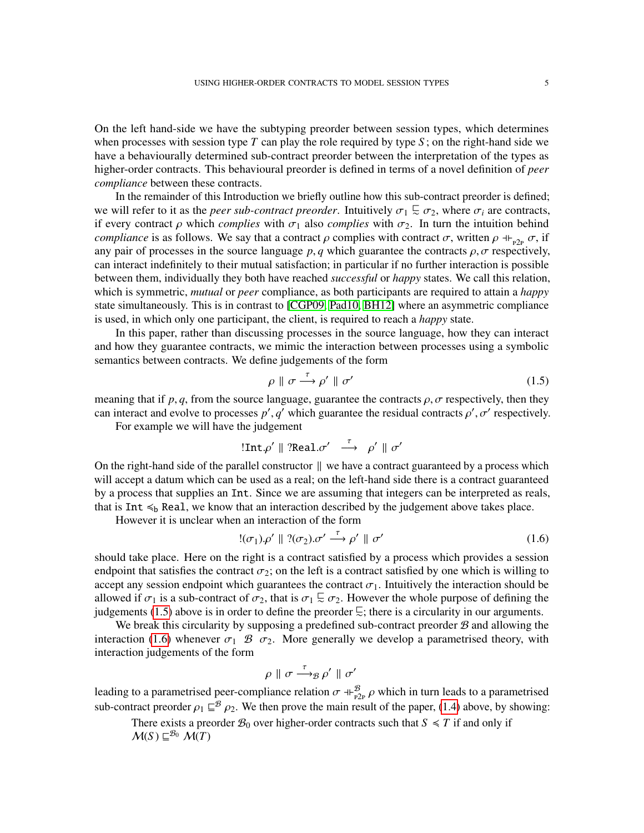On the left hand-side we have the subtyping preorder between session types, which determines when processes with session type  $T$  can play the role required by type  $S$ ; on the right-hand side we have a behaviourally determined sub-contract preorder between the interpretation of the types as higher-order contracts. This behavioural preorder is defined in terms of a novel definition of *peer compliance* between these contracts.

In the remainder of this Introduction we briefly outline how this sub-contract preorder is defined; we will refer to it as the *peer sub-contract preorder*. Intuitively  $\sigma_1 \subseteq \sigma_2$ , where  $\sigma_i$  are contracts, if every contract  $\rho$  which *complies* with  $\sigma_1$  also *complies* with  $\sigma_2$ . In turn the intuition behind *compliance* is as follows. We say that a contract  $\rho$  complies with contract  $\sigma$ , written  $\rho \dashv_{P2p} \sigma$ , if any pair of processes in the source language  $p, q$  which guarantee the contracts  $\rho, \sigma$  respectively, can interact indefinitely to their mutual satisfaction; in particular if no further interaction is possible between them, individually they both have reached *successful* or *happy* states. We call this relation, which is symmetric, *mutual* or *peer* compliance, as both participants are required to attain a *happy* state simultaneously. This is in contrast to [\[CGP09,](#page-41-1) [Pad10,](#page-42-2) [BH12\]](#page-41-4) where an asymmetric compliance is used, in which only one participant, the client, is required to reach a *happy* state.

In this paper, rather than discussing processes in the source language, how they can interact and how they guarantee contracts, we mimic the interaction between processes using a symbolic semantics between contracts. We define judgements of the form

<span id="page-4-0"></span>
$$
\rho \parallel \sigma \stackrel{\tau}{\longrightarrow} \rho' \parallel \sigma'
$$
\n(1.5)

meaning that if  $p, q$ , from the source language, guarantee the contracts  $\rho, \sigma$  respectively, then they can interact and evolve to processes  $p'$ ,  $q'$  which guarantee the residual contracts  $\rho'$ ,  $\sigma'$  respectively.

For example we will have the judgement

$$
!Int.\rho' \parallel ?Real. \sigma' \stackrel{\tau}{\longrightarrow} \rho' \parallel \sigma'
$$

On the right-hand side of the parallel constructor  $\parallel$  we have a contract guaranteed by a process which will accept a datum which can be used as a real; on the left-hand side there is a contract guaranteed by a process that supplies an Int. Since we are assuming that integers can be interpreted as reals, that is Int  $\leq_b$  Real, we know that an interaction described by the judgement above takes place.

However it is unclear when an interaction of the form

<span id="page-4-1"></span>
$$
!(\sigma_1)\rho' \parallel ?(\sigma_2)\sigma' \stackrel{\tau}{\longrightarrow} \rho' \parallel \sigma'
$$
 (1.6)

should take place. Here on the right is a contract satisfied by a process which provides a session endpoint that satisfies the contract  $\sigma_2$ ; on the left is a contract satisfied by one which is willing to accept any session endpoint which guarantees the contract  $\sigma_1$ . Intuitively the interaction should be allowed if  $\sigma_1$  is a sub-contract of  $\sigma_2$ , that is  $\sigma_1 \subsetneq \sigma_2$ . However the whole purpose of defining the judgements [\(1.5\)](#page-4-0) above is in order to define the preorder  $\subseteq$ ; there is a circularity in our arguments.

We break this circularity by supposing a predefined sub-contract preorder  $B$  and allowing the interaction [\(1.6\)](#page-4-1) whenever  $\sigma_1 \mathcal{B} \sigma_2$ . More generally we develop a parametrised theory, with interaction judgements of the form

$$
\rho \parallel \sigma \stackrel{\tau}{\longrightarrow}_{\mathcal{B}} \rho' \parallel \sigma'
$$

leading to a parametrised peer-compliance relation  $\sigma \oplus_{P2P}^B \rho$  which in turn leads to a parametrised sub-contract preorder  $\rho_1 \subseteq^B \rho_2$ . We then prove the main result of the paper, [\(1.4\)](#page-3-1) above, by showing:

There exists a preorder  $B_0$  over higher-order contracts such that  $S \le T$  if and only if  $\mathcal{M}(S) \sqsubseteq^{\mathcal{B}_0} \mathcal{M}(T)$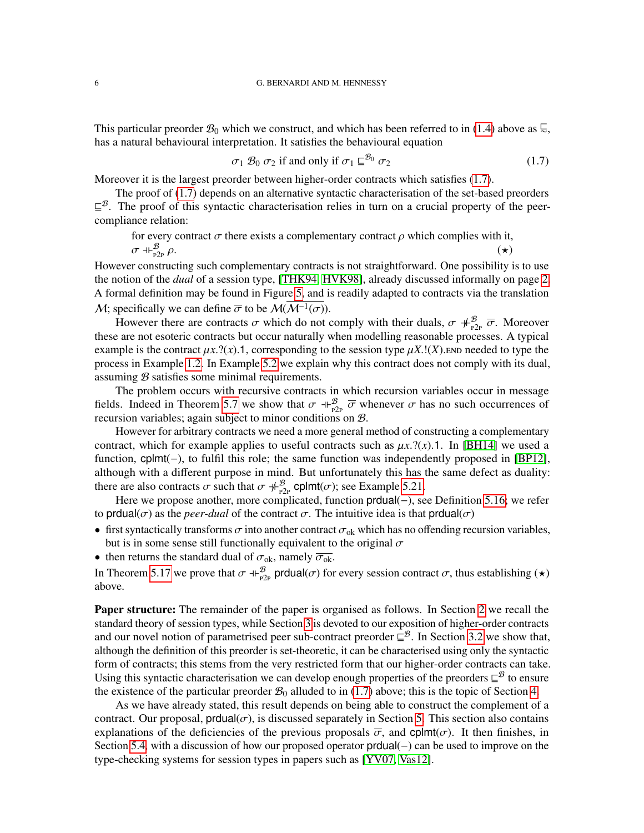This particular preorder  $\mathcal{B}_0$  which we construct, and which has been referred to in [\(1.4\)](#page-3-1) above as  $\subseteq$ , has a natural behavioural interpretation. It satisfies the behavioural equation

<span id="page-5-0"></span>
$$
\sigma_1 \mathcal{B}_0 \sigma_2 \text{ if and only if } \sigma_1 \sqsubseteq^{\mathcal{B}_0} \sigma_2 \tag{1.7}
$$

Moreover it is the largest preorder between higher-order contracts which satisfies [\(1.7\)](#page-5-0).

The proof of [\(1.7\)](#page-5-0) depends on an alternative syntactic characterisation of the set-based preorders  $\subseteq^{\mathcal{B}}$ . The proof of this syntactic characterisation relies in turn on a crucial property of the peercompliance relation:

for every contract 
$$
\sigma
$$
 there exists a complementary contract  $\rho$  which complies with it,  
\n $\sigma \dashv F_{P2P}^B \rho$ .

However constructing such complementary contracts is not straightforward. One possibility is to use the notion of the *dual* of a session type, [\[THK94,](#page-42-0) [HVK98\]](#page-42-1), already discussed informally on page [2.](#page-1-1) A formal definition may be found in Figure [5,](#page-21-1) and is readily adapted to contracts via the translation M; specifically we can define  $\overline{\sigma}$  to be  $\mathcal{M}(\mathcal{M}^{-1}(\sigma))$ .

However there are contracts  $\sigma$  which do not comply with their duals,  $\sigma \neq_{P2P}^B \overline{\sigma}$ . Moreover these are not esoteric contracts but occur naturally when modelling reasonable processes. A typical example is the contract  $\mu x$ .?(*x*).1, corresponding to the session type  $\mu X$ .!(*X*).end needed to type the process in Example [1.2.](#page-3-2) In Example [5.2](#page-21-2) we explain why this contract does not comply with its dual, assuming B satisfies some minimal requirements.

The problem occurs with recursive contracts in which recursion variables occur in message fields. Indeed in Theorem [5.7](#page-23-0) we show that  $\sigma \dashv_{P_{2P}}^{\mathcal{B}} \overline{\sigma}$  whenever  $\sigma$  has no such occurrences of recursion variables; again subject to minor conditions on B.

However for arbitrary contracts we need a more general method of constructing a complementary contract, which for example applies to useful contracts such as  $\mu x$ .?(*x*).1. In [\[BH14\]](#page-41-2) we used a function, cplmt(−), to fulfil this role; the same function was independently proposed in [\[BP12\]](#page-41-5), although with a different purpose in mind. But unfortunately this has the same defect as duality: there are also contracts  $\sigma$  such that  $\sigma \neq_{P2P}^{\mathcal{B}}$  cplmt( $\sigma$ ); see Example [5.21.](#page-29-0)

Here we propose another, more complicated, function prdual(−), see Definition [5.16;](#page-28-0) we refer to prdual( $\sigma$ ) as the *peer-dual* of the contract  $\sigma$ . The intuitive idea is that prdual( $\sigma$ )

- first syntactically transforms  $\sigma$  into another contract  $\sigma_{ok}$  which has no offending recursion variables, but is in some sense still functionally equivalent to the original  $\sigma$
- then returns the standard dual of  $\sigma_{ok}$ , namely  $\overline{\sigma_{ok}}$ .

In Theorem [5.17](#page-28-1) we prove that  $\sigma \dashv_{P2P}^{\mathcal{B}}$  produal( $\sigma$ ) for every session contract  $\sigma$ , thus establishing ( $\star$ ) above.

**Paper structure:** The remainder of the paper is organised as follows. In Section [2](#page-6-0) we recall the standard theory of session types, while Section [3](#page-9-0) is devoted to our exposition of higher-order contracts and our novel notion of parametrised peer sub-contract preorder  $\subseteq^{\mathcal{B}}$ . In Section [3.2](#page-13-0) we show that, although the definition of this preorder is set-theoretic, it can be characterised using only the syntactic form of contracts; this stems from the very restricted form that our higher-order contracts can take. Using this syntactic characterisation we can develop enough properties of the preorders  $\subseteq^B$  to ensure the existence of the particular preorder  $\mathcal{B}_0$  alluded to in [\(1.7\)](#page-5-0) above; this is the topic of Section [4.](#page-17-0)

As we have already stated, this result depends on being able to construct the complement of a contract. Our proposal, produal $(\sigma)$ , is discussed separately in Section [5.](#page-21-0) This section also contains explanations of the deficiencies of the previous proposals  $\overline{\sigma}$ , and cplmt( $\sigma$ ). It then finishes, in Section [5.4,](#page-30-0) with a discussion of how our proposed operator prdual(−) can be used to improve on the type-checking systems for session types in papers such as [\[YV07,](#page-42-5) [Vas12\]](#page-42-10).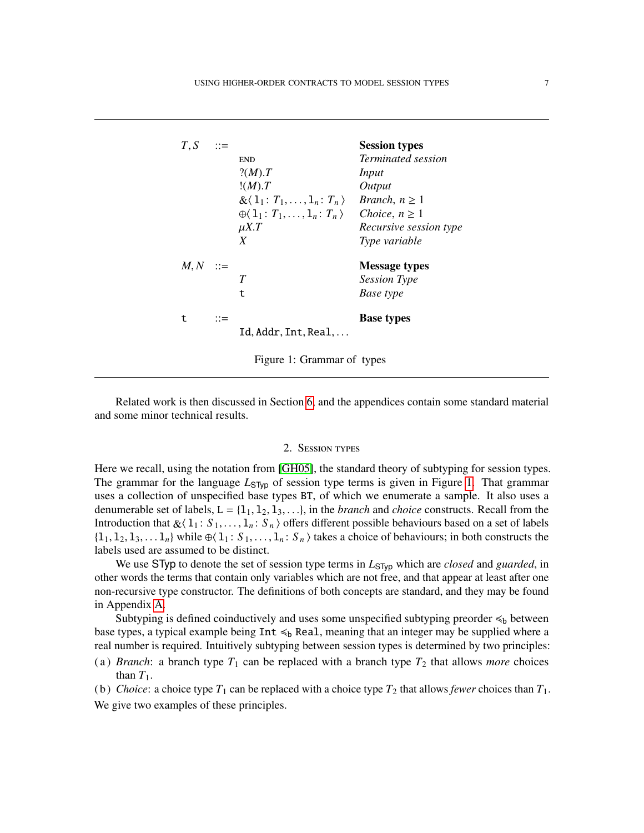| T, S | $\therefore =$ | <b>END</b><br>?(M).T<br>!(M).T<br>$\&\langle 1_1: T_1,\ldots,1_n: T_n\rangle$<br>$\oplus \langle 1_1 : T_1, \ldots, 1_n : T_n \rangle$ Choice, $n \geq 1$<br>$\mu X.T$<br>X | <b>Session types</b><br><i>Terminated session</i><br>Input<br>Output<br><i>Branch</i> , $n \geq 1$<br>Recursive session type<br>Type variable |
|------|----------------|-----------------------------------------------------------------------------------------------------------------------------------------------------------------------------|-----------------------------------------------------------------------------------------------------------------------------------------------|
| M, N | $\therefore =$ | T<br>t                                                                                                                                                                      | <b>Message types</b><br><b>Session Type</b><br>Base type                                                                                      |
| t    | $::=$          | Id.Addr.Int.Real                                                                                                                                                            | <b>Base types</b>                                                                                                                             |

<span id="page-6-1"></span>Figure 1: Grammar of types

Related work is then discussed in Section [6,](#page-32-0) and the appendices contain some standard material and some minor technical results.

## 2. Session types

<span id="page-6-0"></span>Here we recall, using the notation from [\[GH05\]](#page-42-4), the standard theory of subtyping for session types. The grammar for the language  $L_{STyp}$  of session type terms is given in Figure [1.](#page-6-1) That grammar uses a collection of unspecified base types BT, of which we enumerate a sample. It also uses a denumerable set of labels,  $L = \{1_1, 1_2, 1_3, \ldots\}$ , in the *branch* and *choice* constructs. Recall from the Introduction that  $\&\langle 1_1 : S_1, \ldots, 1_n : S_n \rangle$  offers different possible behaviours based on a set of labels  $\{l_1, l_2, l_3, \ldots l_n\}$  while  $\oplus \langle l_1 : S_1, \ldots, l_n : S_n \rangle$  takes a choice of behaviours; in both constructs the labels used are assumed to be distinct.

We use STyp to denote the set of session type terms in  $L_{STyp}$  which are *closed* and *guarded*, in other words the terms that contain only variables which are not free, and that appear at least after one non-recursive type constructor. The definitions of both concepts are standard, and they may be found in Appendix [A.](#page-36-0)

Subtyping is defined coinductively and uses some unspecified subtyping preorder  $\leq_b$  between base types, a typical example being  $Int \leq_b$  Real, meaning that an integer may be supplied where a real number is required. Intuitively subtyping between session types is determined by two principles:

- (a) *Branch*: a branch type  $T_1$  can be replaced with a branch type  $T_2$  that allows *more* choices than  $T_1$ .
- (b) *Choice*: a choice type  $T_1$  can be replaced with a choice type  $T_2$  that allows *fewer* choices than  $T_1$ . We give two examples of these principles.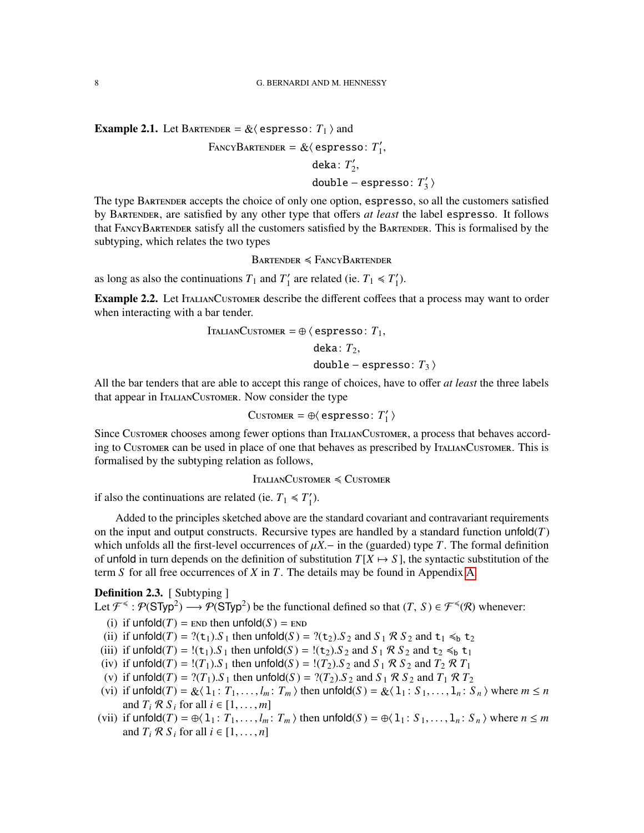**Example 2.1.** Let BARTENDER =  $\&$  (espresso:  $T_1$ ) and

$$
FancyBARTENDER = \& \langle \text{espresso: } T'_1,
$$

$$
\text{deka}\colon T_2',
$$

double − espresso: *T* 0  $\binom{1}{3}$ 

The type Bartender accepts the choice of only one option, espresso, so all the customers satisfied by Bartender, are satisfied by any other type that offers *at least* the label espresso. It follows that FancyBartender satisfy all the customers satisfied by the Bartender. This is formalised by the subtyping, which relates the two types

 $B$ artender  $\leq$  FancyBartender

as long as also the continuations  $T_1$  and  $T_1'$  $T_1$ <sup>'</sup> are related (ie.  $T_1 \le T_1'$  $_{1}^{\prime}).$ 

Example 2.2. Let ITALIANCUSTOMER describe the different coffees that a process may want to order when interacting with a bar tender.

$$
IralianCustomer = \oplus \langle \text{egpresso: } T_1,
$$

deka:  $T_2$ , double – espresso:  $T_3$   $\rangle$ 

All the bar tenders that are able to accept this range of choices, have to offer *at least* the three labels that appear in ItalianCustomer. Now consider the type

$$
\text{Customer} = \oplus \langle \text{ espresso: } T'_1 \rangle
$$

Since Customer chooses among fewer options than ItalianCustomer, a process that behaves according to Customer can be used in place of one that behaves as prescribed by ItalianCustomer. This is formalised by the subtyping relation as follows,

 $IralianCustOMER \leq CustOMER$ 

if also the continuations are related (ie.  $T_1 \leq T_1'$  $'_{1}$ ).

Added to the principles sketched above are the standard covariant and contravariant requirements on the input and output constructs. Recursive types are handled by a standard function unfold $(T)$ which unfolds all the first-level occurrences of  $\mu X$ . in the (guarded) type *T*. The formal definition of unfold in turn depends on the definition of substitution  $T[X \mapsto S]$ , the syntactic substitution of the term *S* for all free occurrences of *X* in *T*. The details may be found in Appendix [A.](#page-36-0)

<span id="page-7-0"></span>**Definition 2.3.** [ Subtyping ]

Let  $\mathcal{F}^{\preccurlyeq}$ :  $\mathcal{P}(\mathsf{STyp}^2) \longrightarrow \mathcal{P}(\mathsf{STyp}^2)$  be the functional defined so that  $(T, S) \in \mathcal{F}^{\preccurlyeq}(\mathcal{R})$  whenever:

- (i) if  $\text{unfold}(T) = \text{END}$  then  $\text{unfold}(S) = \text{END}$
- <span id="page-7-1"></span>(ii) if  $\text{unfold}(T) = ?(\textbf{t}_1) \cdot S_1$  then  $\text{unfold}(S) = ?(\textbf{t}_2) \cdot S_2$  and  $S_1 \mathcal{R} S_2$  and  $\textbf{t}_1 \leq \textbf{t}_2$
- <span id="page-7-2"></span>(iii) if  $\text{unfold}(T) = \{(t_1) . S_1 \text{ then } \text{unfold}(S) = \{(t_2) . S_2 \text{ and } S_1 \mathcal{R} S_2 \text{ and } t_2 \leq b t_1 \}$
- <span id="page-7-4"></span>(iv) if  $\text{unfold}(T) = \frac{1}{T_1} S_1$  then  $\text{unfold}(S) = \frac{1}{T_2} S_2$  and  $S_1 \mathcal{R} S_2$  and  $T_2 \mathcal{R} T_1$
- <span id="page-7-3"></span>(v) if  $\text{unfold}(T) = ?(T_1) \cdot S_1$  then  $\text{unfold}(S) = ?(T_2) \cdot S_2$  and  $S_1 \otimes S_2$  and  $T_1 \otimes T_2$
- <span id="page-7-5"></span>(vi) if  $\text{unfold}(T) = \&\langle 1_1 : T_1, \ldots, I_m : T_m \rangle$  then  $\text{unfold}(S) = \&\langle 1_1 : S_1, \ldots, 1_n : S_n \rangle$  where  $m \le n$ and  $T_i \mathcal{R} S_i$  for all  $i \in [1, \ldots, m]$
- <span id="page-7-6"></span>(vii) if  $\text{unfold}(T) = \bigoplus \{1_1 : T_1, \ldots, l_m : T_m\}$  then  $\text{unfold}(S) = \bigoplus \{1_1 : S_1, \ldots, 1_n : S_n\}$  where  $n \leq m$ and  $T_i \mathcal{R} S_i$  for all  $i \in [1, \ldots, n]$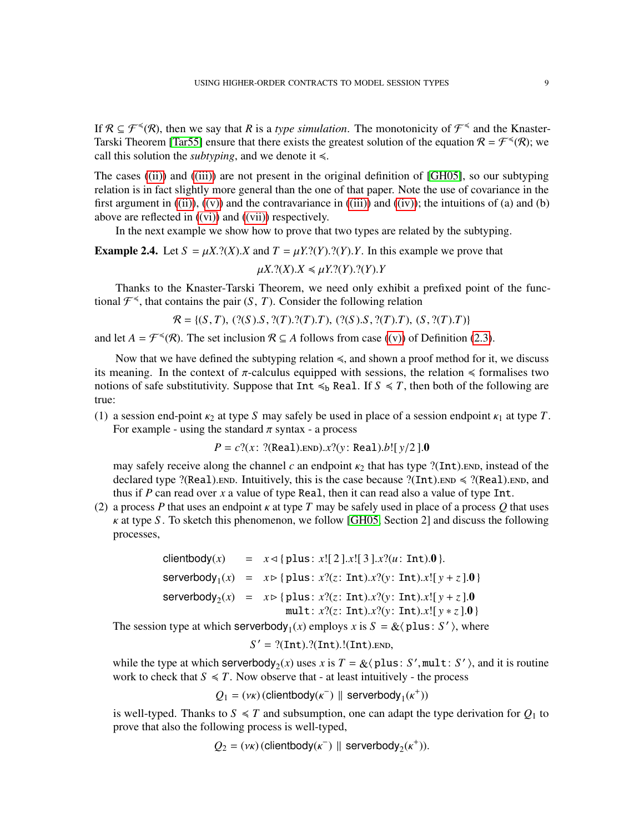If  $\mathcal{R} \subseteq \mathcal{F}^{\preccurlyeq}(\mathcal{R})$ , then we say that R is a *type simulation*. The monotonicity of  $\mathcal{F}^{\preccurlyeq}$  and the Knaster-Tarski Theorem [\[Tar55\]](#page-42-11) ensure that there exists the greatest solution of the equation  $\mathcal{R} = \mathcal{F}^{\leq}(\mathcal{R})$ ; we call this solution the *subtyping*, and we denote it  $\leq$ .

The cases [\(\(ii\)\)](#page-7-1) and [\(\(iii\)\)](#page-7-2) are not present in the original definition of [\[GH05\]](#page-42-4), so our subtyping relation is in fact slightly more general than the one of that paper. Note the use of covariance in the first argument in  $((ii))$ ,  $((v))$  and the contravariance in  $((iii))$  and  $((iv))$ ; the intuitions of (a) and (b) above are reflected in [\(\(vi\)\)](#page-7-5) and [\(\(vii\)\)](#page-7-6) respectively.

In the next example we show how to prove that two types are related by the subtyping.

**Example 2.4.** Let  $S = \mu X$ .?(*X*).*X* and  $T = \mu Y$ .?(*Y*).?(*Y*).*Y*. In this example we prove that  $\mu X$ .?(*X*).*X*  $\leq \mu Y$ .?(*Y*).?(*Y*).*Y* 

Thanks to the Knaster-Tarski Theorem, we need only exhibit a prefixed point of the functional  $\mathcal{F}^{\leq}$ , that contains the pair  $(S, T)$ . Consider the following relation

$$
\mathcal{R} = \{ (S, T), (?(S).S, ?(T).?(T).T), (?(S).S, ?(T).T), (S, ?(T).T) \}
$$

and let  $A = \mathcal{F}^{\preccurlyeq}(\mathcal{R})$ . The set inclusion  $\mathcal{R} \subseteq A$  follows from case [\(\(v\)\)](#page-7-3) of Definition [\(2.3\)](#page-7-0).

Now that we have defined the subtyping relation  $\leq$ , and shown a proof method for it, we discuss its meaning. In the context of  $\pi$ -calculus equipped with sessions, the relation  $\leq$  formalises two notions of safe substitutivity. Suppose that  $Int \leq b$  Real. If  $S \leq T$ , then both of the following are true:

(1) a session end-point  $\kappa_2$  at type *S* may safely be used in place of a session endpoint  $\kappa_1$  at type *T*. For example - using the standard  $\pi$  syntax - a process

 $P = c$ ?(*x* : ?(Real).*END*).*x*?(*y* : Real).*b*![ *y*/2 ].0

may safely receive along the channel  $c$  an endpoint  $\kappa_2$  that has type ?(Int). END, instead of the declared type ?(Real).END. Intuitively, this is the case because ?(Int).END  $\leq$  ?(Real).END, and thus if  $P$  can read over  $x$  a value of type Real, then it can read also a value of type Int.

<span id="page-8-0"></span>(2) a process *P* that uses an endpoint  $\kappa$  at type *T* may be safely used in place of a process *Q* that uses κ at type *S* . To sketch this phenomenon, we follow [\[GH05,](#page-42-4) Section 2] and discuss the following processes,

> clientbody(*x*) =  $x \triangleleft \{ \text{plus} : x! [2].x! [3].x?$ (*u*: Int).0 }.  $s$ erverbody<sub>1</sub>(*x*) = *x* $\triangleright$ {plus: *x*?(*z*: Int).*x*?(*y*: Int).*x*![*y* + *z*].0}  $\text{serverbody}_2(x) = x \triangleright \{\text{plus}: x?(z: \text{Int}).x?(y: \text{Int}).x![y+z].0\}$ mult: *x*?(*z*: Int).*x*?(*y* : Int).*x*![ *y* ∗ *z*].0 }

The session type at which serverbody<sub>1</sub>(*x*) employs *x* is  $S = \&$  (plus: *S'*), where

 $S' = ?(Int).?(Int).!(Int).END,$ 

while the type at which serverbody<sub>2</sub>(*x*) uses *x* is  $T = \&\langle$  plus: *S*', mult: *S*', and it is routine work to check that  $S \leq T$ . Now observe that - at least intuitively - the process

 $Q_1 = (\nu \kappa)$  (clientbody( $\kappa^{\text{-}}$ ) || serverbody<sub>1</sub>( $\kappa^{\text{+}}$ ))

is well-typed. Thanks to  $S \leq T$  and subsumption, one can adapt the type derivation for  $Q_1$  to prove that also the following process is well-typed,

 $Q_2 = (\nu \kappa)$  (clientbody( $\kappa$ <sup>-</sup>) || serverbody<sub>2</sub>( $\kappa$ <sup>+</sup>)).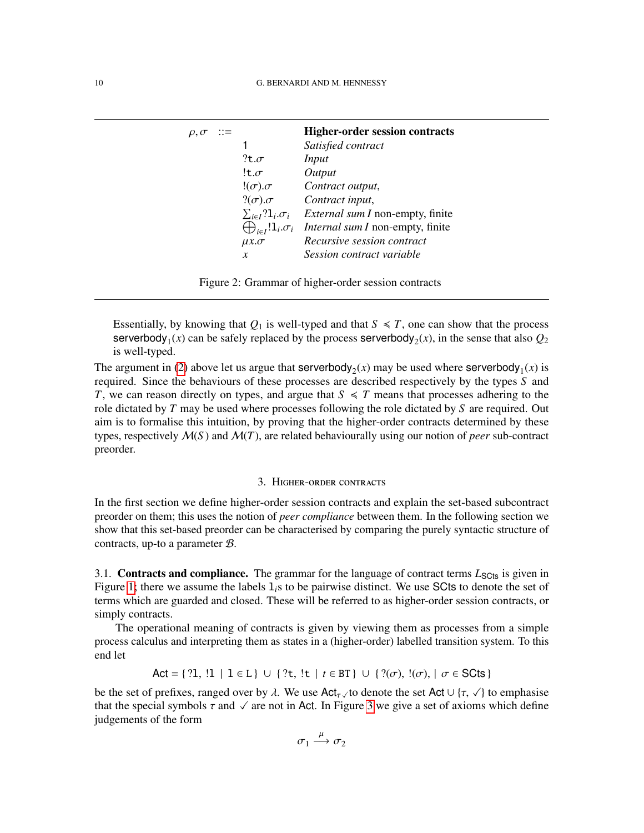| $\rho, \sigma$ ::= |                    | <b>Higher-order session contracts</b>                                            |
|--------------------|--------------------|----------------------------------------------------------------------------------|
|                    |                    | Satisfied contract                                                               |
|                    | $?$ t. $\sigma$    | Input                                                                            |
|                    | !t. $\sigma$       | Output                                                                           |
|                    | $!(\sigma).\sigma$ | Contract output,                                                                 |
|                    |                    | $?(\sigma).\sigma$ Contract input,                                               |
|                    |                    | $\sum_{i \in I} ?1_i \sigma_i$ <i>External sum I</i> non-empty, finite           |
|                    |                    | $\bigoplus_{i \in I} \mathbb{1}_{i} \sigma_{i}$ Internal sum I non-empty, finite |
|                    | $\mu x.\sigma$     | Recursive session contract                                                       |
|                    | $\boldsymbol{x}$   | Session contract variable                                                        |

<span id="page-9-1"></span>Essentially, by knowing that  $Q_1$  is well-typed and that  $S \le T$ , one can show that the process  $s$ erverbody<sub>1</sub>(*x*) can be safely replaced by the process  $s$ erverbody<sub>2</sub>(*x*), in the sense that also  $Q_2$ is well-typed.

The argument in [\(2\)](#page-8-0) above let us argue that serverbody<sub>2</sub>(*x*) may be used where serverbody<sub>1</sub>(*x*) is required. Since the behaviours of these processes are described respectively by the types *S* and *T*, we can reason directly on types, and argue that  $S \leq T$  means that processes adhering to the role dictated by *T* may be used where processes following the role dictated by *S* are required. Out aim is to formalise this intuition, by proving that the higher-order contracts determined by these types, respectively  $M(S)$  and  $M(T)$ , are related behaviourally using our notion of *peer* sub-contract preorder.

#### 3. Higher-order contracts

<span id="page-9-0"></span>In the first section we define higher-order session contracts and explain the set-based subcontract preorder on them; this uses the notion of *peer compliance* between them. In the following section we show that this set-based preorder can be characterised by comparing the purely syntactic structure of contracts, up-to a parameter B.

3.1. **Contracts and compliance.** The grammar for the language of contract terms  $L_{\text{Sט}}$  is given in Figure [1;](#page-6-1) there we assume the labels  $l_i$ s to be pairwise distinct. We use SCts to denote the set of terms which are guarded and closed. These will be referred to as higher-order session contracts, or simply contracts.

The operational meaning of contracts is given by viewing them as processes from a simple process calculus and interpreting them as states in a (higher-order) labelled transition system. To this end let

Act = { ?1, !1 | 1 ∈ L } ∪ { ?t, !t | *t* ∈ BT } ∪ { ?( $\sigma$ ), !( $\sigma$ ), |  $\sigma$  ∈ SCts }

be the set of prefixes, ranged over by  $\lambda$ . We use Act<sub>τ</sub>  $\lambda$  to denote the set Act ∪ { $\tau$ ,  $\lambda$ } to emphasise that the special symbols  $\tau$  and  $\sqrt{\tau}$  are not in Act. In Figure [3](#page-10-0) we give a set of axioms which define judgements of the form

$$
\sigma_1 \xrightarrow{\mu} \sigma_2
$$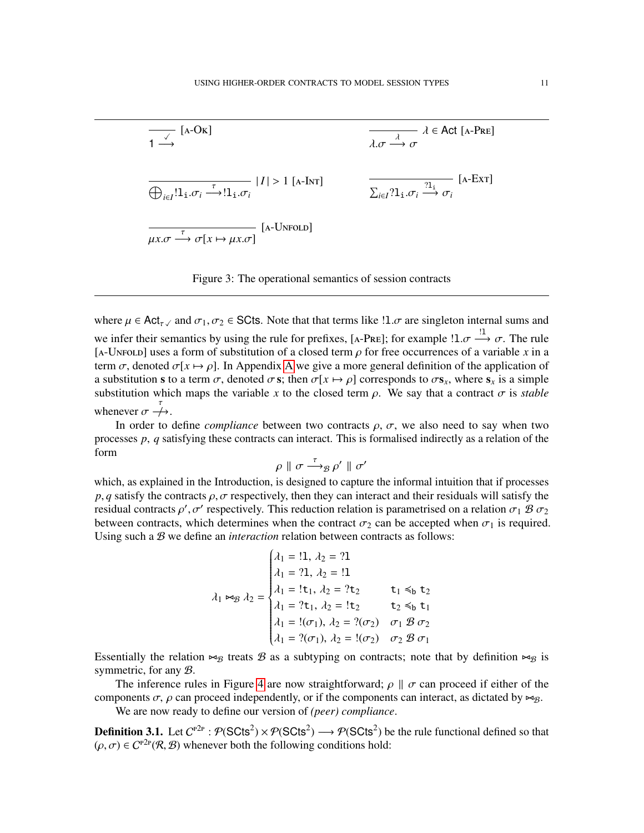

<span id="page-10-0"></span>Figure 3: The operational semantics of session contracts

where  $\mu \in \text{Act}_{\tau \vee}$  and  $\sigma_1, \sigma_2 \in \text{SCts}$ . Note that that terms like  $\mu \in \mathcal{A}$  are singleton internal sums and we infer their semantics by using the rule for prefixes, [A-PRE]; for example  $1 \cdot \sigma \stackrel{!1}{\longrightarrow} \sigma$ . The rule [A-UNFOLD] uses a form of substitution of a closed term  $\rho$  for free occurrences of a variable x in a term  $\sigma$ , denoted  $\sigma[x \mapsto \rho]$ . In [A](#page-36-0)ppendix A we give a more general definition of the application of a substitution s to a term  $\sigma$ , denoted  $\sigma$  s; then  $\sigma[x \mapsto \rho]$  corresponds to  $\sigma s_x$ , where  $s_x$  is a simple substitution which maps the variable *x* to the closed term  $\rho$ . We say that a contract  $\sigma$  is *stable* whenever  $\sigma \stackrel{\tau}{\rightarrow}$ .

In order to define *compliance* between two contracts  $\rho$ ,  $\sigma$ , we also need to say when two processes *p*, *q* satisfying these contracts can interact. This is formalised indirectly as a relation of the form

 $\rho \parallel \sigma \stackrel{\tau}{\longrightarrow}_{\mathcal{B}} \rho' \parallel \sigma'$ 

which, as explained in the Introduction, is designed to capture the informal intuition that if processes  $p, q$  satisfy the contracts  $\rho, \sigma$  respectively, then they can interact and their residuals will satisfy the residual contracts  $\rho'$ ,  $\sigma'$  respectively. This reduction relation is parametrised on a relation  $\sigma_1 \mathcal{B} \sigma_2$ between contracts, which determines when the contract  $\sigma_2$  can be accepted when  $\sigma_1$  is required. Using such a B we define an *interaction* relation between contracts as follows:

$$
\lambda_1 \bowtie_B \lambda_2 = \begin{cases}\n\lambda_1 = !1, \ \lambda_2 = ?1 \\
\lambda_1 = ?1, \ \lambda_2 = !1 \\
\lambda_1 = !t_1, \ \lambda_2 = ?t_2 \\
\lambda_1 = ?t_1, \ \lambda_2 = !t_2 \\
\lambda_1 = !(\sigma_1), \ \lambda_2 = ?(\sigma_2) \\
\lambda_1 = ?(\sigma_1), \ \lambda_2 = !(\sigma_2) \\
\sigma_2 \mathcal{B} \sigma_1\n\end{cases}
$$

Essentially the relation  $\bowtie_B$  treats  $\mathcal B$  as a subtyping on contracts; note that by definition  $\bowtie_B$  is symmetric, for any B.

The inference rules in Figure [4](#page-11-0) are now straightforward;  $\rho \parallel \sigma$  can proceed if either of the components  $\sigma$ ,  $\rho$  can proceed independently, or if the components can interact, as dictated by  $\bowtie g$ .

We are now ready to define our version of *(peer) compliance*.

<span id="page-10-1"></span>**Definition 3.1.** Let  $C^{P2P}$  :  $\mathcal{P}(\text{SCts}^2) \times \mathcal{P}(\text{SCts}^2) \longrightarrow \mathcal{P}(\text{SCts}^2)$  be the rule functional defined so that  $(\rho, \sigma) \in C^{p2p}(\mathcal{R}, \mathcal{B})$  whenever both the following conditions hold: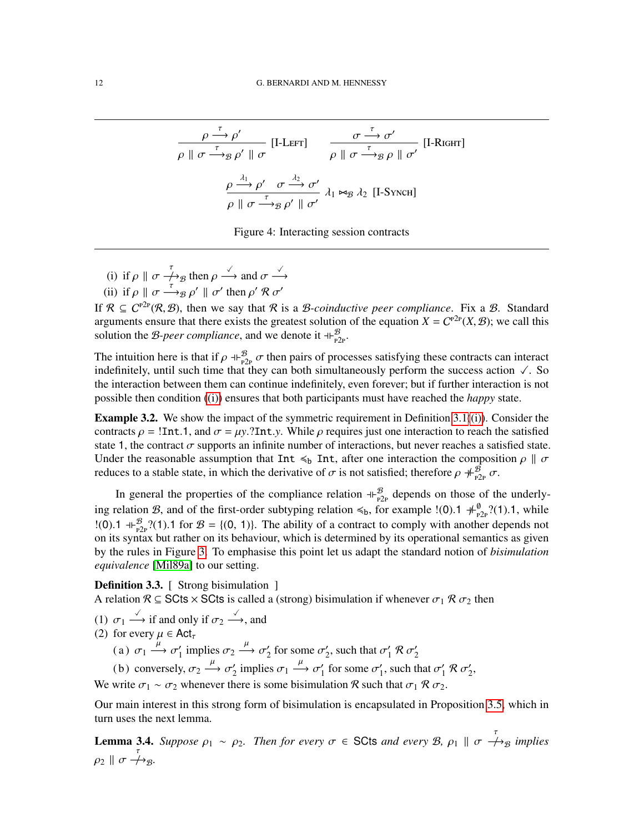$$
\frac{\rho \stackrel{\tau}{\longrightarrow} \rho'}{\rho \parallel \sigma \stackrel{\tau}{\longrightarrow}_{\mathcal{B}} \rho' \parallel \sigma} [\text{I-LEFT}] \qquad \frac{\sigma \stackrel{\tau}{\longrightarrow} \sigma'}{\rho \parallel \sigma \stackrel{\tau}{\longrightarrow}_{\mathcal{B}} \rho \parallel \sigma'} [\text{I-Right}]
$$
\n
$$
\frac{\rho \stackrel{\lambda_1}{\longrightarrow} \rho' \quad \sigma \stackrel{\lambda_2}{\longrightarrow} \sigma'}{\rho \parallel \sigma \stackrel{\tau}{\longrightarrow}_{\mathcal{B}} \rho' \parallel \sigma'} \lambda_1 \bowtie_{\mathcal{B}} \lambda_2 [\text{I-SynCH}]
$$

<span id="page-11-0"></span>Figure 4: Interacting session contracts

- <span id="page-11-1"></span>(i) if  $\rho \parallel \sigma \nightharpoonup_{\mathfrak{B}} \text{ then } \rho \stackrel{\checkmark}{\longrightarrow}$  and  $\sigma \stackrel{\checkmark}{\longrightarrow}$
- <span id="page-11-4"></span>(ii) if  $\rho \parallel \sigma \stackrel{\tau}{\longrightarrow} g \rho' \parallel \sigma'$  then  $\rho' \mathcal{R} \sigma'$

If  $\mathcal{R} \subseteq C^{p2p}(\mathcal{R}, \mathcal{B})$ , then we say that  $\mathcal{R}$  is a *B-coinductive peer compliance*. Fix a *B*. Standard arguments ensure that there exists the greatest solution of the equation  $X = C^{p2p}(X, \mathcal{B})$ ; we call this solution the *B-peer compliance*, and we denote it  $+_{P2p}^B$ .

The intuition here is that if  $\rho \perp_{P_2P}^B \sigma$  then pairs of processes satisfying these contracts can interact indefinitely, until such time that they can both simultaneously perform the success action  $\sqrt{ }$ . So the interaction between them can continue indefinitely, even forever; but if further interaction is not possible then condition [\(\(i\)\)](#page-11-1) ensures that both participants must have reached the *happy* state.

**Example 3.2.** We show the impact of the symmetric requirement in Definition [3.1](#page-10-1)[\(\(i\)\)](#page-11-1). Consider the contracts  $\rho = 1$ Int.1, and  $\sigma = \mu y$ .?Int.*y*. While  $\rho$  requires just one interaction to reach the satisfied state 1, the contract  $\sigma$  supports an infinite number of interactions, but never reaches a satisfied state. Under the reasonable assumption that Int  $\leq_b$  Int, after one interaction the composition  $\rho \parallel \sigma$ reduces to a stable state, in which the derivative of  $\sigma$  is not satisfied; therefore  $\rho \#_{P2p}^{\mathscr{B}} \sigma$ .

In general the properties of the compliance relation  $+\frac{B}{p2p}$  depends on those of the underlying relation B, and of the first-order subtyping relation  $\leq_b$ , for example !(0).1  $+\frac{\theta}{p2p}$ ?(1).1, while  $!(0)$ .1 +  $\bigoplus_{p\geq p}^{\mathcal{B}}$  ?(1).1 for  $\mathcal{B} = \{(0, 1)\}\)$ . The ability of a contract to comply with another depends not on its syntax but rather on its behaviour, which is determined by its operational semantics as given by the rules in Figure [3.](#page-10-0) To emphasise this point let us adapt the standard notion of *bisimulation equivalence* [\[Mil89a\]](#page-42-12) to our setting.

<span id="page-11-2"></span>**Definition 3.3.** [ Strong bisimulation ] A relation  $\mathcal{R} \subseteq$  SCts  $\times$  SCts is called a (strong) bisimulation if whenever  $\sigma_1 \mathcal{R} \sigma_2$  then

- (1)  $\sigma_1 \xrightarrow{\checkmark}$  if and only if  $\sigma_2 \xrightarrow{\checkmark}$ , and
- <span id="page-11-3"></span>(2) for every  $\mu \in \text{Act}_{\tau}$

(a)  $\sigma_1 \xrightarrow{\mu} \sigma'_1$  $\gamma_1'$  implies  $\sigma_2 \stackrel{\mu}{\longrightarrow} \sigma_2'$  $\frac{1}{2}$  for some  $\sigma_2'$  $\zeta_2$ , such that  $\sigma_1'$  $\frac{1}{1}R\sigma_2'$ 2

(b) conversely,  $\sigma_2 \xrightarrow{\mu} \sigma'_2$  $\frac{1}{2}$  implies  $\sigma_1 \xrightarrow{\mu} \sigma_1'$  $\frac{1}{1}$  for some  $\sigma_1'$  $\epsilon_1$ , such that  $\sigma_1'$  $\frac{1}{1}$  R  $\sigma_2'$  $\frac{1}{2}$ ,

We write  $\sigma_1 \sim \sigma_2$  whenever there is some bisimulation R such that  $\sigma_1 \mathcal{R} \sigma_2$ .

Our main interest in this strong form of bisimulation is encapsulated in Proposition [3.5,](#page-12-0) which in turn uses the next lemma.

<span id="page-11-5"></span>**Lemma 3.4.** Suppose  $\rho_1 \sim \rho_2$ . Then for every  $\sigma \in$  SCts and every B,  $\rho_1 \parallel \sigma \stackrel{\tau}{\rightarrow}$  *s* implies  $\rho_2 \parallel \sigma \stackrel{\tau}{\rightarrow} B$ .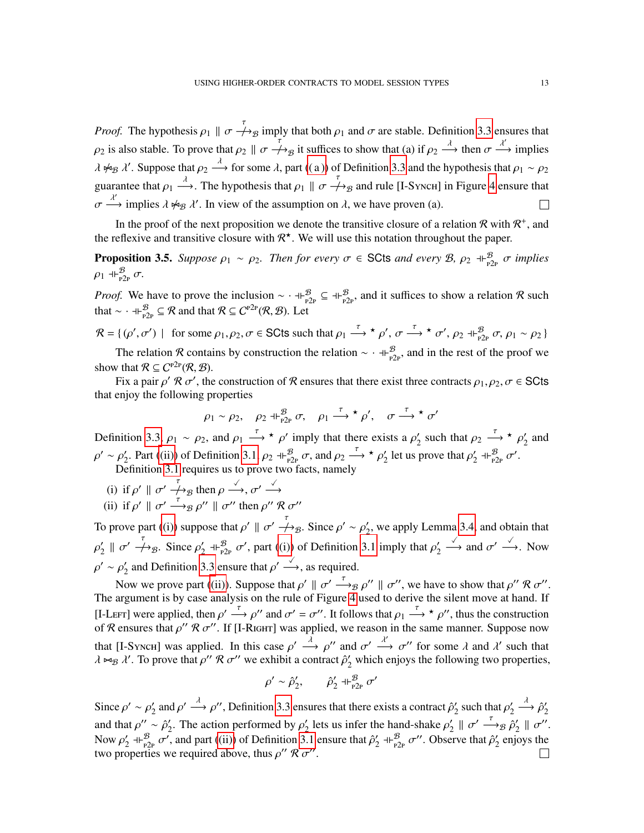*Proof.* The hypothesis  $\rho_1 \parallel \sigma \stackrel{\tau}{\rightarrow} B$  imply that both  $\rho_1$  and  $\sigma$  are stable. Definition [3.3](#page-11-2) ensures that  $\rho_2$  is also stable. To prove that  $\rho_2 \parallel \sigma \nightharpoonup \rightarrow_B$  it suffices to show that (a) if  $\rho_2 \stackrel{\lambda}{\longrightarrow}$  then  $\sigma \stackrel{\lambda'}{\longrightarrow}$  implies  $\lambda \not\sim_B \lambda'$ . Suppose that  $\rho_2 \stackrel{\lambda}{\longrightarrow}$  for some  $\lambda$ , part ((a)) of Definition [3.3](#page-11-2) and the hypothesis that  $\rho_1 \sim \rho_2$ guarantee that  $\rho_1 \stackrel{\lambda}{\longrightarrow}$ . The hypothesis that  $\rho_1 \parallel \sigma \nrightarrow_B$  and rule [I-Synch] in Figure [4](#page-11-0) ensure that  $\sigma \stackrel{\lambda'}{\longrightarrow}$  implies  $\lambda \not\rightsquigarrow_B \lambda'$ . In view of the assumption on  $\lambda$ , we have proven (a).  $\Box$ 

In the proof of the next proposition we denote the transitive closure of a relation R with  $\mathcal{R}^+$ , and the reflexive and transitive closure with  $\mathcal{R}^{\star}$ . We will use this notation throughout the paper.

<span id="page-12-0"></span>**Proposition 3.5.** Suppose  $\rho_1 \sim \rho_2$ . Then for every  $\sigma \in$  SCts and every  $\mathcal{B}$ ,  $\rho_2 \dashv_{P^2}^{\mathcal{B}} \sigma$  implies  $\rho_1$  +  $\vdash_{\text{P2P}}^{\mathcal{B}} \sigma$ .

*Proof.* We have to prove the inclusion  $\sim \pm \frac{B}{p^2}$   $\subseteq \pm \frac{B}{p^2}$ , and it suffices to show a relation R such that  $\sim$   $\cdot$  +  $\downarrow_{P2P}^{\mathcal{B}}$   $\subseteq \mathcal{R}$  and that  $\mathcal{R} \subseteq C^{P2P}(\mathcal{R}, \mathcal{B})$ . Let

 $\mathcal{R} = \{ (\rho', \sigma') \mid \text{ for some } \rho_1, \rho_2, \sigma \in \text{SCts such that } \rho_1 \stackrel{\tau}{\longrightarrow} \star \rho', \sigma \stackrel{\tau}{\longrightarrow} \star \sigma', \rho_2 \dashv \downarrow^{\mathcal{B}}_{p2p} \sigma, \rho_1 \sim \rho_2 \}$ The relation R contains by construction the relation  $\sim \pm \frac{B}{p_2p}$ , and in the rest of the proof we

show that  $\mathcal{R} \subseteq C^{p2p}(\mathcal{R}, \mathcal{B})$ .

Fix a pair  $\rho' \mathcal{R} \sigma'$ , the construction of  $\mathcal R$  ensures that there exist three contracts  $\rho_1, \rho_2, \sigma \in \mathsf{SCts}$ that enjoy the following properties

$$
\rho_1 \sim \rho_2
$$
,  $\rho_2 \dashv \vdash_{P2P}^{\mathcal{B}} \sigma$ ,  $\rho_1 \xrightarrow{\tau} \star \rho'$ ,  $\sigma \xrightarrow{\tau} \star \sigma'$ 

Definition [3.3,](#page-11-2)  $\rho_1 \sim \rho_2$ , and  $\rho_1 \stackrel{\tau}{\longrightarrow} \star \rho'$  imply that there exists a  $\rho'_2$ '<sub>2</sub> such that  $\rho_2 \stackrel{\tau}{\longrightarrow} \star \rho_2'$  $\frac{1}{2}$  and  $\rho' \sim \rho'_2$ 2. Part [\(\(ii\)\)](#page-11-4) of Definition [3.1,](#page-10-1)  $\rho_2 \dashv_{p2p}^{\mathcal{B}} \sigma$ , and  $\rho_2 \stackrel{\tau}{\longrightarrow} {}^{\star} \rho_2'$  $\frac{1}{2}$  let us prove that  $\rho'_2$  $y'_2$  +  $\vdash_{P2P}^{\mathcal{B}} \sigma'$ . Definition [3.1](#page-10-1) requires us to prove two facts, namely

- 
- <span id="page-12-1"></span>(i) if  $\rho' \parallel \sigma' \stackrel{\tau}{\longrightarrow}_{\mathcal{B}}$  then  $\rho \stackrel{\checkmark}{\longrightarrow}, \sigma' \stackrel{\checkmark}{\longrightarrow}$
- <span id="page-12-2"></span>(ii) if  $\rho' \parallel \sigma' \stackrel{\tau}{\longrightarrow}_B \rho'' \parallel \sigma''$  then  $\rho'' \mathcal{R} \sigma''$

To prove part [\(\(i\)\)](#page-12-1) suppose that  $\rho' \parallel \sigma' \stackrel{\tau}{\rightarrow} g$ . Since  $\rho' \sim \rho_2'$  $y_2'$ , we apply Lemma [3.4,](#page-11-5) and obtain that  $\rho'_2$  $\frac{1}{2} \parallel \sigma' \stackrel{\tau}{\longrightarrow}_{\mathcal{B}}$ . Since  $\rho'_2$  $\gamma_2'$  +  $\vdash_{P2P}^{\mathcal{B}}$   $\sigma'$ , part [\(\(i\)\)](#page-11-1) of Definition [3.1](#page-10-1) imply that  $\rho_2'$ 2  $\stackrel{\checkmark}{\longrightarrow}$  and  $\sigma' \stackrel{\checkmark}{\longrightarrow}$ . Now  $\rho' \sim \rho'_2$  $\gamma_2'$  and Definition [3.3](#page-11-2) ensure that  $\rho' \stackrel{\sqrt{\phantom{a}}}{\longrightarrow}$ , as required.

Now we prove part [\(\(ii\)\)](#page-12-2). Suppose that  $\rho' \parallel \sigma' \stackrel{\tau}{\longrightarrow}_{\mathcal{B}} \rho'' \parallel \sigma''$ , we have to show that  $\rho'' \mathcal{R} \sigma''$ . The argument is by case analysis on the rule of Figure [4](#page-11-0) used to derive the silent move at hand. If [I-Left] were applied, then  $\rho' \stackrel{\tau}{\longrightarrow} \rho''$  and  $\sigma' = \sigma''$ . It follows that  $\rho_1 \stackrel{\tau}{\longrightarrow} \star \rho''$ , thus the construction of R ensures that  $\rho''$  R  $\sigma''$ . If [I-RIGHT] was applied, we reason in the same manner. Suppose now that [I-Synch] was applied. In this case  $\rho' \stackrel{\lambda}{\longrightarrow} \rho''$  and  $\sigma' \stackrel{\lambda'}{\longrightarrow} \sigma''$  for some  $\lambda$  and  $\lambda'$  such that  $\lambda \Join_B \lambda'$ . To prove that  $\rho'' \mathcal{R} \sigma''$  we exhibit a contract  $\hat{\rho}'_2$  which enjoys the following two properties,

$$
\rho'\sim\hat{\rho}_2',\qquad\hat{\rho}_2'\dashv\vdash^{\mathcal{B}}_{\textrm{P2P}}\sigma'
$$

 $\gamma_2'$  and  $\rho' \stackrel{\lambda}{\longrightarrow} \rho''$ , Definition [3.3](#page-11-2) ensures that there exists a contract  $\hat{\rho}_2'$  $\stackrel{\lambda}{\longrightarrow} \hat{\rho}'_2$ Since  $\rho' \sim \rho_2'$  $\frac{1}{2}$  such that  $\rho'_2$ 2 2  $\sum_{2}^{\tau}$  ||  $\sigma' \stackrel{\tau}{\longrightarrow}$   $\beta_2$ and that  $\rho'' \sim \hat{\rho}'_2$  $\gamma_2'$ . The action performed by  $\rho_2'$ <sup>2</sup> lets us infer the hand-shake  $\rho'_2$  $\frac{1}{2}$   $\parallel$   $\sigma''$ . Now  $\rho'_2$  $\gamma_2'$  +  $\beta_{P2P}^{\mathcal{B}}$   $\sigma'$ , and part [\(\(ii\)\)](#page-11-4) of Definition [3.1](#page-10-1) ensure that  $\hat{\rho}_2'$  $\int_2^{\prime}$  +  $\int_{P2P}^{\mathcal{B}} \sigma''$ . Observe that  $\hat{\rho}'_2$  $\frac{1}{2}$  enjoys the two properties we required above, thus  $\rho''$   $\mathcal{R}$   $\sigma''$ .  $\mathbf{L}$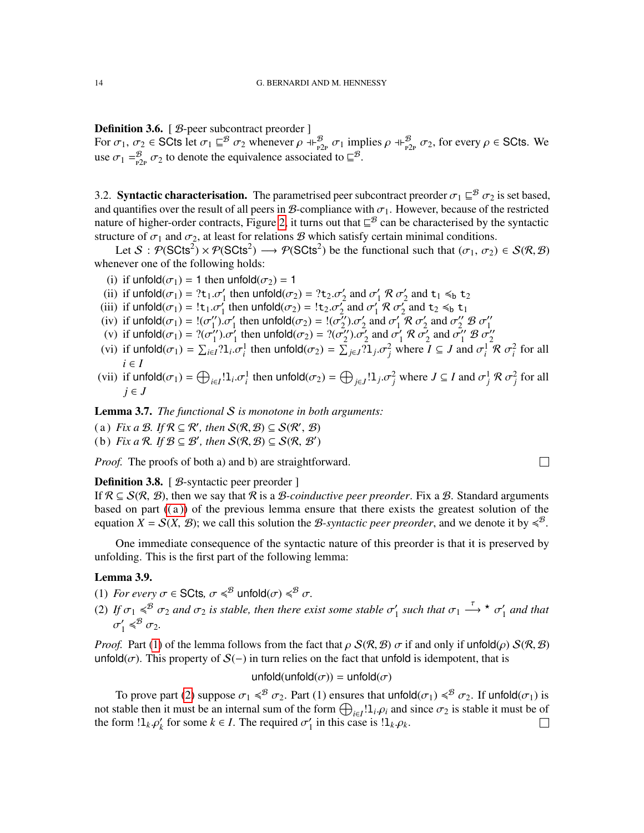<span id="page-13-8"></span>Definition 3.6. [ B-peer subcontract preorder ] For  $\sigma_1$ ,  $\sigma_2 \in \text{SCts}$  let  $\sigma_1 \sqsubseteq^{\mathcal{B}} \sigma_2$  whenever  $\rho \dashv_{P2_P}^{\mathcal{B}} \sigma_1$  implies  $\rho \dashv_{P2_P}^{\mathcal{B}} \sigma_2$ , for every  $\rho \in \text{SCts}$ . We use  $\sigma_1 = \frac{B}{P_1 P} \sigma_2$  to denote the equivalence associated to  $\mathcal{L}^B$ .

<span id="page-13-0"></span>3.2. **Syntactic characterisation.** The parametrised peer subcontract preorder  $\sigma_1 \sqsubseteq^B \sigma_2$  is set based, and quantifies over the result of all peers in B-compliance with  $\sigma_1$ . However, because of the restricted nature of higher-order contracts, Figure [2,](#page-9-1) it turns out that  $\subseteq^{\mathcal{B}}$  can be characterised by the syntactic structure of  $\sigma_1$  and  $\sigma_2$ , at least for relations B which satisfy certain minimal conditions.

Let  $S: \mathcal{P}(\text{SCts}^2) \times \mathcal{P}(\text{SCts}^2) \longrightarrow \mathcal{P}(\text{SCts}^2)$  be the functional such that  $(\sigma_1, \sigma_2) \in \mathcal{S}(\mathcal{R}, \mathcal{B})$ whenever one of the following holds:

- <span id="page-13-7"></span>(i) if unfold $(\sigma_1) = 1$  then unfold $(\sigma_2) = 1$
- (ii) if  $\text{unfold}(\sigma_1) = ?t_1 \cdot \sigma'_1$  then  $\text{unfold}(\sigma_2) = ?t_2 \cdot \sigma'_2$  and  $\sigma'_1 \mathcal{R} \sigma'_2$  and  $t_1 \leq b t_2$
- (ii) if unfold( $\sigma_1$ ) =  $!t_1 \sigma'_1$  then unfold( $\sigma_2$ ) =  $!t_2 \sigma'_2$  and  $\sigma'_1 \mathcal{R} \sigma'_2$ <br>(iii) if unfold( $\sigma_1$ ) =  $!t_1 \sigma'_1$  then unfold( $\sigma_2$ ) =  $!t_2 \sigma'_2$  and  $\sigma'_1 \mathcal{R} \sigma'_2$  $\int_1^{\cdot} \mathcal{R} \sigma_2^{\prime}$  $\frac{1}{2}$  and  $t_2 \leq b$   $t_1$
- <span id="page-13-4"></span>(iv) if  $\text{unfold}(\sigma_1) = \frac{1}{\sigma'_1}$ " $\int_1^{\prime\prime}$ ",  $\sigma'_1$  then unfold $(\sigma_2) = \frac{1}{2}(\sigma''_2)$  $\sigma'_2$  and  $\sigma'_1$  $\int_1^{\tau} \mathcal{R} \sigma_2^{\prime}$  $\sigma_2'$  and  $\sigma_2''$   $\mathcal{B}$   $\sigma_1''$
- (v) if unfold $(\sigma_1) = ?(\sigma_1'') \cdot \sigma_1'$  then unfold $(\sigma_2) = ?(\sigma_2'') \cdot \sigma_2'$  and  $\sigma_1' \otimes \sigma_2'$  and  $\sigma_1'' \otimes \sigma_2''$ <br>(v) if unfold $(\sigma_1) = ?(\sigma_1'') \cdot \sigma_1'$  then unfold $(\sigma_2) = ?(\sigma_2'') \cdot \sigma_2'$  and  $\sigma_1' \otimes \sigma_2''$  $t_1''$ ). $\sigma_1'$  then unfold( $\sigma_2$ ) = ?( $\sigma_2''$ )  $\sigma'_2$  and  $\sigma'_1$  $\frac{1}{1}R\,\sigma_2^2$  $\sigma_2'$  and  $\sigma_1''$  B  $\sigma_2''$
- (vi) if  $\text{unfold}(\sigma_1) = \sum_{i \in I} ?1_i \sigma_i^1$  then  $\text{unfold}(\sigma_2) = \sum_{j \in J} ?1_j \sigma_j^2$  where  $I \subseteq J$  and  $\sigma_i^1 \mathcal{R} \sigma_i^2$  for all *i* ∈ *I*
- (vii) if  $\text{unfold}(\sigma_1) = \bigoplus_{i \in I} 1_i \cdot \sigma_i^1$  then  $\text{unfold}(\sigma_2) = \bigoplus_{j \in J} 1_j \cdot \sigma_j^2$  where  $J \subseteq I$  and  $\sigma_j^1 \mathcal{R} \sigma_j^2$  for all *j* ∈ *J*

<span id="page-13-10"></span>Lemma 3.7. *The functional* S *is monotone in both arguments:*

- <span id="page-13-1"></span>(a) *Fix a B.* If  $\mathcal{R} \subseteq \mathcal{R}'$ , then  $\mathcal{S}(\mathcal{R}, \mathcal{B}) \subseteq \mathcal{S}(\mathcal{R}', \mathcal{B})$
- <span id="page-13-9"></span>(b) *Fix a*  $\mathcal{R}$ *. If*  $\mathcal{B} \subseteq \mathcal{B}'$ *, then*  $\mathcal{S}(\mathcal{R}, \mathcal{B}) \subseteq \mathcal{S}(\mathcal{R}, \mathcal{B}')$

*Proof.* The proofs of both a) and b) are straightforward.

#### <span id="page-13-5"></span>**Definition 3.8.** [ *B*-syntactic peer preorder ]

If  $\mathcal{R} \subseteq \mathcal{S}(\mathcal{R}, \mathcal{B})$ , then we say that  $\mathcal{R}$  is a *B-coinductive peer preorder*. Fix a *B*. Standard arguments based on part  $((a))$  of the previous lemma ensure that there exists the greatest solution of the equation  $\overline{X} = \mathcal{S}(X, \mathcal{B})$ ; we call this solution the *B*-syntactic peer preorder, and we denote it by  $\leq \mathcal{B}$ .

One immediate consequence of the syntactic nature of this preorder is that it is preserved by unfolding. This is the first part of the following lemma:

## <span id="page-13-6"></span>Lemma 3.9.

- <span id="page-13-2"></span>(1) *For every*  $\sigma \in \text{SCts}$ ,  $\sigma \leqslant^{\mathcal{B}}$  unfold $(\sigma) \leqslant^{\mathcal{B}} \sigma$ .
- <span id="page-13-3"></span>(2) If  $\sigma_1 \leqslant^B \sigma_2$  and  $\sigma_2$  is stable, then there exist some stable  $\sigma'_1$  $\frac{1}{1}$  such that  $\sigma_1 \stackrel{\tau}{\longrightarrow} \star \sigma_1'$  $\int_1'$  and that  $\sigma'_1$  $\frac{1}{1} \leqslant^{\mathcal{B}} \sigma_2.$

*Proof.* Part [\(1\)](#page-13-2) of the lemma follows from the fact that  $\rho S(R, B) \sigma$  if and only if unfold( $\rho S(R, B)$ ) unfold( $\sigma$ ). This property of  $S(-)$  in turn relies on the fact that unfold is idempotent, that is

unfold(unfold $(\sigma)$ ) = unfold $(\sigma)$ 

To prove part [\(2\)](#page-13-3) suppose  $\sigma_1 \leqslant^B \sigma_2$ . Part (1) ensures that unfold $(\sigma_1) \leqslant^B \sigma_2$ . If unfold $(\sigma_1)$  is not stable then it must be an internal sum of the form  $\bigoplus_{i\in I}!1_i\rho_i$  and since  $\sigma_2$  is stable it must be of the form  $!1_k \cdot \rho'_k$  for some  $k \in I$ . The required  $\sigma'_1$  $\frac{1}{1}$  in this case is  $!1_k \rho_k$ .  $\Box$ 

 $\Box$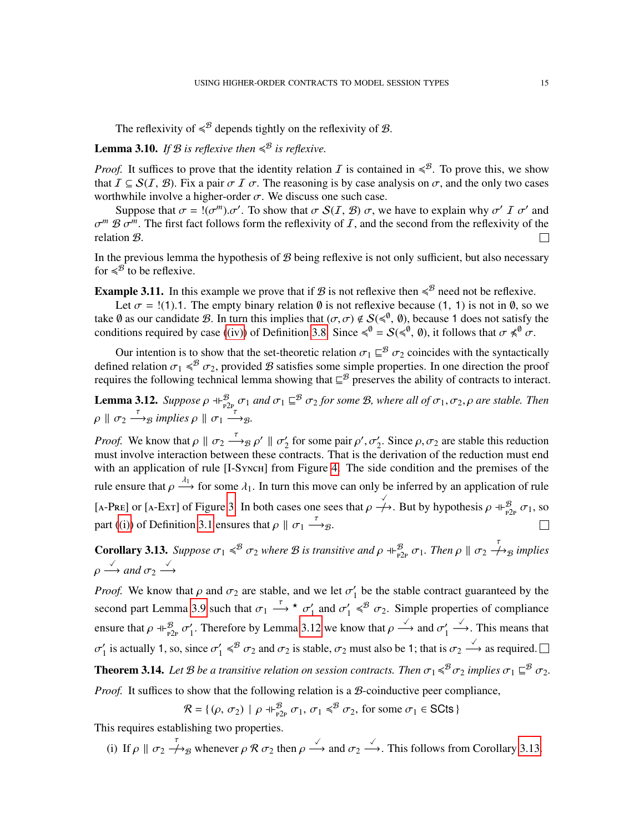The reflexivity of  $\leq$ <sup>B</sup> depends tightly on the reflexivity of B.

## **Lemma 3.10.** If  $B$  is reflexive then  $\leqslant^B$  is reflexive.

*Proof.* It suffices to prove that the identity relation  $I$  is contained in  $\leq^B$ . To prove this, we show that  $\mathcal{I} \subseteq \mathcal{S}(\mathcal{I}, \mathcal{B})$ . Fix a pair  $\sigma \mathcal{I} \sigma$ . The reasoning is by case analysis on  $\sigma$ , and the only two cases worthwhile involve a higher-order  $\sigma$ . We discuss one such case.

Suppose that  $\sigma = \alpha(\sigma^m) \cdot \sigma'$ . To show that  $\sigma S(I, \mathcal{B})$   $\sigma$ , we have to explain why  $\sigma' I \sigma'$  and  $\sigma^m \mathcal{B} \sigma^m$ . The first fact follows form the reflexivity of  $\mathcal{I}$ , and the second from the reflexivity of the relation B.  $\mathbf{L}$ 

In the previous lemma the hypothesis of  $\mathcal{B}$  being reflexive is not only sufficient, but also necessary for  $\leqslant^{\mathcal{B}}$  to be reflexive.

<span id="page-14-3"></span>**Example 3.11.** In this example we prove that if  $\mathcal{B}$  is not reflexive then  $\leq \mathcal{B}$  need not be reflexive.

Let  $\sigma =$  !(1).1. The empty binary relation  $\emptyset$  is not reflexive because (1, 1) is not in  $\emptyset$ , so we take  $\emptyset$  as our candidate  $\emptyset$ . In turn this implies that  $(\sigma, \sigma) \notin S(\leq \emptyset, \emptyset)$ , because 1 does not satisfy the conditions required by case [\(\(iv\)\)](#page-13-4) of Definition [3.8.](#page-13-5) Since  $\leq 0 \leq \leq 0$ , (0), it follows that  $\sigma \leq 0$ .

Our intention is to show that the set-theoretic relation  $\sigma_1 \subseteq^{\mathcal{B}} \sigma_2$  coincides with the syntactically defined relation  $\sigma_1 \leq \sigma_2$ , provided  $\mathcal B$  satisfies some simple properties. In one direction the proof requires the following technical lemma showing that  $\mathbb{E}^{\mathcal{B}}$  preserves the ability of contracts to interact.

<span id="page-14-0"></span>**Lemma 3.12.** Suppose  $\rho \dashv_{P2P}^{\mathcal{B}} \sigma_1$  and  $\sigma_1 \sqsubseteq^{\mathcal{B}} \sigma_2$  for some B, where all of  $\sigma_1, \sigma_2, \rho$  are stable. Then  $\rho \parallel \sigma_2 \stackrel{\tau}{\longrightarrow} g \implies \rho \parallel \sigma_1 \stackrel{\tau}{\longrightarrow} g.$ 

*Proof.* We know that  $\rho \parallel \sigma_2 \stackrel{\tau}{\longrightarrow}_B \rho' \parallel \sigma'_2$ '<sub>2</sub> for some pair  $\rho'$ ,  $\sigma'_2$ . Since  $\rho$ ,  $\sigma_2$  are stable this reduction must involve interaction between these contracts. That is the derivation of the reduction must end with an application of rule [I-Synch] from Figure [4.](#page-11-0) The side condition and the premises of the rule ensure that  $\rho \stackrel{\lambda_1}{\longrightarrow}$  for some  $\lambda_1$ . In turn this move can only be inferred by an application of rule [A-PRE] or [A-Ext] of Figure [3.](#page-10-0) In both cases one sees that  $\rho \nightharpoonup A$ . But by hypothesis  $\rho \nightharpoonup_{P^2P}^B \sigma_1$ , so part [\(\(i\)\)](#page-11-1) of Definition [3.1](#page-10-1) ensures that  $\rho \parallel \sigma_1 \stackrel{\tau}{\longrightarrow} g$ .

<span id="page-14-1"></span>**Corollary 3.13.** Suppose  $\sigma_1 \leq \sigma_2$  where B is transitive and  $\rho \oplus_{p_2p}^{\mathcal{B}} \sigma_1$ . Then  $\rho \parallel \sigma_2 \nightharpoonup_{\mathcal{B}}^{\tau}$  implies  $\rho \stackrel{\checkmark}{\longrightarrow}$  and  $\sigma_2 \stackrel{\checkmark}{\longrightarrow}$ 

*Proof.* We know that  $\rho$  and  $\sigma_2$  are stable, and we let  $\sigma_1$  $\frac{1}{1}$  be the stable contract guaranteed by the second part Lemma [3.9](#page-13-6) such that  $\sigma_1 \stackrel{\tau}{\longrightarrow} \star \sigma_1$  $\frac{1}{1}$  and  $\sigma_1'$  $\gamma_1' \leqslant^B \sigma_2$ . Simple properties of compliance ensure that  $\rho \dashv_{\mathbb{P}2\mathbb{P}}^{\mathcal{B}} \sigma_1'$ <sup>1</sup>/<sub>1</sub>. Therefore by Lemma [3.12](#page-14-0) we know that  $\rho \xrightarrow{\checkmark}$  and  $\sigma_1$ <sup>1</sup> 1  $\stackrel{\checkmark}{\longrightarrow}$ . This means that  $\sigma_1'$  $\gamma_1'$  is actually 1, so, since  $\sigma_1'$  $\gamma_1' \leqslant^B \sigma_2$  and  $\sigma_2$  is stable,  $\sigma_2$  must also be 1; that is  $\sigma_2 \xrightarrow{\checkmark}$  as required. **Theorem 3.14.** Let B be a transitive relation on session contracts. Then  $\sigma_1 \leqslant^B \sigma_2$  implies  $\sigma_1 \sqsubseteq^B \sigma_2$ . *Proof.* It suffices to show that the following relation is a *B*-coinductive peer compliance,

 $\mathcal{R} = \{(\rho, \sigma_2) \mid \rho + \beta_{P2P}^B \sigma_1, \sigma_1 \leq \beta \sigma_2, \text{ for some } \sigma_1 \in \text{SCts }\}$ 

<span id="page-14-2"></span>This requires establishing two properties.

(i) If  $\rho \parallel \sigma_2 \stackrel{\tau}{\longrightarrow}_B$  whenever  $\rho \mathcal{R} \sigma_2$  then  $\rho \stackrel{\checkmark}{\longrightarrow}$  and  $\sigma_2 \stackrel{\checkmark}{\longrightarrow}$ . This follows from Corollary [3.13.](#page-14-1)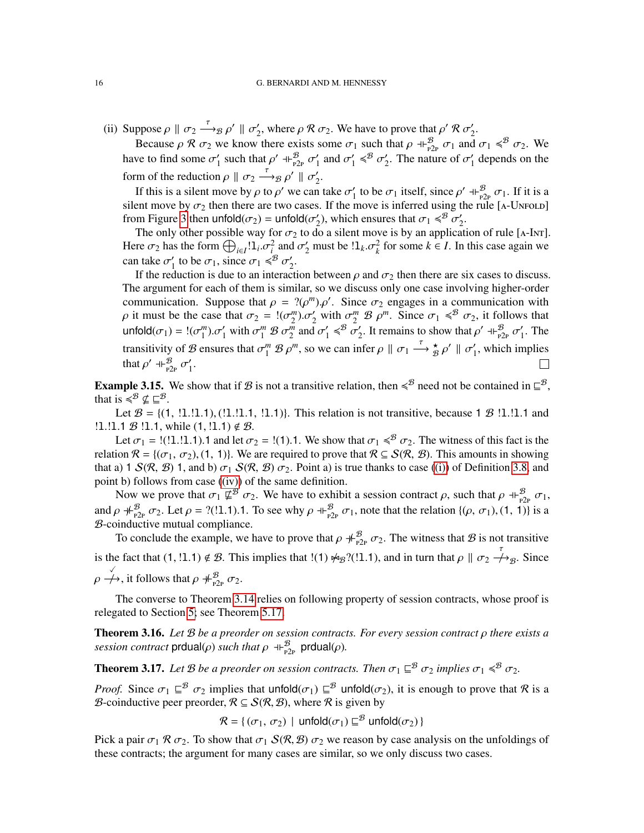(ii) Suppose  $\rho \parallel \sigma_2 \stackrel{\tau}{\longrightarrow}_{\mathcal{B}} \rho' \parallel \sigma'_2$ <sup>2</sup><sub>2</sub>, where *ρ R*  $\sigma$ <sub>2</sub>. We have to prove that *ρ' R*  $\sigma$ <sup>2</sup><sub>2</sub>  $\frac{1}{2}$ .

Because  $\rho \mathcal{R} \sigma_2$  we know there exists some  $\sigma_1$  such that  $\rho \dashv_{P2P}^{\mathcal{B}} \sigma_1$  and  $\sigma_1 \leq \mathcal{B} \sigma_2$ . We have to find some  $\sigma_1'$ <sup>2</sup><sub>1</sub> such that  $\rho'$  +  $\uparrow_{P2P}^{\mathcal{B}}$   $\sigma'_{1}$  $\frac{1}{1}$  and  $\sigma_1'$  $y'_1 \leqslant^{\mathcal{B}} \sigma'_2$  $\frac{1}{2}$ . The nature of  $\sigma_1'$  $\frac{1}{1}$  depends on the form of the reduction  $\rho \parallel \sigma_2 \stackrel{\tau}{\longrightarrow} B \rho' \parallel \sigma'_2$  $\frac{1}{2}$ .

If this is a silent move by  $\rho$  to  $\rho'$  we can take  $\sigma'$ '<sub>1</sub> to be  $\sigma_1$  itself, since  $\rho' \dashv F_{P2P}^{\mathcal{B}} \sigma_1$ . If it is a silent move by  $\sigma_2$  then there are two cases. If the move is inferred using the rule [A-UNFOLD] from Figure [3](#page-10-0) then unfold $(\sigma_2)$  = unfold $(\sigma_2')$  $\mathcal{L}_2$ ), which ensures that  $\sigma_1 \leq \mathcal{B} \sigma_2'$  $\frac{1}{2}$ .

The only other possible way for  $\sigma_2$  to do a silent move is by an application of rule [A-INT]. Here  $\sigma_2$  has the form  $\bigoplus_{i \in I} 1_i \sigma_i^2$  and  $\sigma_2'$  must be  $1_k \sigma_k^2$  for some  $k \in I$ . In this case again we can take  $\sigma_1'$ <sup>1</sup><sub>1</sub> to be  $\sigma_1$ , since  $\sigma_1 \leqslant^B \sigma'_2$  $\frac{1}{2}$ .

If the reduction is due to an interaction between  $\rho$  and  $\sigma_2$  then there are six cases to discuss. The argument for each of them is similar, so we discuss only one case involving higher-order communication. Suppose that  $\rho = ?(\rho^m) \cdot \rho'$ . Since  $\sigma_2$  engages in a communication with  $\rho$  it must be the case that  $\sigma_2 = 1(\sigma_2^m) \sigma_2'$  with  $\sigma_2^m \mathcal{B} \rho^m$ . Since  $\sigma_1 \leq \mathcal{B} \sigma_2$ , it follows that unfold $(\sigma_1) = !(\sigma_1^m) \cdot \sigma_1'$  with  $\sigma_1^m \mathcal{B} \sigma_2^m$  and  $\sigma_1'$  $y'_1 \leqslant^{\mathcal{B}} \sigma'_2$ 2. It remains to show that  $\rho' \dashv \vdash_{P2P}^{\mathcal{B}} \sigma_1'$  $\frac{7}{1}$ . The transitivity of B ensures that  $\sigma_1^m \mathcal{B} \rho^m$ , so we can infer  $\rho \parallel \sigma_1 \stackrel{\tau}{\longrightarrow} \frac{\star}{\mathcal{B}} \rho' \parallel \sigma_1'$  $\gamma$ <sub>1</sub>, which implies that  $\rho'$  +  $\vdash_{P2P}^{\mathcal{B}} \sigma'_1$  $\frac{1}{1}$ .  $\Box$ 

**Example 3.15.** We show that if B is not a transitive relation, then  $\leq$ <sup>B</sup> need not be contained in  $\sqsubseteq$ <sup>B</sup>, that is  $\leqslant^{\mathcal{B}} \nsubseteq \subseteq^{\mathcal{B}}$ .

Let  $B = \{(1, 1, 1, 1), (1, 1, 1, 1, 1)\}\$ . This relation is not transitive, because 1 B !1.1.1 and  $!1.11.1 \mathcal{B} !1.1$ , while  $(1, 1.11) \notin \mathcal{B}$ .

Let  $\sigma_1$  = !(!1.!1.1).1 and let  $\sigma_2$  = !(1).1. We show that  $\sigma_1 \leq \sigma_2$ . The witness of this fact is the relation  $\mathcal{R} = \{(\sigma_1, \sigma_2), (1, 1)\}\)$ . We are required to prove that  $\mathcal{R} \subseteq \mathcal{S}(\mathcal{R}, \mathcal{B})$ . This amounts in showing that a) 1  $S(R, B)$  1, and b)  $\sigma_1 S(R, B) \sigma_2$ . Point a) is true thanks to case [\(\(i\)\)](#page-13-7) of Definition [3.8,](#page-13-5) and point b) follows from case [\(\(iv\)\)](#page-13-4) of the same definition.

Now we prove that  $\sigma_1 \not\sqsubseteq^{\mathcal{B}} \sigma_2$ . We have to exhibit a session contract  $\rho$ , such that  $\rho \dashv_{P2p}^{\mathcal{B}} \sigma_1$ , and  $\rho \#_{p2p}^{\mathcal{B}} \sigma_2$ . Let  $\rho = ?(1.1)$ .1. To see why  $\rho \#_{p2p}^{\mathcal{B}} \sigma_1$ , note that the relation  $\{(\rho, \sigma_1), (1, 1)\}$  is a B-coinductive mutual compliance.

To conclude the example, we have to prove that  $\rho \#_{P2p}^B \sigma_2$ . The witness that  $\mathcal B$  is not transitive is the fact that  $(1, 1, 1) \notin \mathcal{B}$ . This implies that  $!(1) \not\approx_{\mathcal{B}} ? (1, 1)$ , and in turn that  $\rho \parallel \sigma_2 \not\rightarrow_{\mathcal{B}} S$ . Since  $\rho \stackrel{\checkmark}{\rightarrow}$ , it follows that  $\rho \not\downarrow_{P2P}^{\mathcal{B}} \sigma_2$ .

The converse to Theorem [3.14](#page-14-2) relies on following property of session contracts, whose proof is relegated to Section [5;](#page-21-0) see Theorem [5.17.](#page-28-1)

<span id="page-15-0"></span>Theorem 3.16. *Let* B *be a preorder on session contracts. For every session contract* ρ *there exists a session contract*  $\text{prdual}(\rho)$  *such that*  $\rho \dashv \biguplus_{p2p}^{\mathcal{B}} \text{prdual}(\rho)$ *.* 

<span id="page-15-1"></span>**Theorem 3.17.** Let B be a preorder on session contracts. Then  $\sigma_1 \subseteq^B \sigma_2$  implies  $\sigma_1 \leq^B \sigma_2$ .

*Proof.* Since  $\sigma_1 \subseteq^B \sigma_2$  implies that unfold( $\sigma_1$ )  $\subseteq^B$  unfold( $\sigma_2$ ), it is enough to prove that R is a B-coinductive peer preorder,  $\mathcal{R} \subseteq \mathcal{S}(\mathcal{R}, \mathcal{B})$ , where  $\mathcal{R}$  is given by

 $\mathcal{R} = \{(\sigma_1, \sigma_2) \mid \text{unfold}(\sigma_1) \sqsubseteq^{\mathcal{B}} \text{unfold}(\sigma_2)\}$ 

Pick a pair  $\sigma_1 \mathcal{R} \sigma_2$ . To show that  $\sigma_1 S(\mathcal{R}, \mathcal{B}) \sigma_2$  we reason by case analysis on the unfoldings of these contracts; the argument for many cases are similar, so we only discuss two cases.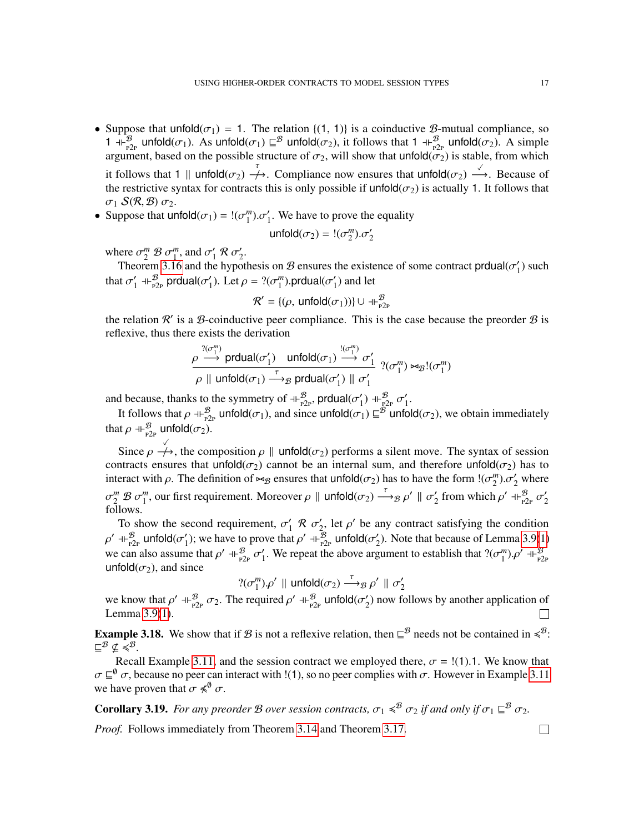- Suppose that unfold( $\sigma_1$ ) = 1. The relation {(1, 1)} is a coinductive *B*-mutual compliance, so 1  $+\frac{B}{p2p}$  unfold $(\sigma_1)$ . As unfold $(\sigma_1) \sqsubseteq^B$  unfold $(\sigma_2)$ , it follows that 1  $+\frac{B}{p2p}$  unfold $(\sigma_2)$ . A simple argument, based on the possible structure of  $\sigma_2$ , will show that unfold( $\sigma_2$ ) is stable, from which it follows that 1 || unfold( $\sigma_2$ )  $\stackrel{\tau}{\rightarrow}$ . Compliance now ensures that unfold( $\sigma_2$ )  $\stackrel{\checkmark}{\rightarrow}$ . Because of the restrictive syntax for contracts this is only possible if unfold( $\sigma$ <sub>2</sub>) is actually 1. It follows that  $\sigma_1$  S(R, B)  $\sigma_2$ .
- Suppose that  $\text{unfold}(\sigma_1) = \frac{1}{\sigma_1^m} \sigma_1'$ . We have to prove the equality

$$
\mathsf{unfold}(\sigma_2) = !(\sigma_2^m) . \sigma_2'
$$

where  $\sigma_2^m \mathcal{B} \sigma_1^m$ , and  $\sigma_1^{\prime}$  $\frac{1}{1}R\sigma_2'$  $\frac{1}{2}$ .

Theorem [3.16](#page-15-0) and the hypothesis on B ensures the existence of some contract produal( $\sigma_1$ )  $'_{1}$ ) such that  $\sigma_1'$  $_{1}^{\prime}$  -I $_{\rm P2P}^{\not B}$  prdual( $\sigma_{1}^{\prime}$ <sup>1</sup><sub>1</sub>). Let  $\rho = ?(\sigma_1^m)$ .prdual( $\sigma_1^{\prime}$  $_1'$ ) and let

$$
\mathcal{R}' = \{(\rho, \text{unfold}(\sigma_1))\} \cup \exists \vdash_{P2P}^{\mathcal{B}}
$$

the relation  $\mathcal{R}'$  is a  $\mathcal{B}$ -coinductive peer compliance. This is the case because the preorder  $\mathcal{B}$  is reflexive, thus there exists the derivation

$$
\rho \xrightarrow[]{?(\sigma_1^m)} \text{prdual}(\sigma_1') \quad \text{unfold}(\sigma_1) \xrightarrow[]{?(\sigma_1^m)} \sigma_1' \quad ?(\sigma_1^m) \bowtie_{\mathcal{B}} !(\sigma_1^m)
$$
\n
$$
\rho \parallel \text{unfold}(\sigma_1) \xrightarrow[]{\tau} \text{g} \text{ prdual}(\sigma_1') \parallel \sigma_1'
$$

and because, thanks to the symmetry of  $+\frac{B}{p2p}$ , prdual( $\sigma'_1$  $\sigma'_1$ )  $+_{P2P}^{\mathcal{B}} \sigma'_1$  $\frac{1}{1}$ .

It follows that  $\rho \dashv_{P2P}^{\mathcal{B}}$  unfold $(\sigma_1)$ , and since unfold $(\sigma_1) \sqsubseteq^{\mathcal{B}}$  unfold $(\sigma_2)$ , we obtain immediately that  $\rho \dashv_{\mathbb{P}2\text{P}}^{\mathcal{B}}$  unfold $(\sigma_2)$ .

Since  $\rho \stackrel{\checkmark}{\longrightarrow}$ , the composition  $\rho \parallel$  unfold( $\sigma_2$ ) performs a silent move. The syntax of session contracts ensures that unfold( $\sigma_2$ ) cannot be an internal sum, and therefore unfold( $\sigma_2$ ) has to interact with  $\rho$ . The definition of  $\bowtie_B$  ensures that unfold( $\sigma_2$ ) has to have the form  $!(\sigma_2^m).\sigma_2'$  where  $\sigma_2^m \mathcal{B} \sigma_1^m$ , our first requirement. Moreover  $\rho \parallel \text{unfold}(\sigma_2) \stackrel{\tau}{\longrightarrow}$ <sub>B</sub>  $\rho' \parallel \sigma_2'$ <sup>2</sup> from which  $\rho'$  +  $\vdash_{P2P}^{\mathcal{B}} \sigma_2'$ 2 follows.

To show the second requirement,  $\sigma_1$  $\frac{1}{1}$  R  $\sigma_2'$  $\gamma$ , let  $\rho'$  be any contract satisfying the condition  $\rho'$  ⊣⊦ $_{\rm P2P}^{\cal B}$  unfold( $\sigma'_{\rm 1}$ '<sub>1</sub>); we have to prove that  $ρ'$  +  $\frac{B}{P_{P2P}}$  unfold( $σ'_{2}$  $2$ ). Note that because of Lemma [3.9](#page-13-6)[\(1\)](#page-13-2) we can also assume that  $\rho'$  +  $\beta_{\text{p2p}}^B$   $\sigma'_1$ <sup>1</sup>. We repeat the above argument to establish that  $?(\sigma_1^m) \cdot \rho' \dashv_{P2p}^B$ unfold $(\sigma_2)$ , and since

$$
?(\sigma_1^m)\rho'\parallel\mathsf{unfold}(\sigma_2)\stackrel{\tau}{\longrightarrow}_\mathcal{B}\rho'\parallel\sigma_2'
$$

we know that  $\rho' \dashv_{P2P}^{\mathcal{B}} \sigma_2$ . The required  $\rho' \dashv_{P2P}^{\mathcal{B}}$  unfold( $\sigma'_2$  $\binom{1}{2}$  now follows by another application of Lemma [3.9\(](#page-13-6)[1\)](#page-13-2).  $\Box$ 

**Example 3.18.** We show that if B is not a reflexive relation, then  $\subseteq^{\mathcal{B}}$  needs not be contained in  $\leq^{\mathcal{B}}$ .  $\sqsubseteq^{\mathcal{B}} \nsubseteq \overline{\preccurlyeq^{\mathcal{B}}}$ .

Recall Example [3.11,](#page-14-3) and the session contract we employed there,  $\sigma =$  !(1).1. We know that  $\sigma \sqsubseteq^{\emptyset} \sigma$ , because no peer can interact with !(1), so no peer complies with  $\sigma$ . However in Example [3.11](#page-14-3) we have proven that  $\sigma \preccurlyeq^{\emptyset} \sigma$ .

<span id="page-16-0"></span>**Corollary 3.19.** For any preorder B over session contracts,  $\sigma_1 \leq \sigma_2$  if and only if  $\sigma_1 \sqsubseteq^B \sigma_2$ .

*Proof.* Follows immediately from Theorem [3.14](#page-14-2) and Theorem [3.17.](#page-15-1)

 $\Box$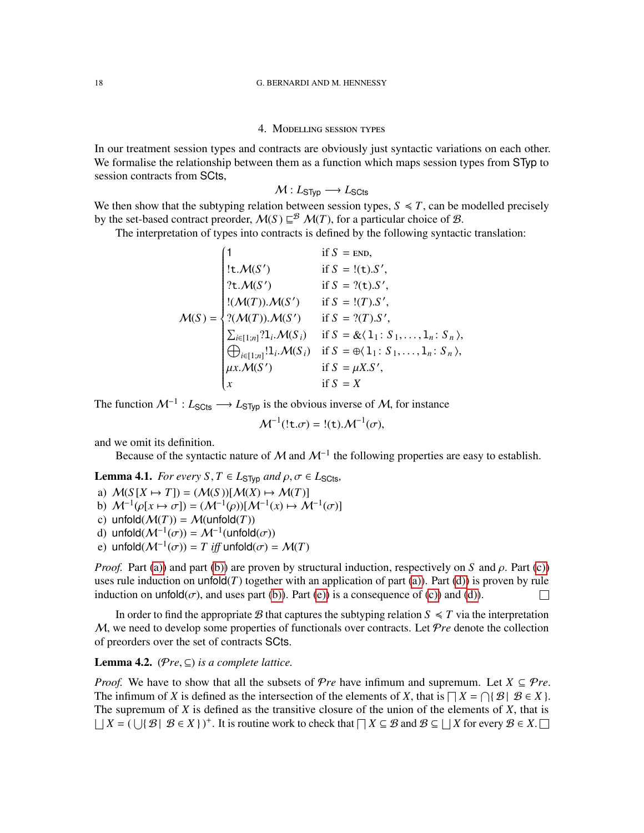## 4. Modelling session types

<span id="page-17-0"></span>In our treatment session types and contracts are obviously just syntactic variations on each other. We formalise the relationship between them as a function which maps session types from STyp to session contracts from SCts,

$$
\mathcal{M}: L_{\text{STyp}} \longrightarrow L_{\text{SCts}}
$$

We then show that the subtyping relation between session types,  $S \leq T$ , can be modelled precisely by the set-based contract preorder,  $M(S) \sqsubseteq^{\mathcal{B}} M(T)$ , for a particular choice of  $\mathcal{B}$ .

The interpretation of types into contracts is defined by the following syntactic translation:

$$
M(S) = \begin{cases} 1 & \text{if } S = \text{END}, \\ \{t.\mathcal{M}(S') & \text{if } S = !(t).S', \\ ?t.\mathcal{M}(S') & \text{if } S = ?(t).S', \\ !(\mathcal{M}(T)).\mathcal{M}(S') & \text{if } S = !(T).S', \\ ?(\mathcal{M}(T)).\mathcal{M}(S') & \text{if } S = ?(T).S', \\ \sum_{i \in [1,n]} ?1_i.\mathcal{M}(S_i) & \text{if } S = \& \{1: S_1, \ldots, 1_n: S_n\}, \\ \bigoplus_{i \in [1,n]} !1_i.\mathcal{M}(S_i) & \text{if } S = \bigoplus \{1: S_1, \ldots, 1_n: S_n\}, \\ \mu x.\mathcal{M}(S') & \text{if } S = \mu X.S', \\ x & \text{if } S = X \end{cases}
$$

The function  $\mathcal{M}^{-1}: L_{\text{S}Cts} \longrightarrow L_{\text{S}Typ}$  is the obvious inverse of  $\mathcal{M}$ , for instance

$$
\mathcal{M}^{-1}(!\mathsf{t}.\sigma) = !(\mathsf{t}).\mathcal{M}^{-1}(\sigma),
$$

and we omit its definition.

Because of the syntactic nature of M and  $\mathcal{M}^{-1}$  the following properties are easy to establish.

<span id="page-17-6"></span>**Lemma 4.1.** *For every*  $S, T \in L_{\text{STyp}}$  *and*  $\rho, \sigma \in L_{\text{SCts}}$ *,* 

<span id="page-17-1"></span>a) 
$$
\mathcal{M}(S[X \mapsto T]) = (\mathcal{M}(S))[ \mathcal{M}(X) \mapsto \mathcal{M}(T)]
$$

- <span id="page-17-2"></span>b)  $\mathcal{M}^{-1}(\rho[x \mapsto \sigma]) = (\mathcal{M}^{-1}(\rho))[ \mathcal{M}^{-1}(x) \mapsto \mathcal{M}^{-1}(\sigma)]$
- <span id="page-17-3"></span>c) unfold $(\mathcal{M}(T)) = \mathcal{M}(\text{unfold}(T))$
- <span id="page-17-4"></span>d) unfold $(\mathcal{M}^{-1}(\sigma)) = \mathcal{M}^{-1}(\text{unfold}(\sigma))$
- <span id="page-17-5"></span>e) unfold $(\mathcal{M}^{-1}(\sigma)) = T$  *iff* unfold $(\sigma) = \mathcal{M}(T)$

*Proof.* Part [\(a\)\)](#page-17-1) and part [\(b\)\)](#page-17-2) are proven by structural induction, respectively on *S* and  $\rho$ . Part [\(c\)\)](#page-17-3) uses rule induction on unfold $(T)$  together with an application of part  $(a)$ ). Part  $(d)$ ) is proven by rule induction on unfold( $\sigma$ ), and uses part [\(b\)\)](#page-17-2). Part [\(e\)\)](#page-17-5) is a consequence of [\(c\)\)](#page-17-3) and [\(d\)\)](#page-17-4). П

In order to find the appropriate B that captures the subtyping relation  $S \preccurlyeq T$  via the interpretation M, we need to develop some properties of functionals over contracts. Let P*re* denote the collection of preorders over the set of contracts SCts.

**Lemma 4.2.** ( $\mathcal{P}re \subseteq$ ) *is a complete lattice.* 

*Proof.* We have to show that all the subsets of  $Pre$  have infimum and supremum. Let  $X \subseteq Pre$ . The infimum of *X* is defined as the intersection of the elements of *X*, that is  $\bigcap X = \bigcap \{ \mathcal{B} \mid \mathcal{B} \in X \}$ . The supremum of *X* is defined as the transitive closure of the union of the elements of *X*, that is  $\Box X = (\bigcup \{ \mathcal{B} \mid \mathcal{B} \in X \})^+$ . It is routine work to check that  $\Box X \subseteq \mathcal{B}$  and  $\mathcal{B} \subseteq \Box X$  for every  $\mathcal{B} \in X$ .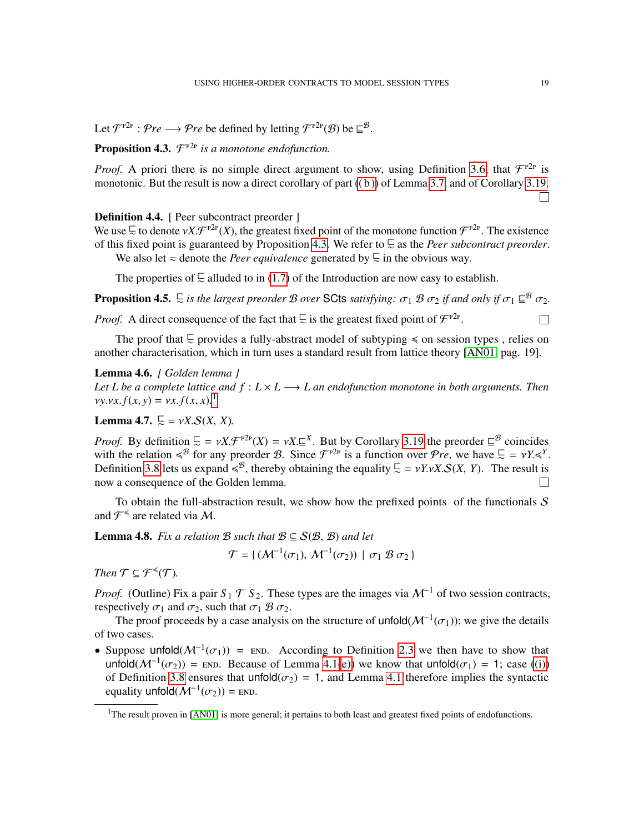Let  $\mathcal{F}^{\text{P2P}}$  :  $\mathcal{P}re \longrightarrow \mathcal{P}re$  be defined by letting  $\mathcal{F}^{\text{P2P}}(\mathcal{B})$  be  $\sqsubseteq^{\mathcal{B}}$ .

# <span id="page-18-0"></span>**Proposition 4.3.**  $\mathcal{F}^{\text{P2P}}$  is a monotone endofunction.

*Proof.* A priori there is no simple direct argument to show, using Definition [3.6,](#page-13-8) that  $\mathcal{F}^{\text{p2p}}$  is monotonic. But the result is now a direct corollary of part  $((b))$  of Lemma [3.7,](#page-13-10) and of Corollary [3.19.](#page-16-0)

 $\Box$ 

 $\Box$ 

### Definition 4.4. [ Peer subcontract preorder ]

We use  $\subseteq$  to denote  $vX.\mathcal{F}^{\text{P2p}}(X)$ , the greatest fixed point of the monotone function  $\mathcal{F}^{\text{P2p}}$ . The existence of this fixed point is guaranteed by Proposition [4.3.](#page-18-0) We refer to @∼ as the *Peer subcontract preorder*.

We also let  $\approx$  denote the *Peer equivalence* generated by  $\subseteq$  in the obvious way.

The properties of  $\subseteq$  alluded to in [\(1.7\)](#page-5-0) of the Introduction are now easy to establish.

**Proposition 4.5.**  $\subseteq$  *is the largest preorder B over* SCts *satisfying:*  $\sigma_1$  *B*  $\sigma_2$  *if and only if*  $\sigma_1 \sqsubseteq^B \sigma_2$ .

*Proof.* A direct consequence of the fact that  $\overline{\mathcal{L}}$  is the greatest fixed point of  $\mathcal{F}^{\text{P2P}}$ .

The proof that  $\subseteq$  provides a fully-abstract model of subtyping  $\le$  on session types, relies on another characterisation, which in turn uses a standard result from lattice theory [\[AN01,](#page-40-2) pag. 19].

## Lemma 4.6. *[ Golden lemma ]*

*Let L be a complete lattice and*  $f : L \times L \longrightarrow L$  *an endofunction monotone in both arguments. Then*  $vy.vx.f(x, y) = vx.f(x, x).$ <sup>[1](#page-18-1)</sup>

<span id="page-18-2"></span>**Lemma 4.7.**  $\subseteq$  =  $\nu X.S(X, X)$ .

*Proof.* By definition  $\overline{L} = vX \cdot \mathcal{F}^{P2p}(X) = vX \cdot \underline{\mathbb{Z}}^X$ . But by Corollary [3.19](#page-16-0) the preorder  $\overline{\mathbb{Z}}^B$  coincides with the relation  $\leq^{B}$  for any preorder B. Since  $\mathcal{F}^{P2P}$  is a function over  $\mathcal{P}re$ , we have  $\subseteq = \nu Y \leq^{Y}$ . Definition [3.8](#page-13-5) lets us expand  $\leq$ <sup>8</sup>, thereby obtaining the equality  $\subseteq$  = *vY.vX.S(X, Y)*. The result is now a consequence of the Golden lemma.  $\Box$ 

To obtain the full-abstraction result, we show how the prefixed points of the functionals  $S$ and  $\mathcal{F}^{\preccurlyeq}$  are related via M.

<span id="page-18-3"></span>**Lemma 4.8.** *Fix a relation*  $\mathcal{B}$  *such that*  $\mathcal{B} \subseteq \mathcal{S}(\mathcal{B}, \mathcal{B})$  *and let* 

$$
\mathcal{T} = \{ (\mathcal{M}^{-1}(\sigma_1), \, \mathcal{M}^{-1}(\sigma_2)) \mid \sigma_1 \mathcal{B} \, \sigma_2 \}
$$

*Then*  $\mathcal{T} \subseteq \mathcal{F}^{\preccurlyeq}(\mathcal{T})$ *.* 

*Proof.* (Outline) Fix a pair  $S_1 \mathcal{T} S_2$ . These types are the images via  $\mathcal{M}^{-1}$  of two session contracts, respectively  $\sigma_1$  and  $\sigma_2$ , such that  $\sigma_1 \mathcal{B} \sigma_2$ .

The proof proceeds by a case analysis on the structure of unfold $(M^{-1}(\sigma_1))$ ; we give the details of two cases.

• Suppose unfold $(M^{-1}(\sigma_1))$  = END. According to Definition [2.3](#page-7-0) we then have to show that unfold( $M^{-1}(\sigma_2)$ ) = END. Because of Lemma [4.1](#page-17-6)[\(e\)\)](#page-17-5) we know that unfold( $\sigma_1$ ) = 1; case [\(\(i\)\)](#page-13-7) of Definition [3.8](#page-13-5) ensures that  $\text{unfold}(\sigma_2) = 1$ , and Lemma [4.1](#page-17-6) therefore implies the syntactic equality unfold $(\mathcal{M}^{-1}(\sigma_2))$  = END.

<span id="page-18-1"></span><sup>&</sup>lt;sup>1</sup>The result proven in [\[AN01\]](#page-40-2) is more general; it pertains to both least and greatest fixed points of endofunctions.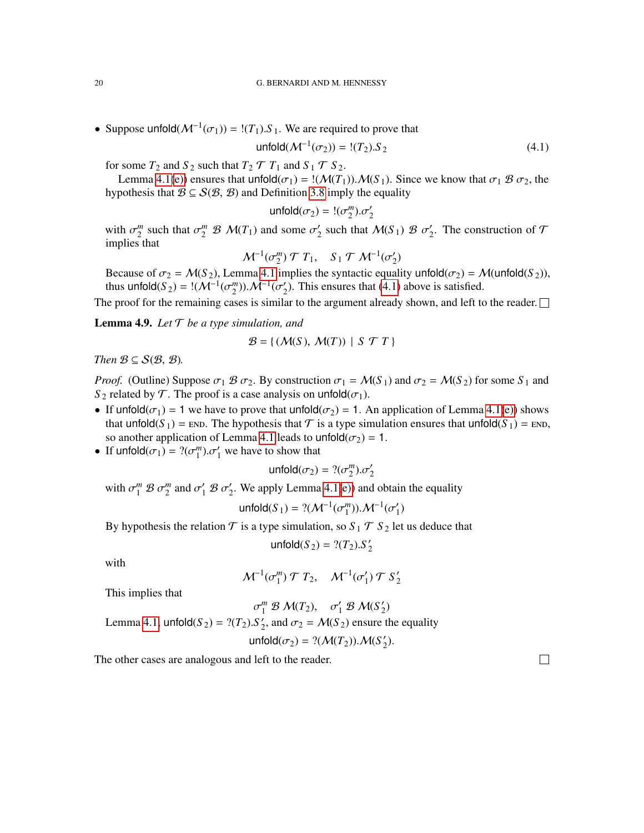• Suppose unfold $(M^{-1}(\sigma_1)) = \frac{!(T_1) . S_1}{s}$ . We are required to prove that

$$
unfold(M^{-1}(\sigma_2)) = !(T_2).S_2
$$
\n(4.1)

for some  $T_2$  and  $S_2$  such that  $T_2 \mathcal{T} T_1$  and  $S_1 \mathcal{T} S_2$ .

Lemma [4.1](#page-17-6)[\(e\)\)](#page-17-5) ensures that unfold $(\sigma_1) =$ ! $(M(T_1))$ .  $M(S_1)$ . Since we know that  $\sigma_1 \mathcal{B} \sigma_2$ , the hypothesis that  $\mathcal{B} \subseteq \mathcal{S}(\mathcal{B}, \mathcal{B})$  and Definition [3.8](#page-13-5) imply the equality

<span id="page-19-0"></span>
$$
\mathsf{unfold}(\sigma_2) = !(\sigma_2^m) . \sigma_2'
$$

with  $\sigma_2^m$  such that  $\sigma_2^m \mathcal{B} \mathcal{M}(T_1)$  and some  $\sigma_2^{\prime}$  $\sigma'_{2}$  such that  $\mathcal{M}(S_1) \mathcal{B} \sigma'_{2}$  $\frac{1}{2}$ . The construction of T implies that

$$
\mathcal{M}^{-1}(\sigma_2^m) \mathcal{T} T_1, \quad S_1 \mathcal{T} \mathcal{M}^{-1}(\sigma_2')
$$

Because of  $\sigma_2 = \mathcal{M}(S_2)$ , Lemma [4.1](#page-17-6) implies the syntactic equality unfold $(\sigma_2) = \mathcal{M}(\text{unfold}(S_2))$ , thus unfold( $S_2$ ) = !( $M^{-1}(\sigma_2^m)$ ). $M^{-1}(\sigma_2^m)$  $\chi$ <sup>2</sup>). This ensures that [\(4.1\)](#page-19-0) above is satisfied.

The proof for the remaining cases is similar to the argument already shown, and left to the reader.  $\Box$ 

<span id="page-19-1"></span>Lemma 4.9. *Let* T *be a type simulation, and*

$$
\mathcal{B} = \{ (\mathcal{M}(S), \mathcal{M}(T)) \mid S \mathcal{T} T \}
$$

*Then*  $B \subseteq S(B, B)$ *.* 

*Proof.* (Outline) Suppose  $\sigma_1 \mathcal{B} \sigma_2$ . By construction  $\sigma_1 = \mathcal{M}(S_1)$  and  $\sigma_2 = \mathcal{M}(S_2)$  for some  $S_1$  and *S*<sub>2</sub> related by  $\mathcal{T}$ . The proof is a case analysis on unfold( $\sigma_1$ ).

- If unfold $(\sigma_1) = 1$  we have to prove that unfold $(\sigma_2) = 1$ . An application of Lemma [4.1](#page-17-6)[\(e\)\)](#page-17-5) shows that unfold( $S_1$ ) = END. The hypothesis that  $\mathcal T$  is a type simulation ensures that unfold( $S_1$ ) = END, so another application of Lemma [4.1](#page-17-6) leads to unfold $(\sigma_2) = 1$ .
- If  $\text{unfold}(\sigma_1) = ?(\sigma_1^m) \cdot \sigma_1'$  we have to show that

$$
\text{unfold}(\sigma_2) = ?(\sigma_2^m) . \sigma_2'
$$

with  $\sigma_1^m \mathcal{B} \sigma_2^m$  and  $\sigma_1' \mathcal{B} \sigma_2'$  $\frac{1}{2}$ . We apply Lemma [4.1\(](#page-17-6)[e\)\)](#page-17-5) and obtain the equality

$$
\text{unfold}(S_1) = ?(\mathcal{M}^{-1}(\sigma_1^m)).\mathcal{M}^{-1}(\sigma_1')
$$

By hypothesis the relation  $\mathcal T$  is a type simulation, so  $S_1 \mathcal T S_2$  let us deduce that

$$
\text{unfold}(S_2) = ?(T_2).S_2'
$$

with

$$
\mathcal{M}^{-1}(\sigma_1^m) \mathcal{T} T_2, \quad \mathcal{M}^{-1}(\sigma_1') \mathcal{T} S_2'
$$

This implies that

$$
\sigma_1^m \mathcal{B} \mathcal{M}(T_2), \quad \sigma_1' \mathcal{B} \mathcal{M}(S_2')
$$
  
Lemma 4.1,  $unfold(S_2) = ?(T_2).S_2'$ , and  $\sigma_2 = \mathcal{M}(S_2)$  ensure the equality  
 $unfold(\sigma_2) = ?(\mathcal{M}(T_2)).\mathcal{M}(S_2').$ 

The other cases are analogous and left to the reader.

 $\Box$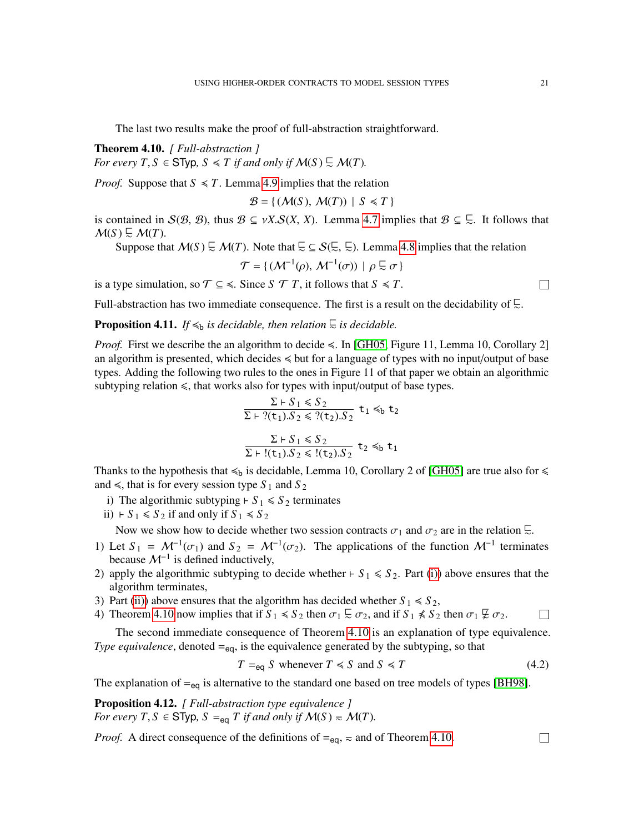The last two results make the proof of full-abstraction straightforward.

<span id="page-20-2"></span>Theorem 4.10. *[ Full-abstraction ] For every T*,  $S \in$  STyp,  $S \leq T$  *if and only if*  $M(S) \subseteq M(T)$ *.* 

*Proof.* Suppose that  $S \leq T$ . Lemma [4.9](#page-19-1) implies that the relation

 $\mathcal{B} = \{ (\mathcal{M}(S), \mathcal{M}(T)) | S \leq T \}$ 

is contained in  $S(\mathcal{B}, \mathcal{B})$ , thus  $\mathcal{B} \subseteq \nu X.S(X, X)$ . Lemma [4.7](#page-18-2) implies that  $\mathcal{B} \subseteq \overline{\Sigma}$ . It follows that  $\mathcal{M}(S) \subsetneq \mathcal{M}(T)$ .

Suppose that  $M(S) \subseteq M(T)$ . Note that  $\subseteq S(\subseteq \subseteq \subseteq)$ . Lemma [4.8](#page-18-3) implies that the relation

$$
\mathcal{T} = \{ (\mathcal{M}^{-1}(\rho), \, \mathcal{M}^{-1}(\sigma)) \mid \rho \subsetneq \sigma \}
$$

is a type simulation, so  $\mathcal{T} \subseteq \text{S}$ . Since *S*  $\mathcal{T}$  *T*, it follows that *S*  $\text{S}$  *T*.

Full-abstraction has two immediate consequence. The first is a result on the decidability of  $\Xi$ .

**Proposition 4.11.** *If*  $\leq$ <sub>b</sub> *is decidable, then relation*  $\subseteq$  *is decidable.* 

*Proof.* First we describe the an algorithm to decide  $\leq$ . In [\[GH05,](#page-42-4) Figure 11, Lemma 10, Corollary 2] an algorithm is presented, which decides  $\leq$  but for a language of types with no input/output of base types. Adding the following two rules to the ones in Figure 11 of that paper we obtain an algorithmic subtyping relation  $\leq$ , that works also for types with input/output of base types.

$$
\frac{\Sigma \vdash S_1 \leq S_2}{\Sigma \vdash ?(\mathtt{t}_1).S_2 \leq ?(\mathtt{t}_2).S_2} \mathtt{t}_1 \leq b \mathtt{t}_2
$$
  

$$
\frac{\Sigma \vdash S_1 \leq S_2}{\Sigma \vdash !(\mathtt{t}_1).S_2 \leq !(\mathtt{t}_2).S_2} \mathtt{t}_2 \leq b \mathtt{t}_1
$$

Thanks to the hypothesis that  $\leq b$  is decidable, Lemma 10, Corollary 2 of [\[GH05\]](#page-42-4) are true also for  $\leq$ and  $\le$ , that is for every session type  $S_1$  and  $S_2$ 

- <span id="page-20-0"></span>i) The algorithmic subtyping  $\vdash S_1 \leq S_2$  terminates
- <span id="page-20-1"></span>ii)  $\vdash S_1 \le S_2$  if and only if  $S_1 \le S_2$

Now we show how to decide whether two session contracts  $\sigma_1$  and  $\sigma_2$  are in the relation  $\overline{\mathbb{Z}}$ .

- 1) Let  $S_1 = \mathcal{M}^{-1}(\sigma_1)$  and  $S_2 = \mathcal{M}^{-1}(\sigma_2)$ . The applications of the function  $\mathcal{M}^{-1}$  terminates because  $\mathcal{M}^{-1}$  is defined inductively,
- 2) apply the algorithmic subtyping to decide whether  $\vdash S_1 \leq S_2$ . Part [\(i\)\)](#page-20-0) above ensures that the algorithm terminates,
- 3) Part [\(ii\)\)](#page-20-1) above ensures that the algorithm has decided whether  $S_1 \le S_2$ ,
- 4) Theorem [4.10](#page-20-2) now implies that if  $S_1 \le S_2$  then  $\sigma_1 \subsetneq \sigma_2$ , and if  $S_1 \not\le S_2$  then  $\sigma_1 \not\subseteq \sigma_2$ .  $\Box$

The second immediate consequence of Theorem [4.10](#page-20-2) is an explanation of type equivalence. *Type equivalence*, denoted  $=_{eq}$ , is the equivalence generated by the subtyping, so that

<span id="page-20-3"></span>
$$
T =_{eq} S \text{ whenever } T \le S \text{ and } S \le T \tag{4.2}
$$

The explanation of  $=_{eq}$  is alternative to the standard one based on tree models of types [\[BH98\]](#page-40-3).

Proposition 4.12. *[ Full-abstraction type equivalence ] For every*  $T, S \in$  **STyp**,  $S =_{eq} T$  *if and only if*  $M(S) \approx M(T)$ *.* 

*Proof.* A direct consequence of the definitions of  $=_{eq}$ ,  $\approx$  and of Theorem [4.10.](#page-20-2)

 $\Box$ 

 $\Box$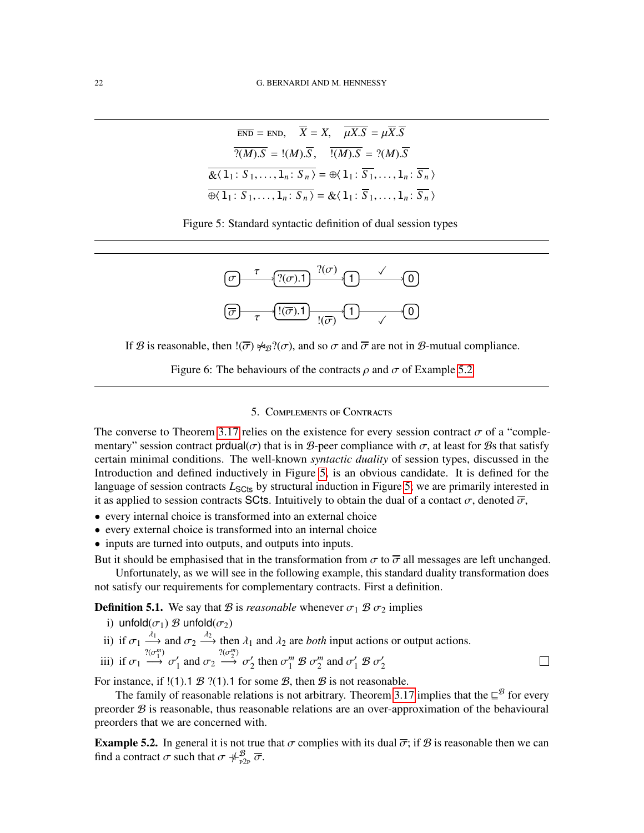$$
\overline{END} = END, \quad \overline{X} = X, \quad \overline{\mu X.S} = \mu \overline{X.S}
$$

$$
\overline{? (M).S} = !(M).\overline{S}, \quad \overline{!(M).S} = ?(M).\overline{S}
$$

$$
\overline{\& \langle 1_1: S_1, \ldots, 1_n: S_n \rangle} = \oplus \langle 1_1: \overline{S_1}, \ldots, 1_n: \overline{S_n} \rangle
$$

$$
\overline{\oplus \langle 1_1: S_1, \ldots, 1_n: S_n \rangle} = \& \langle 1_1: \overline{S_1}, \ldots, 1_n: \overline{S_n} \rangle
$$



<span id="page-21-1"></span>

If B is reasonable, then  $!(\overline{\sigma}) \not\sim_{\mathcal{B}} ?(\sigma)$ , and so  $\sigma$  and  $\overline{\sigma}$  are not in B-mutual compliance.

<span id="page-21-3"></span>Figure 6: The behaviours of the contracts  $\rho$  and  $\sigma$  of Example [5.2](#page-21-2)

## 5. Complements of Contracts

<span id="page-21-0"></span>The converse to Theorem [3.17](#page-15-1) relies on the existence for every session contract  $\sigma$  of a "complementary" session contract produal( $\sigma$ ) that is in B-peer compliance with  $\sigma$ , at least for Bs that satisfy certain minimal conditions. The well-known *syntactic duality* of session types, discussed in the Introduction and defined inductively in Figure [5,](#page-21-1) is an obvious candidate. It is defined for the language of session contracts  $L_{\text{Sט}}$  by structural induction in Figure [5;](#page-21-1) we are primarily interested in it as applied to session contracts SCts. Intuitively to obtain the dual of a contact  $\sigma$ , denoted  $\overline{\sigma}$ ,

- every internal choice is transformed into an external choice
- every external choice is transformed into an internal choice
- inputs are turned into outputs, and outputs into inputs.

But it should be emphasised that in the transformation from  $\sigma$  to  $\overline{\sigma}$  all messages are left unchanged.

Unfortunately, as we will see in the following example, this standard duality transformation does not satisfy our requirements for complementary contracts. First a definition.

<span id="page-21-5"></span>**Definition 5.1.** We say that  $\mathcal{B}$  is *reasonable* whenever  $\sigma_1 \mathcal{B} \sigma_2$  implies

- i) unfold $(\sigma_1)$  *B* unfold $(\sigma_2)$
- ii) if  $\sigma_1 \stackrel{\lambda_1}{\longrightarrow}$  and  $\sigma_2 \stackrel{\lambda_2}{\longrightarrow}$  then  $\lambda_1$  and  $\lambda_2$  are *both* input actions or output actions.
- <span id="page-21-4"></span>iii) if  $\sigma_1 \stackrel{?(\sigma_1^m)}{\longrightarrow} \sigma_1'$  $\frac{1}{1}$  and  $\sigma_2 \stackrel{?(\sigma_2^m)}{\longrightarrow} \sigma_2^{\prime}$ <sup>2</sup> then  $\sigma_1^m \mathcal{B} \sigma_2^m$  and  $\sigma_1' \mathcal{B} \sigma_2^m$ 2

For instance, if  $!(1)$ .1  $\mathcal{B}$  ?(1).1 for some  $\mathcal{B}$ , then  $\mathcal{B}$  is not reasonable.

The family of reasonable relations is not arbitrary. Theorem [3.17](#page-15-1) implies that the  $\subseteq^{\mathcal{B}}$  for every preorder  $\mathcal B$  is reasonable, thus reasonable relations are an over-approximation of the behavioural preorders that we are concerned with.

 $\Box$ 

<span id="page-21-2"></span>**Example 5.2.** In general it is not true that  $\sigma$  complies with its dual  $\bar{\sigma}$ ; if  $\hat{B}$  is reasonable then we can find a contract  $\sigma$  such that  $\sigma \neq_{P2P}^{\mathcal{B}} \overline{\sigma}$ .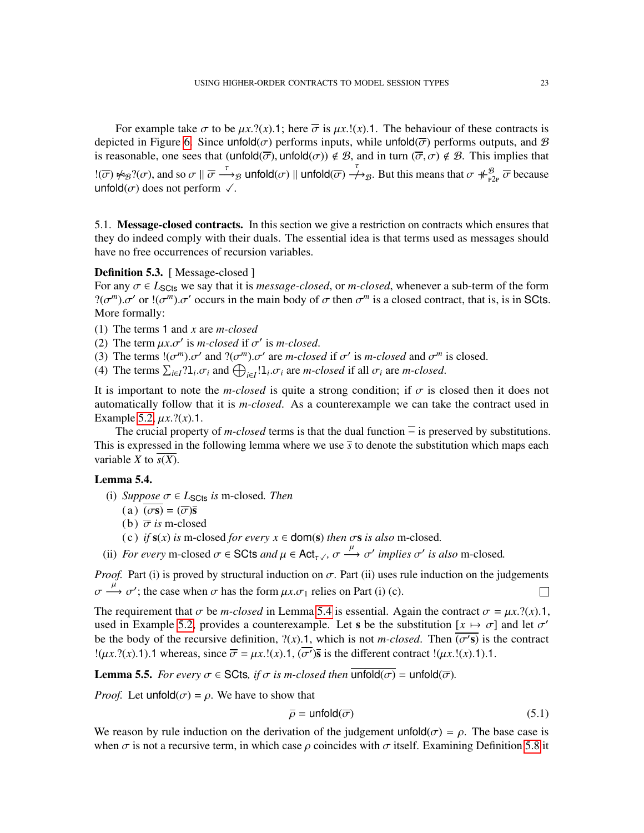For example take  $\sigma$  to be  $\mu x$ .?(*x*).1; here  $\overline{\sigma}$  is  $\mu x$ .!(*x*).1. The behaviour of these contracts is depicted in Figure [6.](#page-21-3) Since unfold( $\sigma$ ) performs inputs, while unfold( $\overline{\sigma}$ ) performs outputs, and  $\overline{B}$ is reasonable, one sees that  $($ unfold $(\overline{\sigma})$ , unfold $(\sigma)$ )  $\notin \mathcal{B}$ , and in turn  $(\overline{\sigma}, \sigma) \notin \mathcal{B}$ . This implies that  $\mathbb{E}(\overline{\sigma}) \nleftrightarrow_{\mathcal{B}} \mathbb{P}(\sigma)$ , and so  $\sigma \parallel \overline{\sigma} \stackrel{\tau}{\longrightarrow}_{\mathcal{B}}$  unfold $(\sigma) \parallel$  unfold $(\overline{\sigma}) \stackrel{\tau}{\longrightarrow}_{\mathcal{B}}$ . But this means that  $\sigma \nleftrightarrow_{\mathbb{P}2\mathbb{P}}^{\mathcal{B}} \overline{\sigma}$  because unfold( $\sigma$ ) does not perform  $\sqrt{\cdot}$ .

5.1. Message-closed contracts. In this section we give a restriction on contracts which ensures that they do indeed comply with their duals. The essential idea is that terms used as messages should have no free occurrences of recursion variables.

## <span id="page-22-2"></span>Definition 5.3. [ Message-closed ]

For any  $\sigma \in L_{\text{S}Cts}$  we say that it is *message-closed*, or *m-closed*, whenever a sub-term of the form  $?(\sigma^m) \cdot \sigma'$  or  $!(\sigma^m) \cdot \sigma'$  occurs in the main body of  $\sigma$  then  $\sigma^m$  is a closed contract, that is, is in SCts. More formally:

- (1) The terms 1 and *x* are *m-closed*
- (2) The term  $\mu x.\sigma'$  is *m*-closed if  $\sigma'$  is *m-closed*.
- (3) The terms  $!(\sigma^m)\sigma'$  and  $!(\sigma^m)\sigma'$  are *m-closed* if  $\sigma'$  is *m-closed* and  $\sigma^m$  is closed.
- (4) The terms  $\sum_{i \in I} ?1_i \sigma_i$  and  $\bigoplus_{i \in I} !1_i \sigma_i$  are *m-closed* if all  $\sigma_i$  are *m-closed*.

It is important to note the *m-closed* is quite a strong condition; if  $\sigma$  is closed then it does not automatically follow that it is *m-closed*. As a counterexample we can take the contract used in Example [5.2,](#page-21-2)  $\mu x$ .?(*x*).1.

The crucial property of *m-closed* terms is that the dual function  $\overline{ }$  is preserved by substitutions. This is expressed in the following lemma where we use  $\bar{s}$  to denote the substitution which maps each variable *X* to *s*(*X*).

## <span id="page-22-0"></span>Lemma 5.4.

(i) *Suppose*  $\sigma \in L_{\text{SCts}}$  *is* m-closed. *Then* 

$$
(a) \ (\sigma s) = (\overline{\sigma})\overline{s}
$$

- (b)  $\overline{\sigma}$  *is* m-closed
- (c) *if*  $s(x)$  *is* m-closed *for every*  $x \in \text{dom}(s)$  *then*  $\sigma s$  *is also* m-closed.
- <span id="page-22-4"></span><span id="page-22-3"></span>(ii) *For every* m-closed  $\sigma \in \text{SCts}$  *and*  $\mu \in \text{Act}_{\tau}$ *,* ,  $\sigma \xrightarrow{\mu} \sigma'$  *implies*  $\sigma'$  *is also* m-closed.

*Proof.* Part (i) is proved by structural induction on  $\sigma$ . Part (ii) uses rule induction on the judgements  $\sigma \stackrel{\mu}{\longrightarrow} \sigma'$ ; the case when  $\sigma$  has the form  $\mu x.\sigma_1$  relies on Part (i) (c).

The requirement that  $\sigma$  be *m-closed* in Lemma [5.4](#page-22-0) is essential. Again the contract  $\sigma = \mu x$ .?(*x*).1, used in Example [5.2,](#page-21-2) provides a counterexample. Let s be the substitution  $[x \mapsto \sigma]$  and let  $\sigma'$ be the body of the recursive definition,  $?(\tilde{x})$ .1, which is not *m-closed*. Then  $\overline{(o's)}$  is the contract  $!(\mu x. ?(x).1).1$  whereas, since  $\overline{\sigma} = \mu x. !(x).1, (\overline{\sigma'})$  is the different contract  $!(\mu x. !(x).1).1.$ 

<span id="page-22-5"></span>**Lemma 5.5.** *For every*  $\sigma \in \text{SCts}$ , *if*  $\sigma$  *is m-closed then* unfold( $\sigma$ ) = unfold( $\overline{\sigma}$ ).

*Proof.* Let unfold $(\sigma) = \rho$ . We have to show that

<span id="page-22-1"></span>
$$
\overline{\rho} = \text{unfold}(\overline{\sigma}) \tag{5.1}
$$

We reason by rule induction on the derivation of the judgement unfold $(\sigma) = \rho$ . The base case is when  $\sigma$  is not a recursive term, in which case  $\rho$  coincides with  $\sigma$  itself. Examining Definition [5.8](#page-25-0) it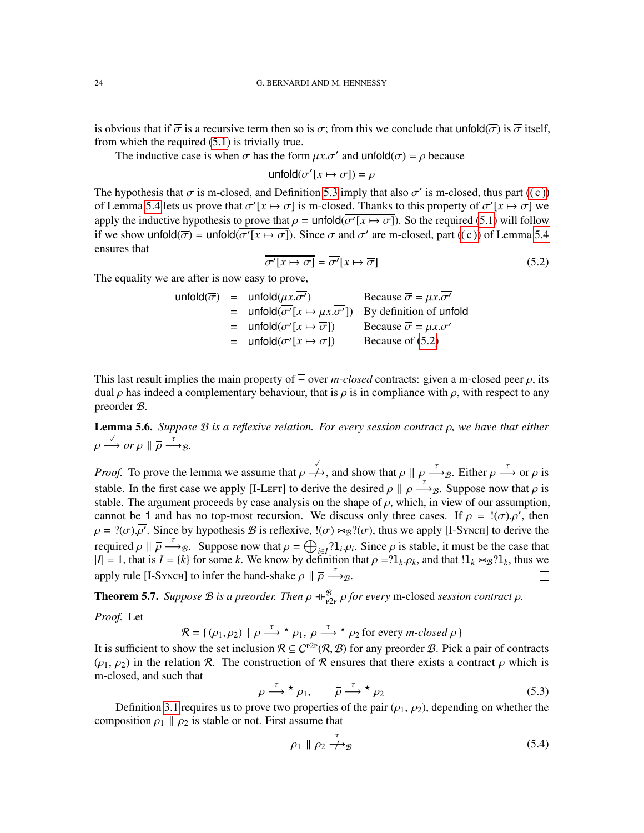is obvious that if  $\overline{\sigma}$  is a recursive term then so is  $\sigma$ ; from this we conclude that unfold $(\overline{\sigma})$  is  $\overline{\sigma}$  itself, from which the required [\(5.1\)](#page-22-1) is trivially true.

The inductive case is when  $\sigma$  has the form  $\mu x. \sigma'$  and unfold( $\sigma$ ) =  $\rho$  because

unfold $(\sigma'[x \mapsto \sigma]) = \rho$ 

The hypothesis that  $\sigma$  is m-closed, and Definition [5.3](#page-22-2) imply that also  $\sigma'$  is m-closed, thus part ((c)) of Lemma [5.4](#page-22-0) lets us prove that  $\sigma'$ [ $x \mapsto \sigma$ ] is m-closed. Thanks to this property of  $\sigma'$ [ $x \mapsto \sigma$ ] we apply the inductive hypothesis to prove that  $\overline{\rho}$  = unfold( $\overline{\sigma'(x \mapsto \sigma)}$ ). So the required [\(5.1\)](#page-22-1) will follow if we show unfold( $\overline{\sigma}$ ) = unfold( $\overline{\sigma'(x \mapsto \sigma)}$ ). Since  $\sigma$  and  $\sigma'$  are m-closed, part ((c)) of Lemma [5.4](#page-22-0) ensures that

<span id="page-23-1"></span>
$$
\overline{\sigma'[x \mapsto \sigma]} = \overline{\sigma'[x \mapsto \overline{\sigma}]} \tag{5.2}
$$

 $\Box$ 

The equality we are after is now easy to prove,

|  | $unfold(\overline{\sigma})$ = $unfold(\mu x.\sigma')$                                       | Because $\overline{\sigma} = \mu x . \sigma'$ |
|--|---------------------------------------------------------------------------------------------|-----------------------------------------------|
|  | = unfold $(\overline{\sigma'}[x \mapsto \mu x.\overline{\sigma'}])$ By definition of unfold |                                               |
|  | $=$ unfold $(\overline{\sigma'}[x \mapsto \overline{\sigma}])$                              | Because $\overline{\sigma} = \mu x . \sigma'$ |
|  | $=$ unfold $(\sigma'[x \mapsto \sigma])$                                                    | Because of $(5.2)$                            |
|  |                                                                                             |                                               |

This last result implies the main property of  $\overline{=}$  over *m-closed* contracts: given a m-closed peer  $\rho$ , its dual  $\bar{\rho}$  has indeed a complementary behaviour, that is  $\bar{\rho}$  is in compliance with  $\rho$ , with respect to any preorder B.

<span id="page-23-4"></span>Lemma 5.6. *Suppose* B *is a reflexive relation. For every session contract* ρ*, we have that either*  $\rho \stackrel{\checkmark}{\longrightarrow} or \rho \parallel \overline{\rho} \stackrel{\tau}{\longrightarrow} g.$ 

*Proof.* To prove the lemma we assume that  $\rho \nightharpoonup \rightarrow$ , and show that  $\rho \parallel \overline{\rho} \stackrel{\tau}{\longrightarrow} g$ . Either  $\rho \stackrel{\tau}{\longrightarrow}$  or  $\rho$  is stable. In the first case we apply [I-Left] to derive the desired  $\rho \parallel \overline{\rho} \stackrel{\tau}{\longrightarrow} g$ . Suppose now that  $\rho$  is stable. The argument proceeds by case analysis on the shape of  $\rho$ , which, in view of our assumption, cannot be 1 and has no top-most recursion. We discuss only three cases. If  $\rho = \langle \sigma, \rho', \rho' \rangle$ , then  $\overline{\rho} = ?(\sigma) \cdot \overline{\rho'}$ . Since by hypothesis  $\mathcal B$  is reflexive,  $!(\sigma) \bowtie_{\mathcal B} ?(\sigma)$ , thus we apply [I-Synch] to derive the required  $\rho \parallel \overline{\rho} \stackrel{\tau}{\longrightarrow} g$ . Suppose now that  $\rho = \bigoplus_{i \in I} \{1_i, \rho_i\}$ . Since  $\rho$  is stable, it must be the case that  $|I| = 1$ , that is  $I = \{k\}$  for some *k*. We know by definition that  $\overline{\rho} = ?1_k \overline{\rho_k}$ , and that  $!1_k \approx_{\mathcal{B}} ?1_k$ , thus we apply rule [I-Synch] to infer the hand-shake  $\rho \parallel \overline{\rho} \stackrel{\tau}{\longrightarrow}_{\mathcal{B}}$ .  $\Box$ 

<span id="page-23-0"></span>**Theorem 5.7.** *Suppose B is a preorder. Then*  $\rho \oplus_{p2p}^B \overline{\rho}$  *for every* m-closed *session contract*  $\rho$ *. Proof.* Let

$$
\mathcal{R} = \{ (\rho_1, \rho_2) \mid \rho \stackrel{\tau}{\longrightarrow} {}^{\star} \rho_1, \overline{\rho} \stackrel{\tau}{\longrightarrow} {}^{\star} \rho_2 \text{ for every } m\text{-closed } \rho \}
$$

It is sufficient to show the set inclusion  $\mathcal{R} \subseteq C^{p2p}(\mathcal{R}, \mathcal{B})$  for any preorder  $\mathcal{B}$ . Pick a pair of contracts  $(\rho_1, \rho_2)$  in the relation R. The construction of R ensures that there exists a contract  $\rho$  which is m-closed, and such that

<span id="page-23-2"></span>
$$
\rho \stackrel{\tau}{\longrightarrow} \star \rho_1, \qquad \overline{\rho} \stackrel{\tau}{\longrightarrow} \star \rho_2 \tag{5.3}
$$

Definition [3.1](#page-10-1) requires us to prove two properties of the pair  $(\rho_1, \rho_2)$ , depending on whether the composition  $\rho_1 \parallel \rho_2$  is stable or not. First assume that

<span id="page-23-3"></span>
$$
\rho_1 \parallel \rho_2 \stackrel{\tau}{\longrightarrow} \rho_3 \tag{5.4}
$$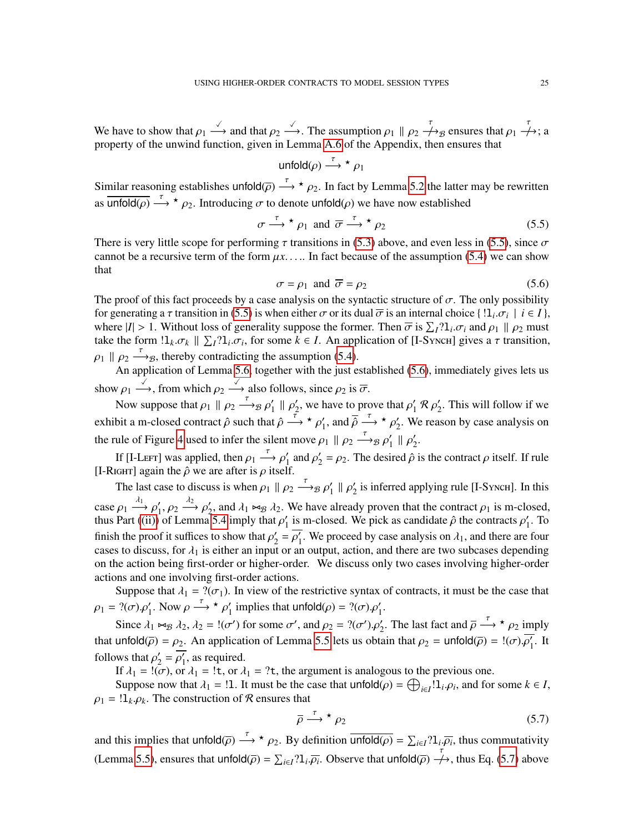We have to show that  $\rho_1 \stackrel{\checkmark}{\longrightarrow}$  and that  $\rho_2 \stackrel{\checkmark}{\longrightarrow}$ . The assumption  $\rho_1 \parallel \rho_2 \stackrel{\checkmark}{\longrightarrow}$  ensures that  $\rho_1 \stackrel{\check{\check{}}{\longrightarrow}}$ ; a property of the unwind function, given in Lemma [A.6](#page-38-0) of the Appendix, then ensures that

$$
\text{unfold}(\rho) \xrightarrow{\tau}{}^{\star}\rho_1
$$

Similar reasoning establishes unfold $\overline{(\rho)} \stackrel{\tau}{\longrightarrow} \star \rho_2$ . In fact by Lemma [5.2](#page-23-1) the latter may be rewritten as  $\overline{\text{unfold}(\rho)} \stackrel{\tau}{\longrightarrow} \star \rho_2$ . Introducing  $\sigma$  to denote unfold( $\rho$ ) we have now established

<span id="page-24-0"></span>
$$
\sigma \stackrel{\tau}{\longrightarrow} \star \rho_1 \text{ and } \overline{\sigma} \stackrel{\tau}{\longrightarrow} \star \rho_2 \tag{5.5}
$$

There is very little scope for performing  $\tau$  transitions in [\(5.3\)](#page-23-2) above, and even less in [\(5.5\)](#page-24-0), since  $\sigma$ cannot be a recursive term of the form  $\mu x$ ..... In fact because of the assumption [\(5.4\)](#page-23-3) we can show that

<span id="page-24-1"></span>
$$
\sigma = \rho_1 \text{ and } \overline{\sigma} = \rho_2 \tag{5.6}
$$

The proof of this fact proceeds by a case analysis on the syntactic structure of  $\sigma$ . The only possibility for generating a  $\tau$  transition in [\(5.5\)](#page-24-0) is when either  $\sigma$  or its dual  $\overline{\sigma}$  is an internal choice { ! $1_i.\sigma_i$  |  $i \in I$  }, where  $|I| > 1$ . Without loss of generality suppose the former. Then  $\bar{\sigma}$  is  $\sum_{I} ?1_i \sigma_i$  and  $\rho_1 \parallel \rho_2$  must take the form  $1_k \sigma_k \parallel \sum_l 2l_i \sigma_i$ , for some  $k \in I$ . An application of [I-Synch] gives a  $\tau$  transition,  $\rho_1 \parallel \rho_2 \stackrel{\tau}{\longrightarrow}$ <sub>B</sub>, thereby contradicting the assumption [\(5.4\)](#page-23-3).

An application of Lemma [5.6,](#page-23-4) together with the just established [\(5.6\)](#page-24-1), immediately gives lets us show  $\rho_1 \xrightarrow{\checkmark}$ , from which  $\rho_2 \xrightarrow{\checkmark}$  also follows, since  $\rho_2$  is  $\overline{\sigma}$ .

Now suppose that  $\rho_1 \parallel \rho_2 \stackrel{\tau}{\longrightarrow} B \rho_1'$  $\frac{1}{1}$  ||  $\rho_2'$  $\gamma_2'$ , we have to prove that  $\rho_1'$  $\frac{1}{1}R\rho'_2$  $y_2'$ . This will follow if we exhibit a m-closed contract  $\hat{\rho}$  such that  $\hat{\rho} \stackrel{\tau}{\longrightarrow} \star \rho_1'$ '<sub>1</sub>, and  $\overline{\hat{\rho}} \stackrel{\tau}{\longrightarrow} \star \rho_2'$  $\frac{1}{2}$ . We reason by case analysis on the rule of Figure [4](#page-11-0) used to infer the silent move  $\rho_1 \parallel \rho_2 \stackrel{\tau}{\longrightarrow}_B \rho_1'$  $\frac{1}{1}$   $\parallel \rho'_2$  $\frac{1}{2}$ .

If [I-Lefr] was applied, then  $\rho_1 \stackrel{\tau}{\longrightarrow} \rho_1'$  $\frac{1}{1}$  and  $\rho'_2$  $\gamma_2' = \rho_2$ . The desired  $\hat{\rho}$  is the contract  $\rho$  itself. If rule [I-RIGHT] again the  $\hat{\rho}$  we are after is  $\rho$  itself.

The last case to discuss is when  $\rho_1 \parallel \rho_2 \stackrel{\tau}{\longrightarrow}_B \rho_1'$  $\frac{1}{1}$  ||  $\rho_2'$  $\frac{1}{2}$  is inferred applying rule [I-Synch]. In this case  $\rho_1 \stackrel{\lambda_1}{\longrightarrow} \rho'_1$  $\gamma'_1, \rho_2 \stackrel{\lambda_2}{\longrightarrow} \rho'_2$  $\chi'_2$ , and  $\lambda_1 \bowtie_B \lambda_2$ . We have already proven that the contract  $\rho_1$  is m-closed, thus Part  $\left(\text{(ii)}\right)$  of Lemma [5.4](#page-22-0) imply that  $\rho_1$  $\eta_1$  is m-closed. We pick as candidate  $\hat{\rho}$  the contracts  $\rho_1$  $\frac{7}{1}$ . To finish the proof it suffices to show that  $\rho'_2$  $y'_2 = \overline{\rho'_1}$  $\eta_1'$ . We proceed by case analysis on  $\lambda_1$ , and there are four cases to discuss, for  $\lambda_1$  is either an input or an output, action, and there are two subcases depending on the action being first-order or higher-order. We discuss only two cases involving higher-order actions and one involving first-order actions.

Suppose that  $\lambda_1 = ?(\sigma_1)$ . In view of the restrictive syntax of contracts, it must be the case that  $\rho_1 = ?(\sigma) \cdot \rho'_1$ . Now  $\rho \xrightarrow{\tau} \star \rho'_1$ '<sub>1</sub> implies that  $\text{unfold}(\rho) = ?(\sigma) . \rho'_1$ .

Since  $\lambda_1 \bowtie_B \lambda_2$ ,  $\lambda_2 = !(\sigma')$  for some  $\sigma'$ , and  $\rho_2 = ?(\sigma') \cdot \rho'_2$ . The last fact and  $\overline{\rho} \stackrel{\tau}{\longrightarrow} \star \rho_2$  imply that unfold $(\overline{\rho}) = \rho_2$ . An application of Lemma [5.5](#page-22-5) lets us obtain that  $\rho_2 = \text{unfold}(\overline{\rho}) = \frac{1}{(\sigma)} \cdot \overline{\rho'_1}$  $\frac{1}{1}$ . It follows that  $\rho'_2$  $y'_2 = \overline{\rho'_1}$  $'_{1}$ , as required.

If  $\lambda_1 = 1(\sigma)$ , or  $\lambda_1 = 1$ **t**, or  $\lambda_1 = 2$ **t**, the argument is analogous to the previous one.

Suppose now that  $\lambda_1 = 1$ . It must be the case that  $\text{unfold}(\rho) = \bigoplus_{i \in I} 1_i \cdot \rho_i$ , and for some  $k \in I$ ,  $\rho_1 = \prod_k \rho_k$ . The construction of R ensures that

<span id="page-24-2"></span>
$$
\overline{\rho} \xrightarrow{\tau} \star \rho_2 \tag{5.7}
$$

and this implies that  $\text{unfold}(\overline{\rho}) \stackrel{\tau}{\longrightarrow} \star \rho_2$ . By definition  $\overline{\text{unfold}(\rho)} = \sum_{i \in I} ?1_i \overline{\rho_i}$ , thus commutativity (Lemma [5.5\)](#page-22-5), ensures that unfold( $\overline{\rho}$ ) =  $\sum_{i \in I}$ ? $1_i \overline{\rho_i}$ . Observe that unfold( $\overline{\rho}$ )  $\rightarrow$ , thus Eq. [\(5.7\)](#page-24-2) above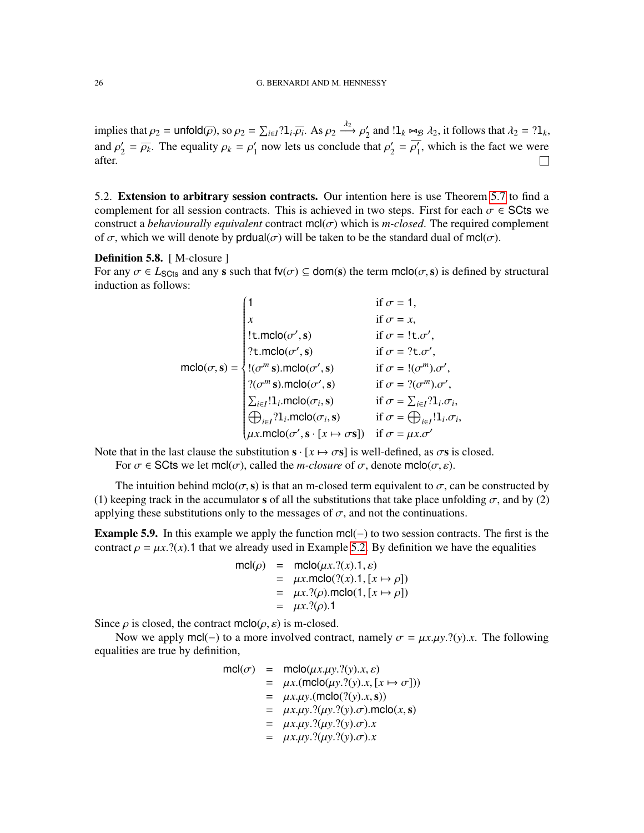implies that  $\rho_2$  = unfold( $\overline{\rho}$ ), so  $\rho_2 = \sum_{i \in I} ? 1_i \overline{\rho_i}$ . As  $\rho_2 \stackrel{\lambda_2}{\longrightarrow} \rho_2'$  $\mathcal{L}_2'$  and  $!1_k \bowtie_{\mathcal{B}} \lambda_2$ , it follows that  $\lambda_2 = ?1_k$ , and  $\rho'_{2}$  $\gamma_2' = \overline{\rho_k}$ . The equality  $\rho_k = \rho_1'$  $\frac{1}{1}$  now lets us conclude that  $\rho'_2$  $y'_{2} = \overline{\rho'_{1}}$  $\frac{1}{1}$ , which is the fact we were after.  $\Box$ 

5.2. Extension to arbitrary session contracts. Our intention here is use Theorem [5.7](#page-23-0) to find a complement for all session contracts. This is achieved in two steps. First for each  $\sigma \in \mathsf{SCts}$  we construct a *behaviourally equivalent* contract  $\text{mcl}(\sigma)$  which is *m-closed*. The required complement of  $\sigma$ , which we will denote by produal( $\sigma$ ) will be taken to be the standard dual of mcl( $\sigma$ ).

#### <span id="page-25-0"></span>Definition 5.8. [ M-closure ]

For any  $\sigma \in L_{\text{S}Cts}$  and any s such that  $f(v(\sigma)) \subseteq dom(s)$  the term  $mclo(\sigma, s)$  is defined by structural induction as follows:

$$
\text{mclo}(\sigma, \mathbf{s}) = \begin{cases}\n1 & \text{if } \sigma = 1, \\
x & \text{if } \sigma = x, \\
!\text{t.mclo}(\sigma', \mathbf{s}) & \text{if } \sigma = !\text{t}.\sigma', \\
? \text{t.mclo}(\sigma', \mathbf{s}) & \text{if } \sigma = ?\text{t}.\sigma', \\
!(\sigma^m \mathbf{s}).\text{mclo}(\sigma', \mathbf{s}) & \text{if } \sigma = !(\sigma^m).\sigma', \\
? (\sigma^m \mathbf{s}).\text{mclo}(\sigma', \mathbf{s}) & \text{if } \sigma = ?(\sigma^m).\sigma', \\
? (\sigma^m \mathbf{s}).\text{mclo}(\sigma', \mathbf{s}) & \text{if } \sigma = ?(\sigma^m).\sigma', \\
\sum_{i \in I}!1_i.\text{mclo}(\sigma_i, \mathbf{s}) & \text{if } \sigma = \sum_{i \in I}?1_i.\sigma_i, \\
\bigoplus_{i \in I}?1_i.\text{mclo}(\sigma', \mathbf{s}) & \text{if } \sigma = \bigoplus_{i \in I}!1_i.\sigma_i, \\
\mu x.\text{mclo}(\sigma', \mathbf{s} \cdot [\mathbf{x} \mapsto \sigma \mathbf{s}]) & \text{if } \sigma = \mu x.\sigma'\n\end{cases}
$$

Note that in the last clause the substitution  $s \cdot [x \mapsto \sigma s]$  is well-defined, as  $\sigma s$  is closed. For  $\sigma \in \text{SCts}$  we let mcl( $\sigma$ ), called the *m-closure* of  $\sigma$ , denote mclo( $\sigma$ , $\varepsilon$ ).

The intuition behind mclo( $\sigma$ , s) is that an m-closed term equivalent to  $\sigma$ , can be constructed by (1) keeping track in the accumulator s of all the substitutions that take place unfolding  $\sigma$ , and by (2) applying these substitutions only to the messages of  $\sigma$ , and not the continuations.

<span id="page-25-1"></span>**Example 5.9.** In this example we apply the function  $mc(-)$  to two session contracts. The first is the contract  $\rho = \mu x$ .?(*x*).1 that we already used in Example [5.2.](#page-21-2) By definition we have the equalities

$$
mcl(\rho) = mcl(\mu x. ?(x).1, \varepsilon)
$$
  
=  $\mu x.mclo( ?(x).1, [x \mapsto \rho])$   
=  $\mu x. ?(\rho).mclo(1, [x \mapsto \rho])$   
=  $\mu x. ?(\rho).1$ 

Since  $\rho$  is closed, the contract mclo( $\rho$ ,  $\varepsilon$ ) is m-closed.

Now we apply mcl(−) to a more involved contract, namely  $\sigma = \mu x.\mu y.$ ?(*y*).*x*. The following equalities are true by definition,

mcl(σ) = mclo(µ*x*.µ*y*.?(*y*).*x*, ε)

$$
mcl(\sigma) = mcl(\mu x.\mu y. ?(y).x, \varepsilon)
$$
  
\n
$$
= \mu x.(mcl(\mu y. ?(y).x, [x \mapsto \sigma]))
$$
  
\n
$$
= \mu x.\mu y.(mcl(\sigma(3(y).x, s)))
$$
  
\n
$$
= \mu x.\mu y. ?(\mu y. ?(y). \sigma).mcl(\sigma(x, s)))
$$
  
\n
$$
= \mu x.\mu y. ?(\mu y. ?(y). \sigma).x
$$
  
\n
$$
= \mu x.\mu y. ?(\mu y. ?(y). \sigma).x
$$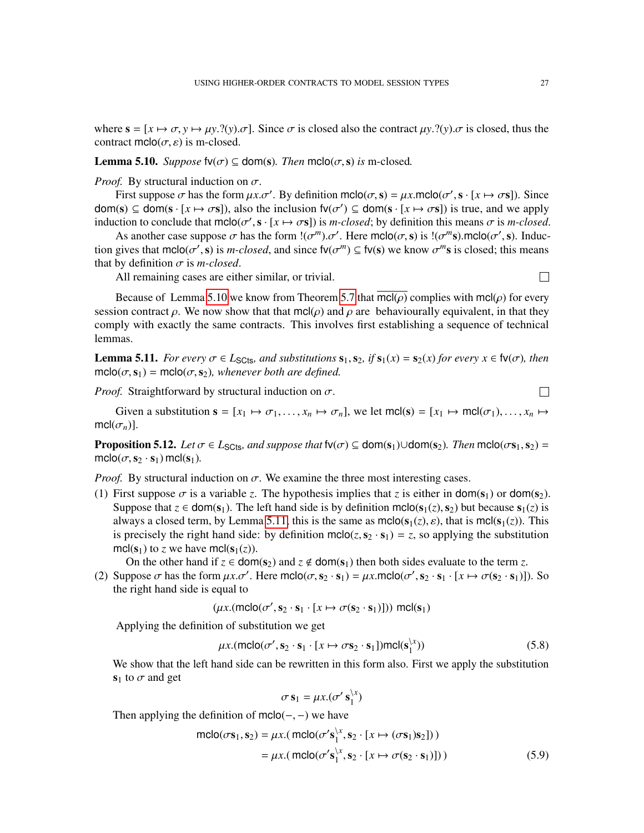where  $\mathbf{s} = [x \mapsto \sigma, y \mapsto \mu y. ?(y) \cdot \sigma]$ . Since  $\sigma$  is closed also the contract  $\mu y. ?(y) \cdot \sigma$  is closed, thus the contract mclo( $\sigma$ ,  $\varepsilon$ ) is m-closed.

## <span id="page-26-0"></span>**Lemma 5.10.** *Suppose*  $fv(\sigma) \subseteq dom(s)$ *. Then*  $mclo(\sigma, s)$  *is* m-closed.

*Proof.* By structural induction on  $\sigma$ .

First suppose  $\sigma$  has the form  $\mu x.\sigma'$ . By definition mclo( $\sigma$ ,  $s$ ) =  $\mu x$ .mclo( $\sigma'$ ,  $s \cdot [x \mapsto \sigma s]$ ). Since  $\text{dom}(s) \subseteq \text{dom}(s \cdot [x \mapsto \sigma s])$ , also the inclusion  $f v(\sigma') \subseteq \text{dom}(s \cdot [x \mapsto \sigma s])$  is true, and we apply induction to conclude that  $\text{mclo}(\sigma', \mathbf{s} \cdot [x \mapsto \sigma \mathbf{s}])$  is *m-closed*; by definition this means  $\sigma$  is *m-closed*.

As another case suppose  $\sigma$  has the form  $!(\sigma^m)\sigma'$ . Here mclo( $\sigma$ , s) is  $!(\sigma^m s)$ .mclo( $\sigma'$ , s). Induction gives that  $\text{mclo}(\sigma', \mathbf{s})$  is *m-closed*, and since  $\text{fv}(\sigma^m) \subseteq \text{fv}(\mathbf{s})$  we know  $\sigma^m \mathbf{s}$  is closed; this means that by definition  $\sigma$  is *m-closed*.

All remaining cases are either similar, or trivial.

Because of Lemma [5.10](#page-26-0) we know from Theorem [5.7](#page-23-0) that  $\text{mcl}(\rho)$  complies with  $\text{mcl}(\rho)$  for every session contract  $\rho$ . We now show that that mcl( $\rho$ ) and  $\rho$  are behaviourally equivalent, in that they comply with exactly the same contracts. This involves first establishing a sequence of technical lemmas.

<span id="page-26-1"></span>**Lemma 5.11.** *For every*  $\sigma \in L_{\text{S}Cts}$ *, and substitutions*  $\mathbf{s}_1$ *,*  $\mathbf{s}_2$ *, if*  $\mathbf{s}_1(x) = \mathbf{s}_2(x)$  *for every*  $x \in \mathfrak{f}v(\sigma)$ *, then*  $mclo(\sigma,s_1) = molo(\sigma,s_2)$ , whenever both are defined.

*Proof.* Straightforward by structural induction on  $\sigma$ .

Given a substitution  $\mathbf{s} = [x_1 \mapsto \sigma_1, \dots, x_n \mapsto \sigma_n]$ , we let mcl(s) =  $[x_1 \mapsto \text{mcl}(\sigma_1), \dots, x_n \mapsto \sigma_n]$ mcl $(\sigma_n)$ ].

<span id="page-26-4"></span>**Proposition 5.12.** *Let*  $\sigma \in L_{\text{SCls}}$ *, and suppose that*  $f(v(\sigma)) \subseteq dom(s_1) \cup dom(s_2)$ *. Then* mclo( $\sigma s_1, s_2$ ) =  $\text{mclo}(\sigma, \mathbf{s}_2 \cdot \mathbf{s}_1) \text{mclo}(\mathbf{s}_1)$ .

*Proof.* By structural induction on  $\sigma$ . We examine the three most interesting cases.

(1) First suppose  $\sigma$  is a variable *z*. The hypothesis implies that *z* is either in dom(s<sub>1</sub>) or dom(s<sub>2</sub>). Suppose that  $z \in \text{dom}(s_1)$ . The left hand side is by definition mclo( $s_1(z)$ ,  $s_2$ ) but because  $s_1(z)$  is always a closed term, by Lemma [5.11,](#page-26-1) this is the same as  $\text{mclo}(s_1(z), \varepsilon)$ , that is  $\text{mcl}(s_1(z))$ . This is precisely the right hand side: by definition mclo(*z*,  $s_2 \cdot s_1$ ) = *z*, so applying the substitution mcl( $s_1$ ) to *z* we have mcl( $s_1(z)$ ).

On the other hand if  $z \in \text{dom}(s_2)$  and  $z \notin \text{dom}(s_1)$  then both sides evaluate to the term z.

(2) Suppose  $\sigma$  has the form  $\mu x.\sigma'$ . Here mclo( $\sigma$ ,  $s_2 \cdot s_1$ ) =  $\mu x$ .mclo( $\sigma'$ ,  $s_2 \cdot s_1 \cdot [x \mapsto \sigma(s_2 \cdot s_1)]$ ). So the right hand side is equal to

$$
(\mu x. (\text{mclo}(\sigma', \mathbf{s}_2 \cdot \mathbf{s}_1 \cdot [x \mapsto \sigma(\mathbf{s}_2 \cdot \mathbf{s}_1)])) \text{ mcl}(\mathbf{s}_1)
$$

Applying the definition of substitution we get

$$
\mu x. (mclo(\sigma', s_2 \cdot s_1 \cdot [x \mapsto \sigma s_2 \cdot s_1]) mclo(s_1^{\setminus x})) \tag{5.8}
$$

We show that the left hand side can be rewritten in this form also. First we apply the substitution  $s_1$  to  $\sigma$  and get

<span id="page-26-2"></span>
$$
\sigma \mathbf{s}_1 = \mu x. (\sigma' \mathbf{s}_1^{\setminus x})
$$

Then applying the definition of  $m\text{clo}(-, -)$  we have

$$
\begin{aligned} \text{mclo}(\sigma \mathbf{s}_1, \mathbf{s}_2) &= \mu x.(\text{mclo}(\sigma' \mathbf{s}_1^{x}, \mathbf{s}_2 \cdot [x \mapsto (\sigma \mathbf{s}_1) \mathbf{s}_2])) \\ &= \mu x.(\text{mclo}(\sigma' \mathbf{s}_1^{x}, \mathbf{s}_2 \cdot [x \mapsto \sigma(\mathbf{s}_2 \cdot \mathbf{s}_1)])) \end{aligned} \tag{5.9}
$$

 $\Box$ 

<span id="page-26-3"></span> $\Box$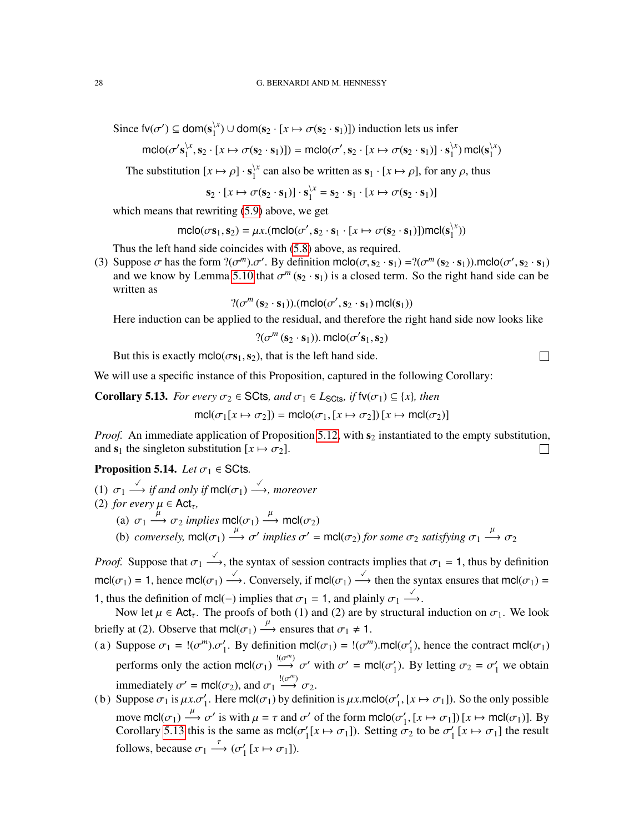Since  $fv(\sigma') \subseteq dom(s)_{i}^{\setminus x}$  $\binom{1}{1} \cup \text{dom}(s_2 \cdot [x \mapsto \sigma(s_2 \cdot s_1)])$  induction lets us infer

$$
\mathsf{mclo}(\sigma' \mathbf{s}_1^{\setminus x}, \mathbf{s}_2 \cdot [x \mapsto \sigma(\mathbf{s}_2 \cdot \mathbf{s}_1)]) = \mathsf{mclo}(\sigma', \mathbf{s}_2 \cdot [x \mapsto \sigma(\mathbf{s}_2 \cdot \mathbf{s}_1)] \cdot \mathbf{s}_1^{\setminus x}) \mathsf{mcl}(\mathbf{s}_1^{\setminus x})
$$

The substitution  $[x \mapsto \rho] \cdot \mathbf{s}_1^{\setminus x}$  $\frac{1}{1}$  can also be written as  $\mathbf{s}_1 \cdot [x \mapsto \rho]$ , for any  $\rho$ , thus

$$
\mathbf{s}_2 \cdot [x \mapsto \sigma(\mathbf{s}_2 \cdot \mathbf{s}_1)] \cdot \mathbf{s}_1^{\setminus x} = \mathbf{s}_2 \cdot \mathbf{s}_1 \cdot [x \mapsto \sigma(\mathbf{s}_2 \cdot \mathbf{s}_1)]
$$

which means that rewriting [\(5.9\)](#page-26-2) above, we get

$$
\mathsf{mclo}(\sigma \mathbf{s}_1, \mathbf{s}_2) = \mu x. (\mathsf{mclo}(\sigma', \mathbf{s}_2 \cdot \mathbf{s}_1 \cdot [x \mapsto \sigma(\mathbf{s}_2 \cdot \mathbf{s}_1)]) \mathsf{mcl}(\mathbf{s}_1^{\setminus x}))
$$

Thus the left hand side coincides with [\(5.8\)](#page-26-3) above, as required.

(3) Suppose  $\sigma$  has the form  $?(\sigma^m)\cdot \sigma'$ . By definition mclo $(\sigma, s_2 \cdot s_1) = ?(\sigma^m(s_2 \cdot s_1))$ .mclo $(\sigma', s_2 \cdot s_1)$ and we know by Lemma [5.10](#page-26-0) that  $\sigma^m$  ( $s_2 \cdot s_1$ ) is a closed term. So the right hand side can be written as

 $?(\sigma^m(s_2 \cdot s_1))$ .(mclo( $\sigma^{\prime}, s_2 \cdot s_1$ ) mcl( $s_1$ ))

Here induction can be applied to the residual, and therefore the right hand side now looks like

$$
?(\sigma^m(s_2 \cdot s_1)). \, \text{mclo}(\sigma' s_1, s_2)
$$

But this is exactly mclo( $\sigma s_1, s_2$ ), that is the left hand side.

We will use a specific instance of this Proposition, captured in the following Corollary:

<span id="page-27-0"></span>**Corollary 5.13.** *For every*  $\sigma_2 \in \mathsf{SCts}$ *, and*  $\sigma_1 \in L_{\mathsf{SCts}}$ *, if*  $\mathsf{fv}(\sigma_1) \subseteq \{x\}$ *, then* 

$$
\text{mcl}(\sigma_1[x \mapsto \sigma_2]) = \text{mclo}(\sigma_1, [x \mapsto \sigma_2]) [x \mapsto \text{mcl}(\sigma_2)]
$$

*Proof.* An immediate application of Proposition [5.12,](#page-26-4) with  $s_2$  instantiated to the empty substitution, and  $s_1$  the singleton substitution  $[x \mapsto \sigma_2]$ .  $\Box$ 

<span id="page-27-1"></span>**Proposition 5.14.** *Let*  $\sigma_1 \in \text{SCts}$ .

- (1)  $\sigma_1 \stackrel{\checkmark}{\longrightarrow}$  *if and only if*  $\textsf{mcl}(\sigma_1) \stackrel{\checkmark}{\longrightarrow}$ *, moreover* (2) *for every*  $\mu \in \text{Act}_\tau$ ,
	- (a)  $\sigma_1 \xrightarrow{\mu} \sigma_2$  *implies* mcl( $\sigma_1$ )  $\xrightarrow{\mu}$  mcl( $\sigma_2$ )
	- (b) *conversely,* mcl( $\sigma_1$ )  $\stackrel{\mu}{\longrightarrow}$   $\sigma'$  *implies*  $\sigma' = \text{mcl}(\sigma_2)$  *for some*  $\sigma_2$  *satisfying*  $\sigma_1$   $\stackrel{\mu}{\longrightarrow}$   $\sigma_2$

*Proof.* Suppose that  $\sigma_1 \stackrel{\checkmark}{\longrightarrow}$ , the syntax of session contracts implies that  $\sigma_1 = 1$ , thus by definition mcl( $\sigma_1$ ) = 1, hence mcl( $\sigma_1$ )  $\stackrel{\checkmark}{\longrightarrow}$ . Conversely, if mcl( $\sigma_1$ )  $\stackrel{\checkmark}{\longrightarrow}$  then the syntax ensures that mcl( $\sigma_1$ ) = 1, thus the definition of mcl(-) implies that  $\sigma_1 = 1$ , and plainly  $\sigma_1 \xrightarrow{\checkmark}$ .

Now let  $\mu \in \text{Act}_{\tau}$ . The proofs of both (1) and (2) are by structural induction on  $\sigma_1$ . We look briefly at (2). Observe that  $mcl(\sigma_1) \stackrel{\mu}{\longrightarrow}$  ensures that  $\sigma_1 \neq 1$ .

- (a) Suppose  $\sigma_1 = \langle (\sigma^m) . \sigma'_1 \rangle$ . By definition mcl( $\sigma_1$ ) =  $\langle (\sigma^m) . \text{mcl}(\sigma'_1) \rangle$  $'_{1}$ ), hence the contract mcl( $\sigma_{1}$ ) performs only the action mcl( $\sigma_1$ )  $\stackrel{!(\sigma^m)}{\longrightarrow} \sigma'$  with  $\sigma' = \text{mcl}(\sigma'_1)$ <sup>'</sup><sub>1</sub>). By letting  $\sigma_2 = \sigma'_1$  we obtain immediately  $\sigma' = \text{mcl}(\sigma_2)$ , and  $\sigma_1 \stackrel{!(}\longrightarrow \sigma_2$ .
- (b) Suppose  $\sigma_1$  is  $\mu x.\sigma'_1$ . Here mcl( $\sigma_1$ ) by definition is  $\mu x$ .mclo( $\sigma'_1$  $'_{1}$ , [ $x \mapsto \sigma_{1}$ ]). So the only possible move mcl( $\sigma_1$ )  $\xrightarrow{\mu} \sigma'$  is with  $\mu = \tau$  and  $\sigma'$  of the form mclo( $\sigma'_1$  $'_{1}$ ,  $[x \mapsto \sigma_{1}])$   $[x \mapsto \text{mcl}(\sigma_{1})]$ . By Corollary [5.13](#page-27-0) this is the same as mcl $(\sigma_1)$  $\sigma_1$ [ $x \mapsto \sigma_1$ ]). Setting  $\sigma_2$  to be  $\sigma_1$ <sup>'</sup>  $\gamma_1$  [ $x \mapsto \sigma_1$ ] the result follows, because  $\sigma_1 \stackrel{\tau}{\longrightarrow} (\sigma'_1)$  $\frac{1}{1}$  [ $x \mapsto \sigma_1$ ]).

$$
\qquad \qquad \Box
$$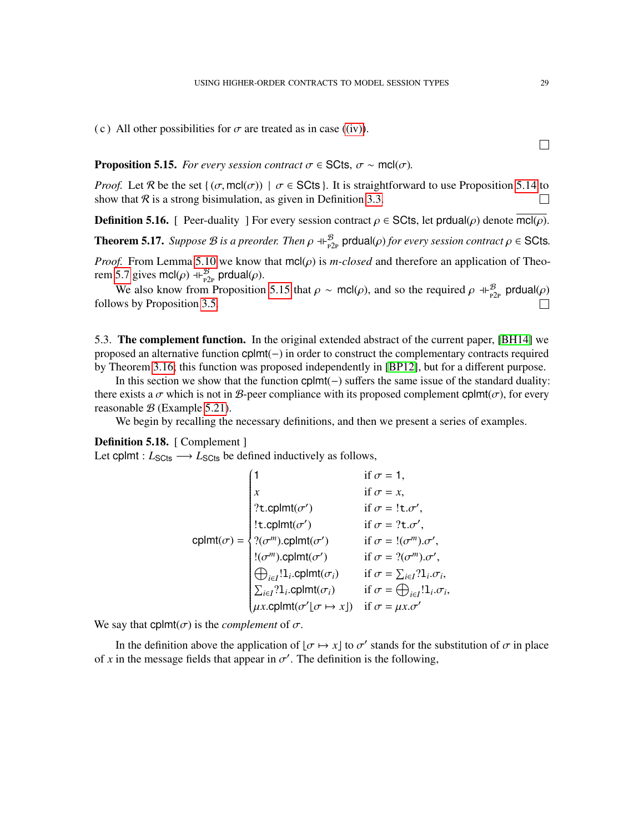(c) All other possibilities for  $\sigma$  are treated as in case [\(\(iv\)\)](#page-7-4).

<span id="page-28-2"></span>**Proposition 5.15.** *For every session contract*  $\sigma \in \text{SCts}$ ,  $\sigma \sim \text{mel}(\sigma)$ *.* 

*Proof.* Let R be the set { $(\sigma, \text{mcl}(\sigma))$  |  $\sigma \in \text{SCts}$ }. It is straightforward to use Proposition [5.14](#page-27-1) to show that  $\mathcal R$  is a strong bisimulation, as given in Definition [3.3.](#page-11-2)  $\Box$ 

<span id="page-28-0"></span>**Definition 5.16.** [ Peer-duality ] For every session contract  $\rho \in \mathsf{SCts}$ , let produal $(\rho)$  denote mcl $(\rho)$ .

<span id="page-28-1"></span>**Theorem 5.17.** *Suppose B is a preorder. Then*  $\rho \dashv E_{p2p}^B$  prdual( $\rho$ ) *for every session contract*  $\rho \in$  SCts.

*Proof.* From Lemma [5.10](#page-26-0) we know that  $mcl(\rho)$  is *m-closed* and therefore an application of Theo-rem [5.7](#page-23-0) gives mcl $(\rho)$  +  $\vdash_{P2P}^{\mathcal{B}}$  prdual $(\rho)$ .

We also know from Proposition [5.15](#page-28-2) that  $\rho \sim \text{mcl}(\rho)$ , and so the required  $\rho \dashv_{P2P}^B$  produal $(\rho)$  $\Box$ follows by Proposition [3.5.](#page-12-0)

5.3. The complement function. In the original extended abstract of the current paper, [\[BH14\]](#page-41-2) we proposed an alternative function cplmt(−) in order to construct the complementary contracts required by Theorem [3.16;](#page-15-0) this function was proposed independently in [\[BP12\]](#page-41-5), but for a different purpose.

In this section we show that the function cplmt(−) suffers the same issue of the standard duality: there exists a  $\sigma$  which is not in B-peer compliance with its proposed complement cplmt( $\sigma$ ), for every reasonable  $B$  (Example [5.21\)](#page-29-0).

We begin by recalling the necessary definitions, and then we present a series of examples.

## Definition 5.18. [ Complement ]

Let cplmt :  $L_{\text{SCts}} \longrightarrow L_{\text{SCts}}$  be defined inductively as follows,

$$
\text{cplmt}(\sigma) = \begin{cases}\n1 & \text{if } \sigma = 1, \\
x & \text{if } \sigma = x, \\
? \text{t.cplmt}(\sigma') & \text{if } \sigma = ! \text{t.}\sigma', \\
! \text{t.cplmt}(\sigma') & \text{if } \sigma = ? \text{t.}\sigma', \\
?(\sigma^m)\text{cplmt}(\sigma') & \text{if } \sigma = !(\sigma^m)\text{.}\sigma', \\
!(\sigma^m)\text{.} \text{cplmt}(\sigma') & \text{if } \sigma = ?(\sigma^m)\text{.}\sigma', \\
!(\sigma^m)\text{.} \text{cplmt}(\sigma_i) & \text{if } \sigma = ?\text{t.}\sigma_i, \\
\bigoplus_{i \in I} !1_i.\text{cplmt}(\sigma_i) & \text{if } \sigma = \bigoplus_{i \in I} ?1_i.\sigma_i, \\
\text{ax.cplmt}(\sigma' \mid \sigma \mapsto x]) & \text{if } \sigma = \mu x.\sigma'\n\end{cases}
$$

We say that  $cplmt(\sigma)$  is the *complement* of  $\sigma$ .

In the definition above the application of  $[\sigma \mapsto x]$  to  $\sigma'$  stands for the substitution of  $\sigma$  in place of x in the message fields that appear in  $\sigma'$ . The definition is the following,

 $\Box$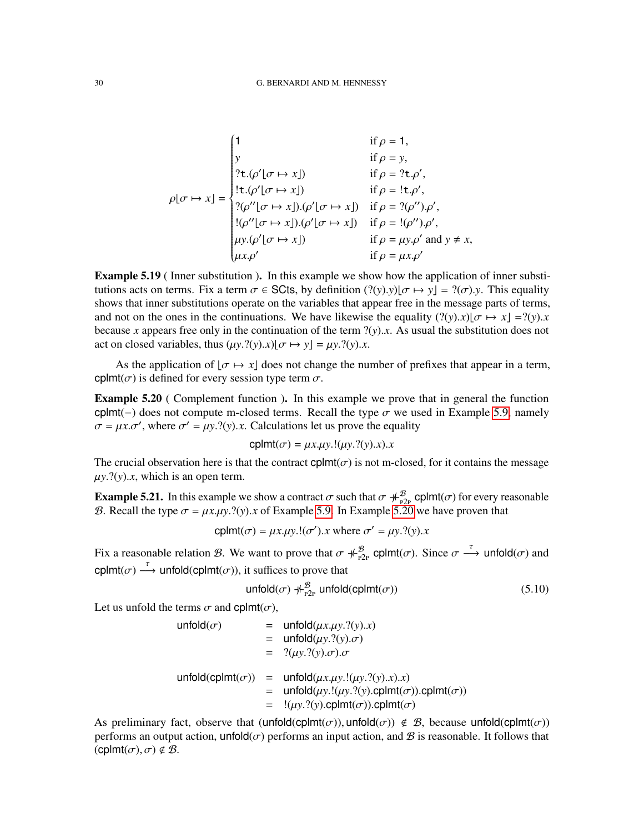$$
\rho[\sigma \mapsto x] = \begin{cases}\n1 & \text{if } \rho = 1, \\
y & \text{if } \rho = y, \\
?t.(\rho'[\sigma \mapsto x]) & \text{if } \rho = ?t. \rho', \\
!t.(\rho'[\sigma \mapsto x]) & \text{if } \rho = !t. \rho', \\
?(\rho''[\sigma \mapsto x]).(\rho'[\sigma \mapsto x]) & \text{if } \rho = ?(\rho''), \rho', \\
!(\rho''[\sigma \mapsto x]).(\rho'[\sigma \mapsto x]) & \text{if } \rho = !(\rho''), \rho', \\
\mu y.(\rho'[\sigma \mapsto x]) & \text{if } \rho = \mu y. \rho' \text{ and } y \neq x, \\
\mu x. \rho' & \text{if } \rho = \mu x. \rho'\n\end{cases}
$$

Example 5.19 ( Inner substitution ). In this example we show how the application of inner substitutions acts on terms. Fix a term  $\sigma \in \text{SCts}$ , by definition  $(?(y).y)[\sigma \mapsto y] = ?(\sigma).y$ . This equality shows that inner substitutions operate on the variables that appear free in the message parts of terms, and not on the ones in the continuations. We have likewise the equality  $(2(y).x)|\sigma \mapsto x| = 2(y).x$ because x appears free only in the continuation of the term  $?(\gamma)$ . As usual the substitution does not act on closed variables, thus  $(\mu y. ?(y).x)|\sigma \mapsto y| = \mu y. ?(y).x.$ 

As the application of  $\sigma \mapsto x$  does not change the number of prefixes that appear in a term, cplmt( $\sigma$ ) is defined for every session type term  $\sigma$ .

<span id="page-29-1"></span>Example 5.20 ( Complement function ). In this example we prove that in general the function cplmt(–) does not compute m-closed terms. Recall the type  $\sigma$  we used in Example [5.9,](#page-25-1) namely  $\sigma = \mu x.\sigma'$ , where  $\sigma' = \mu y. ?(y).x$ . Calculations let us prove the equality

$$
cplmt(\sigma) = \mu x.\mu y.!(\mu y.?(y).x).x
$$

The crucial observation here is that the contract  $cplmt(\sigma)$  is not m-closed, for it contains the message  $\mu y$ .?(*y*).*x*, which is an open term.

<span id="page-29-0"></span>**Example 5.21.** In this example we show a contract  $\sigma$  such that  $\sigma \neq \beta_P^B$  cplmt( $\sigma$ ) for every reasonable B. Recall the type  $\sigma = \mu x.\mu y. ?(y).x$  of Example [5.9.](#page-25-1) In Example [5.20](#page-29-1) we have proven that

cplmt( $\sigma$ ) =  $\mu x.\mu y.!(\sigma')$ .*x* where  $\sigma' = \mu y. ?(y).x$ 

Fix a reasonable relation B. We want to prove that  $\sigma \neq_{P2P}^B$  cplmt $(\sigma)$ . Since  $\sigma \stackrel{\tau}{\longrightarrow}$  unfold $(\sigma)$  and cplmt( $\sigma$ )  $\stackrel{\tau}{\longrightarrow}$  unfold(cplmt( $\sigma$ )), it suffices to prove that

<span id="page-29-2"></span>
$$
\text{unfold}(\sigma) \neq_{P2P}^{\mathcal{B}} \text{unfold}(\text{cplmt}(\sigma)) \tag{5.10}
$$

Let us unfold the terms  $\sigma$  and cplmt $(\sigma)$ ,

$$
\begin{array}{rcl}\n\text{unfold}(\sigma) & = & \text{unfold}( \mu x. \mu y. ?(y).x) \\
& = & \text{unfold}(\mu y. ?(y). \sigma) \\
& = & ?(\mu y. ?(y). \sigma). \sigma \\
\text{unfold}(\text{cplmt}(\sigma)) & = & \text{unfold}( \mu x. \mu y. !(\mu y. ?(y).x).x) \\
& = & \text{unfold}( \mu y. !(\mu y. ?(y).cplmt(\sigma)).cplmt(\sigma)) \\
& = & !(\mu y. ?(y).cplmt(\sigma)).cplmt(\sigma)\n\end{array}
$$

As preliminary fact, observe that  $($ unfold $($ cplmt $(σ))$ , unfold $(σ)) \notin B$ , because unfold $($ cplmt $(σ))$ performs an output action, unfold $(\sigma)$  performs an input action, and  $\mathcal B$  is reasonable. It follows that  $(\text{cplmt}(\sigma), \sigma) \notin \mathcal{B}.$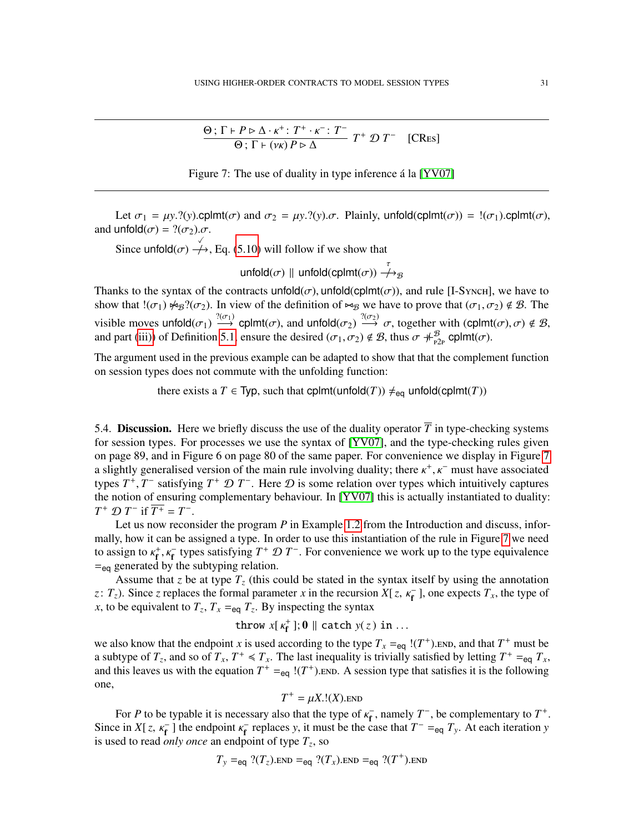<span id="page-30-1"></span>
$$
\frac{\Theta; \Gamma \vdash P \triangleright \Delta \cdot \kappa^+ : T^+ \cdot \kappa^- : T^-}{\Theta; \Gamma \vdash (\nu \kappa) P \triangleright \Delta} T^+ \mathcal{D} T^- \quad [CRes]
$$



Let  $\sigma_1 = \mu y$ .?(*y*).cplmt( $\sigma$ ) and  $\sigma_2 = \mu y$ .?(*y*). $\sigma$ . Plainly, unfold(cplmt( $\sigma$ )) = !( $\sigma_1$ ).cplmt( $\sigma$ ), and unfold $(\sigma) = ?(\sigma_2) \sigma$ .

Since unfold $(\sigma) \stackrel{\sqrt{\phantom{0}}}{\rightarrow}$ , Eq. [\(5.10\)](#page-29-2) will follow if we show that

unfold $(\sigma) \parallel$  unfold(cplmt $(\sigma)$ )  $\stackrel{\tau}{\to}_{\mathcal{B}}$ 

Thanks to the syntax of the contracts unfold( $\sigma$ ), unfold(cplmt( $\sigma$ )), and rule [I-Synch], we have to show that  $!(\sigma_1) \not\sim_B ?(\sigma_2)$ . In view of the definition of  $\bowtie_B$  we have to prove that  $(\sigma_1, \sigma_2) \notin \mathcal{B}$ . The visible moves unfold $(\sigma_1) \stackrel{?(\sigma_1)}{\longrightarrow}$  cplmt $(\sigma)$ , and unfold $(\sigma_2) \stackrel{?(\sigma_2)}{\longrightarrow} \sigma$ , together with  $(\text{cplmt}(\sigma), \sigma) \notin \mathcal{B}$ , and part [\(iii\)\)](#page-21-4) of Definition [5.1,](#page-21-5) ensure the desired  $(\sigma_1, \sigma_2) \notin \mathcal{B}$ , thus  $\sigma \#_{P2P}^{\mathcal{B}}$  cplmt( $\sigma$ ).

The argument used in the previous example can be adapted to show that that the complement function on session types does not commute with the unfolding function:

there exists a *T*  $\in$  Typ, such that cplmt(unfold(*T*))  $\neq_{eq}$  unfold(cplmt(*T*))

<span id="page-30-0"></span>5.4. Discussion. Here we briefly discuss the use of the duality operator  $\overline{T}$  in type-checking systems for session types. For processes we use the syntax of [\[YV07\]](#page-42-5), and the type-checking rules given on page 89, and in Figure 6 on page 80 of the same paper. For convenience we display in Figure [7](#page-30-1) a slightly generalised version of the main rule involving duality; there  $\kappa^+$ ,  $\kappa^-$  must have associated types  $T^+$ ,  $T^-$  satisfying  $T^+$   $\mathcal{D}$   $T^-$ . Here  $\mathcal{D}$  is some relation over types which intuitively captures the notion of ensuring complementary behaviour. In [\[YV07\]](#page-42-5) this is actually instantiated to duality:  $T^+ \mathcal{D} T^-$  if  $\overline{T^+} = T^-$ .

Let us now reconsider the program *P* in Example [1.2](#page-3-2) from the Introduction and discuss, informally, how it can be assigned a type. In order to use this instantiation of the rule in Figure [7](#page-30-1) we need to assign to  $\kappa_f^+$ ,  $\kappa_f^-$  types satisfying  $T^+ \mathcal{D} T^-$ . For convenience we work up to the type equivalence  $=$ <sub>eq</sub> generated by the subtyping relation.

Assume that *z* be at type  $T_z$  (this could be stated in the syntax itself by using the annotation *z*:  $T_z$ ). Since *z* replaces the formal parameter *x* in the recursion *X*[*z*,  $\kappa_f^-$ ], one expects  $T_x$ , the type of *x*, to be equivalent to  $T_z$ ,  $T_x =_{eq} T_z$ . By inspecting the syntax

throw  $x[k_f^+];\mathbf{0} \parallel \text{catch } y(z) \text{ in } ...$ 

we also know that the endpoint *x* is used according to the type  $T_x =_{eq}$  !( $T^+$ ). END, and that  $T^+$  must be a subtype of  $T_z$ , and so of  $T_x$ ,  $T^+ \le T_x$ . The last inequality is trivially satisfied by letting  $T^+ =_{eq} T_x$ , and this leaves us with the equation  $T^+ =_{eq} (T^+)$ . END. A session type that satisfies it is the following one,

$$
T^+ = \mu X.!(X)._{END}
$$

For *P* to be typable it is necessary also that the type of  $\kappa_{\rm f}$  $f^$ , namely  $T^-$ , be complementary to  $T^+$ . Since in *X*[*z*,  $\kappa_f^-$ ] the endpoint  $\kappa_f^$  $f_{\text{f}}$  replaces *y*, it must be the case that  $T^{-} =_{\text{eq}} T_y$ . At each iteration *y* is used to read *only once* an endpoint of type *T<sup>z</sup>* , so

$$
T_y =_{eq}
$$
 ?( $T_z$ ).END =<sub>eq</sub> ?( $T_x$ ).END =<sub>eq</sub> ?( $T^+$ ).END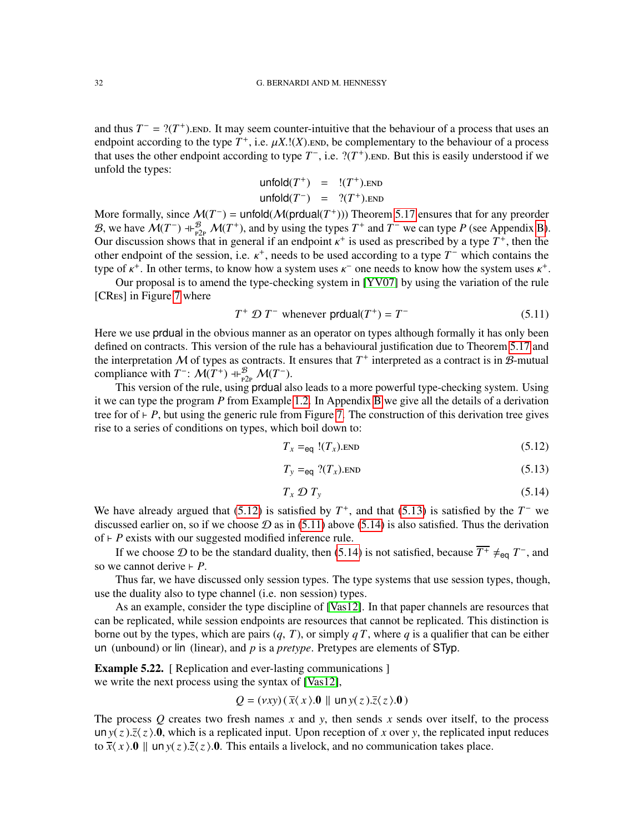and thus  $T^- = ?(T^+)$ . END. It may seem counter-intuitive that the behaviour of a process that uses an endpoint according to the type  $T^+$ , i.e.  $\mu X$ .!(*X*). END, be complementary to the behaviour of a process that uses the other endpoint according to type  $T^-$ , i.e.  $?({T^+})$ . END. But this is easily understood if we unfold the types:

$$
\begin{array}{rcl}\n\text{unfold}(T^+) & = & !(T^+).\text{END} \\
\text{unfold}(T^-) & = & ?(T^+).\text{END}\n\end{array}
$$

More formally, since  $M(T^{-})$  = unfold( $M(prdual(T^{+})))$ ) Theorem [5.17](#page-28-1) ensures that for any preorder B, we have  $\mathcal{M}(T^-)$  +  $\vdash_{P_2P}^{\mathcal{B}} \mathcal{M}(T^+)$ , and by using the types  $T^+$  and  $T^-$  we can type *P* (see Appendix [B\)](#page-38-1). Our discussion shows that in general if an endpoint  $\kappa^+$  is used as prescribed by a type  $T^+$ , then the other endpoint of the session, i.e.  $\kappa^+$ , needs to be used according to a type  $T^-$  which contains the type of  $\kappa^+$ . In other terms, to know how a system uses  $\kappa^-$  one needs to know how the system uses  $\kappa^+$ .

Our proposal is to amend the type-checking system in [\[YV07\]](#page-42-5) by using the variation of the rule [CRES] in Figure [7](#page-30-1) where

$$
T^+ \mathcal{D} T^- \text{ whenever } \mathsf{prdual}(T^+) = T^- \tag{5.11}
$$

Here we use prdual in the obvious manner as an operator on types although formally it has only been defined on contracts. This version of the rule has a behavioural justification due to Theorem [5.17](#page-28-1) and the interpretation  $M$  of types as contracts. It ensures that  $T^+$  interpreted as a contract is in  $\mathcal{B}$ -mutual compliance with  $T^-$ :  $\mathcal{M}(T^+)$  +  $\mathcal{B}_{P2p}$   $\mathcal{M}(T^-)$ .

This version of the rule, using prdual also leads to a more powerful type-checking system. Using it we can type the program *P* from Example [1.2.](#page-3-2) In Appendix [B](#page-38-1) we give all the details of a derivation tree for of  $\vdash$  *P*, but using the generic rule from Figure [7.](#page-30-1) The construction of this derivation tree gives rise to a series of conditions on types, which boil down to:

<span id="page-31-2"></span><span id="page-31-0"></span>
$$
T_x =_{\text{eq}} (T_x). \text{END} \tag{5.12}
$$

<span id="page-31-3"></span><span id="page-31-1"></span>
$$
T_{y} =_{\text{eq}} ?(T_{x}).\text{END}
$$
 (5.13)

$$
T_x \mathcal{D} T_y \tag{5.14}
$$

We have already argued that [\(5.12\)](#page-31-0) is satisfied by  $T^+$ , and that [\(5.13\)](#page-31-1) is satisfied by the  $T^-$  we discussed earlier on, so if we choose  $\mathcal D$  as in [\(5.11\)](#page-31-2) above [\(5.14\)](#page-31-3) is also satisfied. Thus the derivation of  $\vdash$  *P* exists with our suggested modified inference rule.

If we choose  $\mathcal D$  to be the standard duality, then [\(5.14\)](#page-31-3) is not satisfied, because  $\overline{T^+} \neq_{eq} T^-$ , and so we cannot derive  $\vdash$  *P*.

Thus far, we have discussed only session types. The type systems that use session types, though, use the duality also to type channel (i.e. non session) types.

As an example, consider the type discipline of [\[Vas12\]](#page-42-10). In that paper channels are resources that can be replicated, while session endpoints are resources that cannot be replicated. This distinction is borne out by the types, which are pairs  $(q, T)$ , or simply  $qT$ , where  $q$  is a qualifier that can be either un (unbound) or lin (linear), and *p* is a *pretype*. Pretypes are elements of STyp.

<span id="page-31-4"></span>**Example 5.22.** [ Replication and ever-lasting communications ] we write the next process using the syntax of [\[Vas12\]](#page-42-10),

$$
Q = (vxy)(\overline{x}\langle x \rangle.0 \parallel \ln y(z).\overline{z}\langle z \rangle.0)
$$

The process  $\hat{O}$  creates two fresh names  $\hat{x}$  and  $\hat{y}$ , then sends  $\hat{x}$  sends over itself, to the process un  $y(z)$ . $\overline{z}(z)$ .0, which is a replicated input. Upon reception of *x* over *y*, the replicated input reduces to  $\bar{x}(x)$ .0 || un  $y(z)$ . $\bar{z}(z)$ .0. This entails a livelock, and no communication takes place.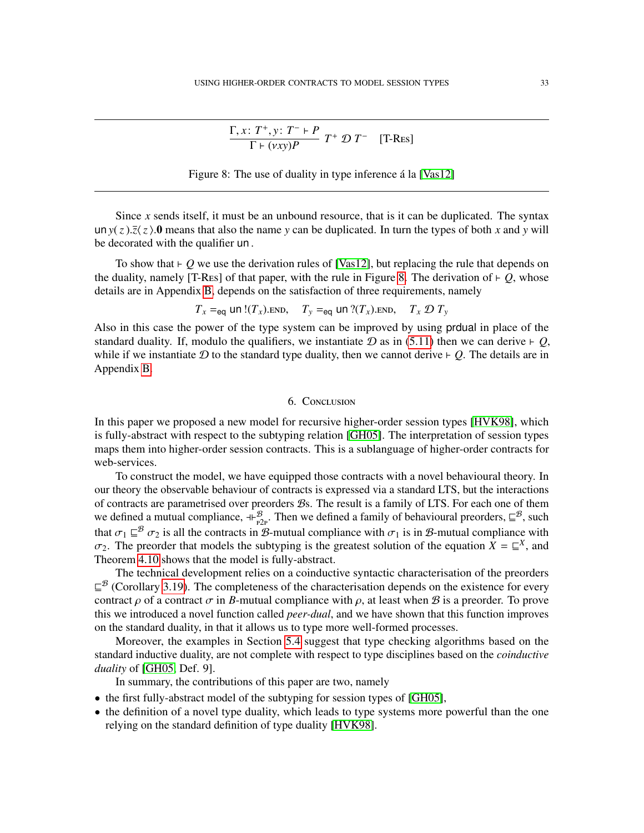<span id="page-32-1"></span>
$$
\frac{\Gamma, x \colon T^+, y \colon T^- \vdash P}{\Gamma \vdash (vxy)P} T^+ \mathcal{D} T^-
$$
 [T-Res]

Figure 8: The use of duality in type inference  $\acute{a}$  la [\[Vas12\]](#page-42-10)

Since *x* sends itself, it must be an unbound resource, that is it can be duplicated. The syntax un  $y(z)$ . $\bar{z}(z)$ .0 means that also the name *y* can be duplicated. In turn the types of both *x* and *y* will be decorated with the qualifier un .

To show that  $\vdash Q$  we use the derivation rules of [\[Vas12\]](#page-42-10), but replacing the rule that depends on the duality, namely [T-Res] of that paper, with the rule in Figure [8.](#page-32-1) The derivation of  $\vdash Q$ , whose details are in Appendix [B,](#page-38-1) depends on the satisfaction of three requirements, namely

$$
T_x =_{eq}
$$
 un  $!(T_x)$ .  
END,  $T_y =_{eq}$  un  $?(T_x)$ .  
END,  $T_x \mathcal{D} T_y$ 

Also in this case the power of the type system can be improved by using prdual in place of the standard duality. If, modulo the qualifiers, we instantiate  $D$  as in [\(5.11\)](#page-31-2) then we can derive  $\vdash Q$ , while if we instantiate  $D$  to the standard type duality, then we cannot derive  $\vdash Q$ . The details are in Appendix [B.](#page-38-1)

## 6. Conclusion

<span id="page-32-0"></span>In this paper we proposed a new model for recursive higher-order session types [\[HVK98\]](#page-42-1), which is fully-abstract with respect to the subtyping relation [\[GH05\]](#page-42-4). The interpretation of session types maps them into higher-order session contracts. This is a sublanguage of higher-order contracts for web-services.

To construct the model, we have equipped those contracts with a novel behavioural theory. In our theory the observable behaviour of contracts is expressed via a standard LTS, but the interactions of contracts are parametrised over preorders Bs. The result is a family of LTS. For each one of them we defined a mutual compliance,  $+\frac{B}{p2p}$ . Then we defined a family of behavioural preorders,  $\subseteq^B$ , such that  $\sigma_1 \sqsubseteq^B \sigma_2$  is all the contracts in B-mutual compliance with  $\sigma_1$  is in B-mutual compliance with  $\sigma_2$ . The preorder that models the subtyping is the greatest solution of the equation  $X = \mathbb{E}^X$ , and Theorem [4.10](#page-20-2) shows that the model is fully-abstract.

The technical development relies on a coinductive syntactic characterisation of the preorders  $\subseteq^{\mathcal{B}}$  (Corollary [3.19\)](#page-16-0). The completeness of the characterisation depends on the existence for every contract  $\rho$  of a contract  $\sigma$  in *B*-mutual compliance with  $\rho$ , at least when B is a preorder. To prove this we introduced a novel function called *peer-dual*, and we have shown that this function improves on the standard duality, in that it allows us to type more well-formed processes.

Moreover, the examples in Section [5.4](#page-30-0) suggest that type checking algorithms based on the standard inductive duality, are not complete with respect to type disciplines based on the *coinductive duality* of [\[GH05,](#page-42-4) Def. 9].

In summary, the contributions of this paper are two, namely

- the first fully-abstract model of the subtyping for session types of [\[GH05\]](#page-42-4),
- the definition of a novel type duality, which leads to type systems more powerful than the one relying on the standard definition of type duality [\[HVK98\]](#page-42-1).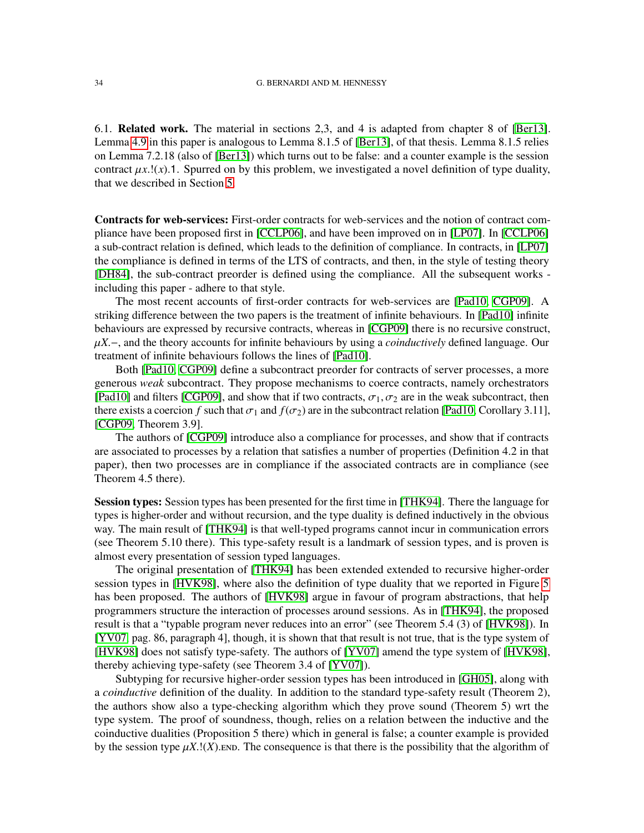6.1. Related work. The material in sections 2,3, and 4 is adapted from chapter 8 of [\[Ber13\]](#page-40-4). Lemma [4.9](#page-19-1) in this paper is analogous to Lemma 8.1.5 of [\[Ber13\]](#page-40-4), of that thesis. Lemma 8.1.5 relies on Lemma 7.2.18 (also of [\[Ber13\]](#page-40-4)) which turns out to be false: and a counter example is the session contract  $\mu x$ .!(*x*).1. Spurred on by this problem, we investigated a novel definition of type duality, that we described in Section [5.](#page-21-0)

Contracts for web-services: First-order contracts for web-services and the notion of contract compliance have been proposed first in [\[CCLP06\]](#page-41-6), and have been improved on in [\[LP07\]](#page-42-9). In [\[CCLP06\]](#page-41-6) a sub-contract relation is defined, which leads to the definition of compliance. In contracts, in [\[LP07\]](#page-42-9) the compliance is defined in terms of the LTS of contracts, and then, in the style of testing theory [\[DH84\]](#page-41-7), the sub-contract preorder is defined using the compliance. All the subsequent works including this paper - adhere to that style.

The most recent accounts of first-order contracts for web-services are [\[Pad10,](#page-42-2) [CGP09\]](#page-41-1). A striking difference between the two papers is the treatment of infinite behaviours. In [\[Pad10\]](#page-42-2) infinite behaviours are expressed by recursive contracts, whereas in [\[CGP09\]](#page-41-1) there is no recursive construct, µ*X*.−, and the theory accounts for infinite behaviours by using a *coinductively* defined language. Our treatment of infinite behaviours follows the lines of [\[Pad10\]](#page-42-2).

Both [\[Pad10,](#page-42-2) [CGP09\]](#page-41-1) define a subcontract preorder for contracts of server processes, a more generous *weak* subcontract. They propose mechanisms to coerce contracts, namely orchestrators [\[Pad10\]](#page-42-2) and filters [\[CGP09\]](#page-41-1), and show that if two contracts,  $\sigma_1$ ,  $\sigma_2$  are in the weak subcontract, then there exists a coercion *f* such that  $\sigma_1$  and  $f(\sigma_2)$  are in the subcontract relation [\[Pad10,](#page-42-2) Corollary 3.11], [\[CGP09,](#page-41-1) Theorem 3.9].

The authors of [\[CGP09\]](#page-41-1) introduce also a compliance for processes, and show that if contracts are associated to processes by a relation that satisfies a number of properties (Definition 4.2 in that paper), then two processes are in compliance if the associated contracts are in compliance (see Theorem 4.5 there).

Session types: Session types has been presented for the first time in [\[THK94\]](#page-42-0). There the language for types is higher-order and without recursion, and the type duality is defined inductively in the obvious way. The main result of [\[THK94\]](#page-42-0) is that well-typed programs cannot incur in communication errors (see Theorem 5.10 there). This type-safety result is a landmark of session types, and is proven is almost every presentation of session typed languages.

The original presentation of [\[THK94\]](#page-42-0) has been extended extended to recursive higher-order session types in [\[HVK98\]](#page-42-1), where also the definition of type duality that we reported in Figure [5](#page-21-1) has been proposed. The authors of [\[HVK98\]](#page-42-1) argue in favour of program abstractions, that help programmers structure the interaction of processes around sessions. As in [\[THK94\]](#page-42-0), the proposed result is that a "typable program never reduces into an error" (see Theorem 5.4 (3) of [\[HVK98\]](#page-42-1)). In [\[YV07,](#page-42-5) pag. 86, paragraph 4], though, it is shown that that result is not true, that is the type system of [\[HVK98\]](#page-42-1) does not satisfy type-safety. The authors of [\[YV07\]](#page-42-5) amend the type system of [\[HVK98\]](#page-42-1), thereby achieving type-safety (see Theorem 3.4 of [\[YV07\]](#page-42-5)).

Subtyping for recursive higher-order session types has been introduced in [\[GH05\]](#page-42-4), along with a *coinductive* definition of the duality. In addition to the standard type-safety result (Theorem 2), the authors show also a type-checking algorithm which they prove sound (Theorem 5) wrt the type system. The proof of soundness, though, relies on a relation between the inductive and the coinductive dualities (Proposition 5 there) which in general is false; a counter example is provided by the session type  $\mu X$ .!(*X*).end. The consequence is that there is the possibility that the algorithm of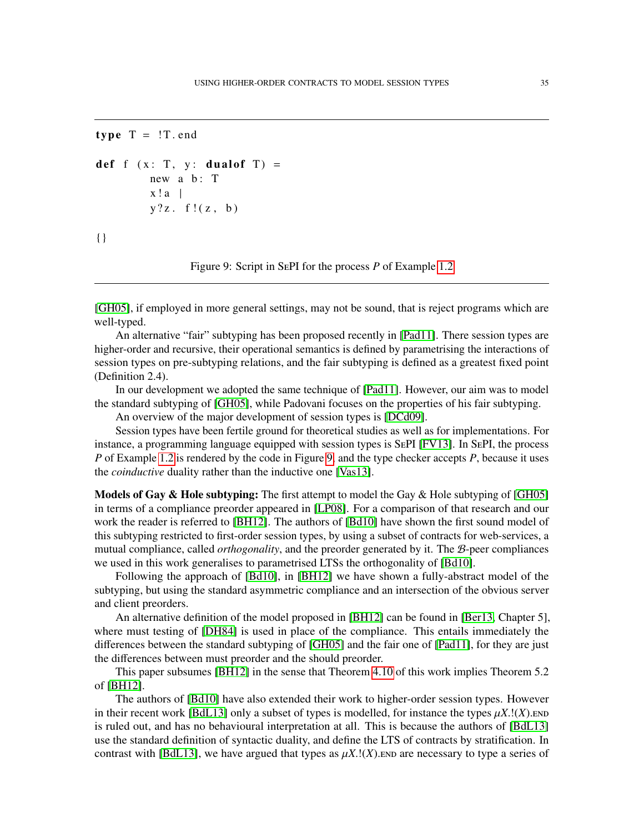```
type T = \{T \text{ . end }
```

```
def f (x: T, y: dual of T) =new a \ b: T
        x!a |
        y?z. f!(z, b)
{ }
```
<span id="page-34-0"></span>Figure 9: Script in SePI for the process *P* of Example [1.2](#page-3-2)

[\[GH05\]](#page-42-4), if employed in more general settings, may not be sound, that is reject programs which are well-typed.

An alternative "fair" subtyping has been proposed recently in [\[Pad11\]](#page-42-13). There session types are higher-order and recursive, their operational semantics is defined by parametrising the interactions of session types on pre-subtyping relations, and the fair subtyping is defined as a greatest fixed point (Definition 2.4).

In our development we adopted the same technique of [\[Pad11\]](#page-42-13). However, our aim was to model the standard subtyping of [\[GH05\]](#page-42-4), while Padovani focuses on the properties of his fair subtyping.

An overview of the major development of session types is [\[DCd09\]](#page-41-0).

Session types have been fertile ground for theoretical studies as well as for implementations. For instance, a programming language equipped with session types is SePI [\[FV13\]](#page-42-14). In SePI, the process *P* of Example [1.2](#page-3-2) is rendered by the code in Figure [9,](#page-34-0) and the type checker accepts *P*, because it uses the *coinductive* duality rather than the inductive one [\[Vas13\]](#page-42-15).

**Models of Gay & Hole subtyping:** The first attempt to model the Gay & Hole subtyping of  $[GH05]$ in terms of a compliance preorder appeared in [\[LP08\]](#page-42-16). For a comparison of that research and our work the reader is referred to [\[BH12\]](#page-41-4). The authors of [\[Bd10\]](#page-40-0) have shown the first sound model of this subtyping restricted to first-order session types, by using a subset of contracts for web-services, a mutual compliance, called *orthogonality*, and the preorder generated by it. The B-peer compliances we used in this work generalises to parametrised LTSs the orthogonality of [\[Bd10\]](#page-40-0).

Following the approach of [\[Bd10\]](#page-40-0), in [\[BH12\]](#page-41-4) we have shown a fully-abstract model of the subtyping, but using the standard asymmetric compliance and an intersection of the obvious server and client preorders.

An alternative definition of the model proposed in [\[BH12\]](#page-41-4) can be found in [\[Ber13,](#page-40-4) Chapter 5], where must testing of [\[DH84\]](#page-41-7) is used in place of the compliance. This entails immediately the differences between the standard subtyping of [\[GH05\]](#page-42-4) and the fair one of [\[Pad11\]](#page-42-13), for they are just the differences between must preorder and the should preorder.

This paper subsumes [\[BH12\]](#page-41-4) in the sense that Theorem [4.10](#page-20-2) of this work implies Theorem 5.2 of [\[BH12\]](#page-41-4).

The authors of [\[Bd10\]](#page-40-0) have also extended their work to higher-order session types. However in their recent work [\[BdL13\]](#page-40-1) only a subset of types is modelled, for instance the types  $\mu X$ .!(*X*).end is ruled out, and has no behavioural interpretation at all. This is because the authors of [\[BdL13\]](#page-40-1) use the standard definition of syntactic duality, and define the LTS of contracts by stratification. In contrast with [\[BdL13\]](#page-40-1), we have argued that types as  $\mu X$ .!(X). END are necessary to type a series of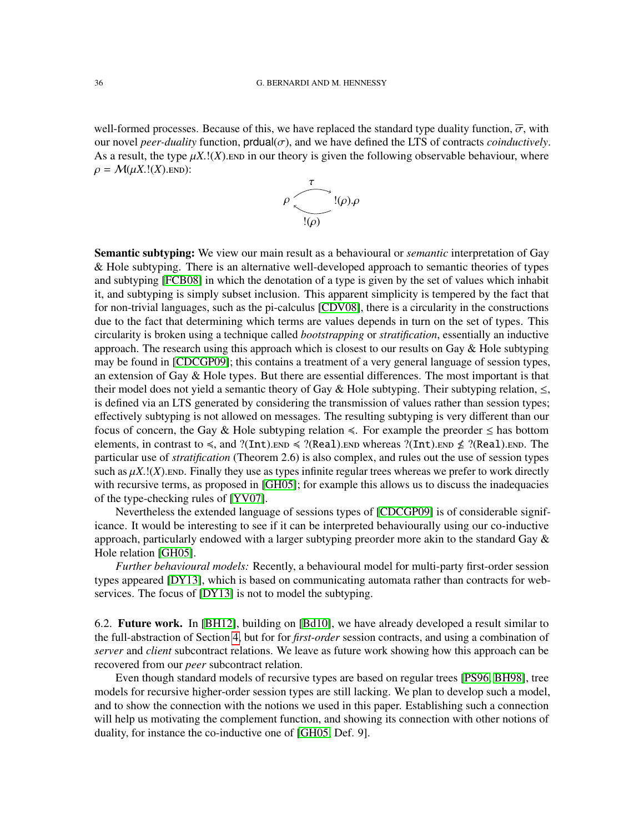well-formed processes. Because of this, we have replaced the standard type duality function,  $\overline{\sigma}$ , with our novel *peer-duality* function,  $prdual(\sigma)$ , and we have defined the LTS of contracts *coinductively*. As a result, the type  $\mu X$ .!(X). END in our theory is given the following observable behaviour, where  $\rho = \mathcal{M}(\mu X.!(X).$ END):



Semantic subtyping: We view our main result as a behavioural or *semantic* interpretation of Gay & Hole subtyping. There is an alternative well-developed approach to semantic theories of types and subtyping [\[FCB08\]](#page-42-17) in which the denotation of a type is given by the set of values which inhabit it, and subtyping is simply subset inclusion. This apparent simplicity is tempered by the fact that for non-trivial languages, such as the pi-calculus [\[CDV08\]](#page-41-8), there is a circularity in the constructions due to the fact that determining which terms are values depends in turn on the set of types. This circularity is broken using a technique called *bootstrapping* or *stratification*, essentially an inductive approach. The research using this approach which is closest to our results on Gay  $\&$  Hole subtyping may be found in [\[CDCGP09\]](#page-41-9); this contains a treatment of a very general language of session types, an extension of Gay & Hole types. But there are essential differences. The most important is that their model does not yield a semantic theory of Gay & Hole subtyping. Their subtyping relation,  $\leq$ , is defined via an LTS generated by considering the transmission of values rather than session types; effectively subtyping is not allowed on messages. The resulting subtyping is very different than our focus of concern, the Gay & Hole subtyping relation  $\leq$ . For example the preorder  $\leq$  has bottom elements, in contrast to  $\leq$ , and ?(Int).end  $\leq$  ?(Real).end whereas ?(Int).end  $\nleq$  ?(Real).end. The particular use of *stratification* (Theorem 2.6) is also complex, and rules out the use of session types such as  $\mu X$ .! $(X)$ . END. Finally they use as types infinite regular trees whereas we prefer to work directly with recursive terms, as proposed in [\[GH05\]](#page-42-4); for example this allows us to discuss the inadequacies of the type-checking rules of [\[YV07\]](#page-42-5).

Nevertheless the extended language of sessions types of [\[CDCGP09\]](#page-41-9) is of considerable significance. It would be interesting to see if it can be interpreted behaviourally using our co-inductive approach, particularly endowed with a larger subtyping preorder more akin to the standard Gay  $\&$ Hole relation [\[GH05\]](#page-42-4).

*Further behavioural models:* Recently, a behavioural model for multi-party first-order session types appeared [\[DY13\]](#page-41-10), which is based on communicating automata rather than contracts for webservices. The focus of [\[DY13\]](#page-41-10) is not to model the subtyping.

6.2. Future work. In [\[BH12\]](#page-41-4), building on [\[Bd10\]](#page-40-0), we have already developed a result similar to the full-abstraction of Section [4,](#page-17-0) but for for *first-order* session contracts, and using a combination of *server* and *client* subcontract relations. We leave as future work showing how this approach can be recovered from our *peer* subcontract relation.

Even though standard models of recursive types are based on regular trees [\[PS96,](#page-42-6) [BH98\]](#page-40-3), tree models for recursive higher-order session types are still lacking. We plan to develop such a model, and to show the connection with the notions we used in this paper. Establishing such a connection will help us motivating the complement function, and showing its connection with other notions of duality, for instance the co-inductive one of [\[GH05,](#page-42-4) Def. 9].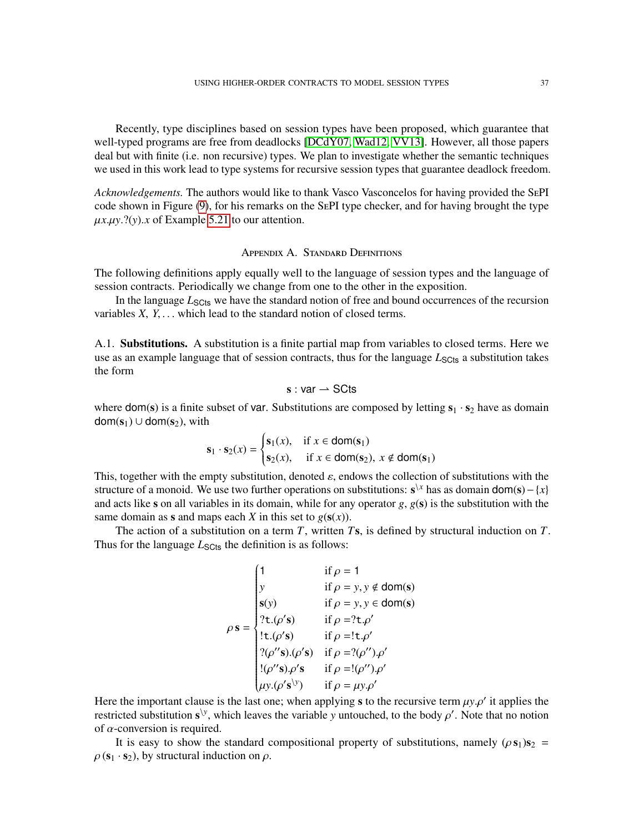Recently, type disciplines based on session types have been proposed, which guarantee that well-typed programs are free from deadlocks [\[DCdY07,](#page-41-11) [Wad12,](#page-42-18) [VV13\]](#page-42-19). However, all those papers deal but with finite (i.e. non recursive) types. We plan to investigate whether the semantic techniques we used in this work lead to type systems for recursive session types that guarantee deadlock freedom.

*Acknowledgements.* The authors would like to thank Vasco Vasconcelos for having provided the SePI code shown in Figure [\(9\)](#page-34-0), for his remarks on the SePI type checker, and for having brought the type  $\mu x.\mu y. ?(y).x$  of Example [5.21](#page-29-0) to our attention.

#### Appendix A. Standard Definitions

<span id="page-36-0"></span>The following definitions apply equally well to the language of session types and the language of session contracts. Periodically we change from one to the other in the exposition.

In the language  $L_{\text{SCEs}}$  we have the standard notion of free and bound occurrences of the recursion variables *X*, *Y*, . . . which lead to the standard notion of closed terms.

A.1. Substitutions. A substitution is a finite partial map from variables to closed terms. Here we use as an example language that of session contracts, thus for the language  $L_{\text{Sט}}$  a substitution takes the form

$$
s: var \rightharpoonup SCts
$$

where dom(s) is a finite subset of var. Substitutions are composed by letting  $s_1 \cdot s_2$  have as domain  $dom(s_1) \cup dom(s_2)$ , with

$$
\mathbf{s}_1 \cdot \mathbf{s}_2(x) = \begin{cases} \mathbf{s}_1(x), & \text{if } x \in \text{dom}(\mathbf{s}_1) \\ \mathbf{s}_2(x), & \text{if } x \in \text{dom}(\mathbf{s}_2), \ x \notin \text{dom}(\mathbf{s}_1) \end{cases}
$$

This, together with the empty substitution, denoted  $\varepsilon$ , endows the collection of substitutions with the structure of a monoid. We use two further operations on substitutions:  $s^x$  has as domain dom(s) – {*x*} and acts like s on all variables in its domain, while for any operator *g*, *g*(s) is the substitution with the same domain as **s** and maps each *X* in this set to  $g(s(x))$ .

The action of a substitution on a term *T*, written *T*s, is defined by structural induction on *T*. Thus for the language *L*<sub>SCts</sub> the definition is as follows:

$$
\rho s = \begin{cases}\n1 & \text{if } \rho = 1 \\
y & \text{if } \rho = y, y \notin \text{dom}(s) \\
s(y) & \text{if } \rho = y, y \in \text{dom}(s) \\
?t.(\rho's) & \text{if } \rho = ?t.\rho' \\
!t.(\rho's) & \text{if } \rho = !t.\rho' \\
?(\rho''s).(\rho's) & \text{if } \rho = ?(\rho''), \rho' \\
!(\rho''s). \rho's & \text{if } \rho = !(\rho''), \rho' \\
\mu y.(\rho's)^y & \text{if } \rho = \mu y. \rho'\n\end{cases}
$$

Here the important clause is the last one; when applying s to the recursive term  $\mu y . \rho'$  it applies the restricted substitution  $s^y$ , which leaves the variable *y* untouched, to the body  $\rho'$ . Note that no notion of  $\alpha$ -conversion is required.

It is easy to show the standard compositional property of substitutions, namely  $(\rho s_1)s_2$  =  $\rho$  (s<sub>1</sub> · s<sub>2</sub>), by structural induction on  $\rho$ .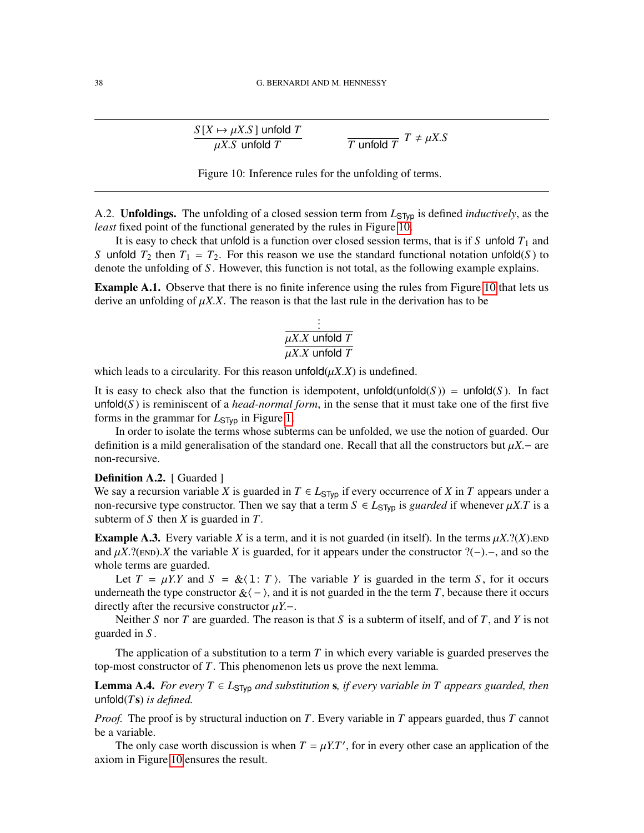$$
\frac{S[X \mapsto \mu X.S] \text{ unfolded } T}{\mu X.S \text{ unfolded } T} \qquad \qquad \frac{\mu X.S}{T \text{ unfolded } T}
$$

$$
\frac{T \text{unfold } T}{T}
$$

<span id="page-37-0"></span>Figure 10: Inference rules for the unfolding of terms.

A.2. **Unfoldings.** The unfolding of a closed session term from  $L_{STVD}$  is defined *inductively*, as the *least* fixed point of the functional generated by the rules in Figure [10.](#page-37-0)

It is easy to check that unfold is a function over closed session terms, that is if *S* unfold  $T_1$  and *S* unfold  $T_2$  then  $T_1 = T_2$ . For this reason we use the standard functional notation unfold(*S*) to denote the unfolding of *S* . However, this function is not total, as the following example explains.

Example A.1. Observe that there is no finite inference using the rules from Figure [10](#page-37-0) that lets us derive an unfolding of  $\mu X.X$ . The reason is that the last rule in the derivation has to be

$$
\frac{\frac{1}{\mu X.X \text{ unfold } T}}{\mu X.X \text{ unfold } T}
$$

which leads to a circularity. For this reason  $\text{unfold}(\mu X.X)$  is undefined.

It is easy to check also that the function is idempotent, unfold(unfold $(S)$ ) = unfold $(S)$ . In fact unfold( $S$ ) is reminiscent of a *head-normal form*, in the sense that it must take one of the first five forms in the grammar for *L*STyp in Figure [1.](#page-6-1)

In order to isolate the terms whose subterms can be unfolded, we use the notion of guarded. Our definition is a mild generalisation of the standard one. Recall that all the constructors but  $\mu X$ .− are non-recursive.

#### **Definition A.2.** [ Guarded ]

We say a recursion variable *X* is guarded in  $T \in L_{STyp}$  if every occurrence of *X* in *T* appears under a non-recursive type constructor. Then we say that a term  $S \in L_{\text{STVD}}$  is *guarded* if whenever  $\mu X.T$  is a subterm of *S* then *X* is guarded in *T*.

**Example A.3.** Every variable *X* is a term, and it is not guarded (in itself). In the terms  $\mu X$ .?(*X*).end and  $\mu X$ .?(END).*X* the variable *X* is guarded, for it appears under the constructor ?(−).–, and so the whole terms are guarded.

Let  $T = \mu Y$ .*Y* and  $S = \&\langle 1: T \rangle$ . The variable *Y* is guarded in the term *S*, for it occurs underneath the type constructor  $\&\langle - \rangle$ , and it is not guarded in the term *T*, because there it occurs directly after the recursive constructor µ*Y*.−.

Neither *S* nor *T* are guarded. The reason is that *S* is a subterm of itself, and of *T*, and *Y* is not guarded in *S* .

The application of a substitution to a term *T* in which every variable is guarded preserves the top-most constructor of *T*. This phenomenon lets us prove the next lemma.

<span id="page-37-1"></span>**Lemma A.4.** *For every*  $T \text{ ∈ } L_{\text{STvp}}$  *and substitution* s, *if every variable in*  $T$  *appears guarded, then* unfold(*T*s) *is defined.*

*Proof.* The proof is by structural induction on *T*. Every variable in *T* appears guarded, thus *T* cannot be a variable.

The only case worth discussion is when  $T = \mu Y T'$ , for in every other case an application of the axiom in Figure [10](#page-37-0) ensures the result.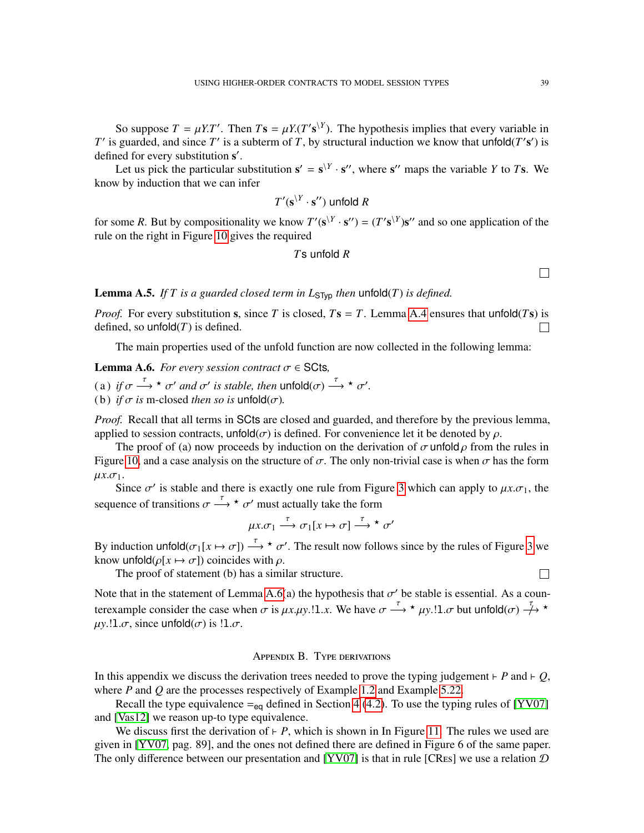So suppose  $T = \mu Y \cdot T'$ . Then  $Ts = \mu Y \cdot (T' \cdot s^{\setminus Y})$ . The hypothesis implies that every variable in *T*<sup> $\prime$ </sup> is guarded, and since *T*<sup> $\prime$ </sup> is a subterm of *T*, by structural induction we know that unfold(*T*'s<sup> $\prime$ </sup>) is defined for every substitution s'.

Let us pick the particular substitution  $\mathbf{s}' = \mathbf{s}^{\setminus Y} \cdot \mathbf{s}''$ , where  $\mathbf{s}''$  maps the variable *Y* to *T*s. We know by induction that we can infer

$$
T'(\mathbf{s}^{\setminus Y}\cdot\mathbf{s}'')
$$
unfold R

for some *R*. But by compositionality we know  $T'(\mathbf{s}^{Y} \cdot \mathbf{s}'') = (T' \mathbf{s}^{Y}) \mathbf{s}''$  and so one application of the rule on the right in Figure [10](#page-37-0) gives the required

## *T*s unfold *R*

**Lemma A.5.** *If T* is a guarded closed term in  $L_{\text{STyp}}$  then unfold(*T*) *is defined.* 

*Proof.* For every substitution s, since *T* is closed,  $Ts = T$ . Lemma [A.4](#page-37-1) ensures that unfold(*Ts*) is defined, so unfold $(T)$  is defined. П

The main properties used of the unfold function are now collected in the following lemma:

<span id="page-38-0"></span>**Lemma A.6.** *For every session contract*  $\sigma \in \mathsf{SCts}$ ,

(a) *if*  $\sigma \stackrel{\tau}{\longrightarrow} \star \sigma'$  *and*  $\sigma'$  *is stable, then*  $\text{unfold}(\sigma) \stackrel{\tau}{\longrightarrow} \star \sigma'$ *.* 

(b) *if*  $\sigma$  *is* m-closed *then so is* unfold( $\sigma$ ).

*Proof.* Recall that all terms in SCts are closed and guarded, and therefore by the previous lemma, applied to session contracts, unfold( $\sigma$ ) is defined. For convenience let it be denoted by  $\rho$ .

The proof of (a) now proceeds by induction on the derivation of  $\sigma$  unfold  $\rho$  from the rules in Figure [10,](#page-37-0) and a case analysis on the structure of  $\sigma$ . The only non-trivial case is when  $\sigma$  has the form  $\mu x.\sigma_1$ .

Since  $\sigma'$  is stable and there is exactly one rule from Figure [3](#page-10-0) which can apply to  $\mu x.\sigma_1$ , the sequence of transitions  $\sigma \stackrel{\tau}{\longrightarrow} \star \sigma'$  must actually take the form

$$
\mu x.\sigma_1 \xrightarrow{\tau} \sigma_1[x \mapsto \sigma] \xrightarrow{\tau} \star \sigma'
$$

By induction unfold $(\sigma_1[x \mapsto \sigma]) \stackrel{\tau}{\longrightarrow} \star \sigma'$ . The result now follows since by the rules of Figure [3](#page-10-0) we know unfold( $\rho[x \mapsto \sigma]$ ) coincides with  $\rho$ .

The proof of statement (b) has a similar structure.

Note that in the statement of Lemma [A.6\(](#page-38-0)a) the hypothesis that  $\sigma'$  be stable is essential. As a counterexample consider the case when  $\sigma$  is  $\mu x.\mu y.$ !!.*x*. We have  $\sigma \stackrel{\tau}{\longrightarrow} \star \mu y.$ !!. $\sigma$  but unfold $(\sigma) \stackrel{\tau}{\longrightarrow} \star$  $\mu$ *y*.!l. $\sigma$ , since unfold $(\sigma)$  is !l. $\sigma$ .

#### Appendix B. Type derivations

<span id="page-38-1"></span>In this appendix we discuss the derivation trees needed to prove the typing judgement  $\vdash$  *P* and  $\vdash$  *Q*, where *P* and *Q* are the processes respectively of Example [1.2](#page-3-2) and Example [5.22.](#page-31-4)

Recall the type equivalence  $=_{eq}$  defined in Section [4](#page-17-0) [\(4.2\)](#page-20-3). To use the typing rules of [\[YV07\]](#page-42-5) and [\[Vas12\]](#page-42-10) we reason up-to type equivalence.

We discuss first the derivation of  $\vdash$  *P*, which is shown in In Figure [11.](#page-39-0) The rules we used are given in [\[YV07,](#page-42-5) pag. 89], and the ones not defined there are defined in Figure 6 of the same paper. The only difference between our presentation and [\[YV07\]](#page-42-5) is that in rule [CRES] we use a relation  $D$ 

 $\Box$ 

 $\Box$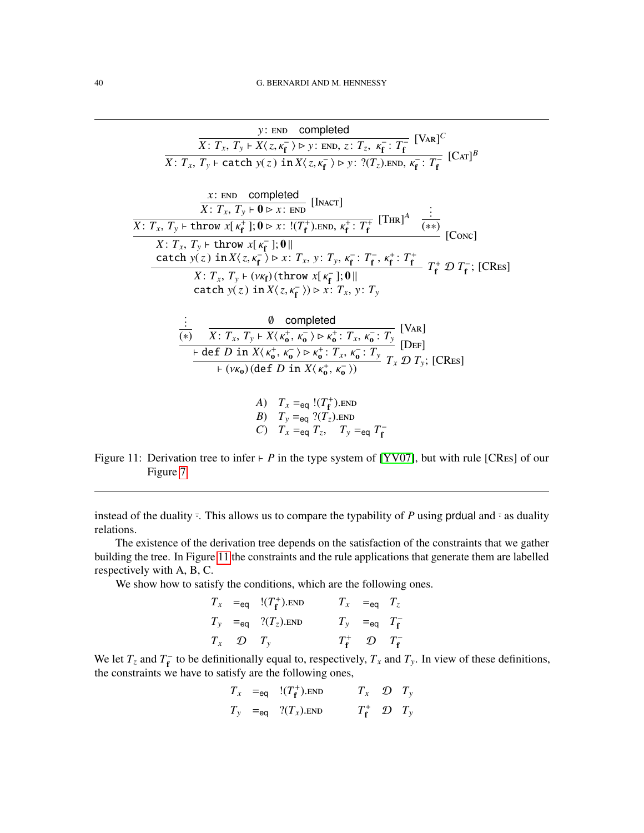y: END completed  
\n
$$
\overline{X}: T_x, T_y \mapsto X(z, \kappa_f^{-}) \mapsto y: END, z: T_z, \kappa_f^{-}: T_f^{-}
$$
 [VaR]<sup>C</sup>  
\n $\overline{X}: T_x, T_y \mapsto \text{catch } y(z) \text{ in } X(z, \kappa_f^{-}) \mapsto y: ?(T_z).END, \kappa_f^{-}: T_f^{-}$  [Car]<sup>B</sup>  
\n $\frac{x: END \text{ completed}}{X: T_x, T_y \mapsto \mathbf{0} \times x: END}$  [INACT]  
\n $\overline{X}: T_x, T_y \mapsto \text{throw } x[\kappa_f^{+}]; \mathbf{0} \mapsto x: !(T_f^{+}).END, \kappa_f^{+}: T_f^{+}$  [THR]<sup>A</sup>  $\frac{::}{(***)}$  [Conc]  
\n $\overline{X}: T_x, T_y \mapsto \text{throw } x[\kappa_f^{-}]; \mathbf{0}||$   
\n $\underline{\text{catch } y(z) \text{ in } X(z, \kappa_f^{-}) \mapsto x: T_x, y: T_y, \kappa_f^{-}: T_f^{-}, \kappa_f^{+}: T_f^{+}$   $T_f^{+} \mathcal{D} T_f^{-};$  [CRes]  
\n $\overline{\text{catch } y(z) \text{ in } X(x, \kappa_f^{-}) \mapsto x: T_x, y: T_y$   
\n $\vdots$   $\frac{\mathbf{0} \text{ completed}}{\mathbf{0} \times \mathbf{0} \times \mathbf{0} \times \mathbf{0} \times \mathbf{0} \times \mathbf{0} \times \mathbf{0} \times \mathbf{0} \times \mathbf{0} \times \mathbf{0} \times \mathbf{0} \times \mathbf{0} \times \mathbf{0} \times \mathbf{0} \times \mathbf{0} \times \mathbf{0} \times \mathbf{0} \times \mathbf{0} \times \mathbf{0} \times \mathbf{0} \times \mathbf{0} \times \mathbf{0} \times \mathbf{0} \times \mathbf{0} \times \mathbf{0} \times \mathbf{0} \times \mathbf{0} \times \mathbf{0} \times \mathbf{0} \times \mathbf{0} \times \mathbf{0} \times \mathbf{0} \times \mathbf{0} \times \mathbf{0} \times \mathbf{0} \times \mathbf{0}$ 

<span id="page-39-0"></span>Figure 11: Derivation tree to infer  $\vdash$  *P* in the type system of [\[YV07\]](#page-42-5), but with rule [CRes] of our Figure [7](#page-30-1)

instead of the duality  $\overline{\cdot}$ . This allows us to compare the typability of *P* using prdual and  $\overline{\cdot}$  as duality relations.

The existence of the derivation tree depends on the satisfaction of the constraints that we gather building the tree. In Figure [11](#page-39-0) the constraints and the rule applications that generate them are labelled respectively with A, B, C.

We show how to satisfy the conditions, which are the following ones.

$$
T_x =_{eq} \quad \frac{!(T_f^+).END}{T_y} \qquad T_x =_{eq} \quad T_z
$$
  

$$
T_y =_{eq} \quad \frac{?(T_z).END}{T_y} \qquad T_y =_{eq} \quad T_f^-
$$
  

$$
T_x \quad \mathcal{D} \quad T_y \qquad T_f^+ \quad \mathcal{D} \quad T_f^-
$$

We let  $T_z$  and  $T_f^ T_f$  to be definitionally equal to, respectively,  $T_x$  and  $T_y$ . In view of these definitions, the constraints we have to satisfy are the following ones,

$$
T_x =_{eq} \t!(T_f^+).END \t T_x \t D \t T_y
$$
  

$$
T_y =_{eq} \t? (T_x).END \t T_f^+ \t D \t T_y
$$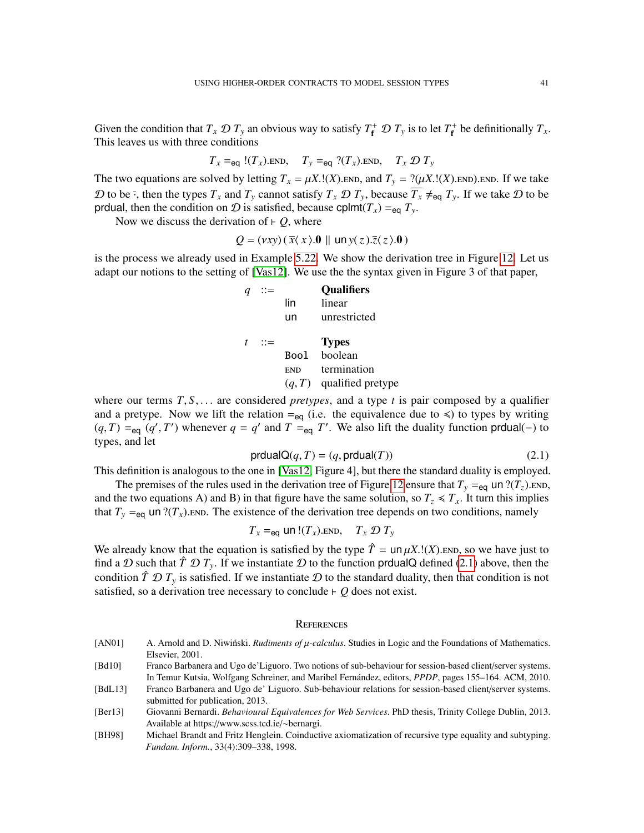Given the condition that  $T_x \mathcal{D} T_y$  an obvious way to satisfy  $T_f^+ \mathcal{D} T_y$  is to let  $T_f^+$  be definitionally  $T_x$ . This leaves us with three conditions

$$
T_x =_{eq} I(T_x)
$$
.END,  $T_y =_{eq} I(T_x)$ .END,  $T_x \mathcal{D} T_y$ 

The two equations are solved by letting  $T_x = \mu X$ .!(*X*). END, and  $T_y = ?(\mu X$ .!(*X*). END. END. If we take D to be  $\bar{f}$ , then the types  $T_x$  and  $T_y$  cannot satisfy  $T_x \mathcal{D} T_y$ , because  $\overline{T_x} \neq_{\text{eq}} T_y$ . If we take D to be prdual, then the condition on  $\mathcal{D}$  is satisfied, because cplmt( $T_x$ ) =  $_{eq} T_y$ .

Now we discuss the derivation of  $\vdash$  *Q*, where

$$
Q = (vxy)(\overline{x}\langle x \rangle.0 \parallel \ln y(z).\overline{z}\langle z \rangle.0)
$$

is the process we already used in Example [5.22.](#page-31-4) We show the derivation tree in Figure [12.](#page-41-12) Let us adapt our notions to the setting of [\[Vas12\]](#page-42-10). We use the the syntax given in Figure 3 of that paper,

|    |            | <b>Qualifiers</b>          |
|----|------------|----------------------------|
|    | lin        | linear                     |
|    | un         | unrestricted               |
| ∷≔ |            | <b>Types</b>               |
|    | Bool       | boolean                    |
|    | <b>END</b> | termination                |
|    |            | $(q, T)$ qualified pretype |

where our terms  $T, S, \ldots$  are considered *pretypes*, and a type *t* is pair composed by a qualifier and a pretype. Now we lift the relation  $=_{eq}$  (i.e. the equivalence due to  $\leq$ ) to types by writing  $(q, T) =_{eq} (q', T')$  whenever  $q = q'$  and  $T =_{eq} T'$ . We also lift the duality function produal(−) to types, and let

<span id="page-40-5"></span>
$$
prdualQ(q, T) = (q, prdual(T))
$$
\n(2.1)

This definition is analogous to the one in [\[Vas12,](#page-42-10) Figure 4], but there the standard duality is employed.

The premises of the rules used in the derivation tree of Figure [12](#page-41-12) ensure that  $T_y =_{eq}$  un  $? (T_z)$ . END, and the two equations A) and B) in that figure have the same solution, so  $T_z \le T_x$ . It turn this implies that  $T_y =_{eq}$  un ?( $T_x$ ). END. The existence of the derivation tree depends on two conditions, namely

$$
T_x =_{eq}
$$
 un  $!(T_x)$ .  
END,  $T_x \mathcal{D} T_y$ 

We already know that the equation is satisfied by the type  $\hat{T} = \text{un } \mu X$ .!(*X*). END, so we have just to find a  $\mathcal D$  such that  $\hat T \mathcal D T_y$ . If we instantiate  $\mathcal D$  to the function proval Q defined [\(2.1\)](#page-40-5) above, then the condition  $\hat{T} \mathcal{D} T_y$  is satisfied. If we instantiate  $\mathcal D$  to the standard duality, then that condition is not satisfied, so a derivation tree necessary to conclude  $\vdash$  *Q* does not exist.

#### **REFERENCES**

<span id="page-40-4"></span><span id="page-40-3"></span><span id="page-40-2"></span><span id="page-40-1"></span><span id="page-40-0"></span>[AN01]  $\qquad$  A. Arnold and D. Niwinski. *Rudiments of*  $\mu$ *-calculus*. Studies in Logic and the Foundations of Mathematics. Elsevier, 2001. [Bd10] Franco Barbanera and Ugo de'Liguoro. Two notions of sub-behaviour for session-based client/server systems. In Temur Kutsia, Wolfgang Schreiner, and Maribel Fernandez, editors, ´ *PPDP*, pages 155–164. ACM, 2010. [BdL13] Franco Barbanera and Ugo de' Liguoro. Sub-behaviour relations for session-based client/server systems. submitted for publication, 2013. [Ber13] Giovanni Bernardi. *Behavioural Equivalences for Web Services*. PhD thesis, Trinity College Dublin, 2013. Available at https://www.scss.tcd.ie/∼bernargi. [BH98] Michael Brandt and Fritz Henglein. Coinductive axiomatization of recursive type equality and subtyping. *Fundam. Inform.*, 33(4):309–338, 1998.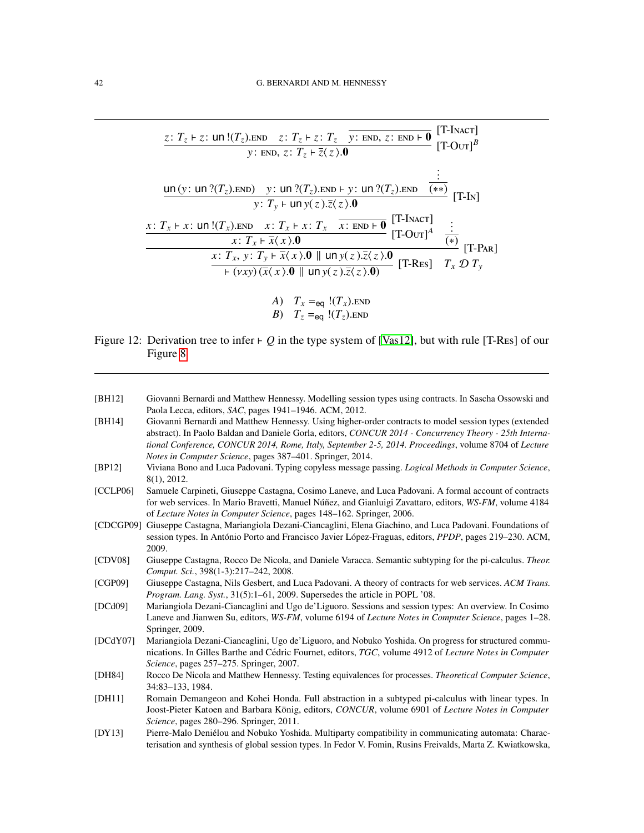$$
\frac{z: T_z \vdash z: \text{un } I(T_z). \text{END } z: T_z \vdash z: T_z \quad \overline{y: \text{ END}, z: \text{ END} \vdash \mathbf{0}} \quad [T\text{-Inacr}]}{y: \text{ END}, z: T_z \vdash \overline{z} \langle z \rangle . \mathbf{0}} \quad [T\text{-Our}]^B
$$
\n
$$
\frac{\text{un } (y: \text{un } ?(T_z). \text{END } y: \text{un } ?(T_z). \text{END} \vdash y: \text{un } ?(T_z). \text{END } (\ast \ast)}{y: T_y \vdash \text{un } y(z). \overline{z} \langle z \rangle . \mathbf{0}} \quad [T\text{-Inal}]
$$
\n
$$
x: T_x \vdash x: \text{un } I(T_x). \text{END } x: T_x \vdash x: T_x \quad \overline{x: \text{END} \vdash \mathbf{0}} \quad [T\text{-Inacr}]
$$
\n
$$
\frac{x: T_x \vdash \overline{x} \langle x \rangle . \mathbf{0}}{x: T_x \vdash \overline{x} \langle x \rangle . \mathbf{0}} \quad [\text{Inoup } y(z). \overline{z} \langle z \rangle . \mathbf{0}} \quad [T\text{-Ras}] \quad T_x \mathbf{D} T_y
$$
\n
$$
\xrightarrow{\text{iv.}} (vxy) (\overline{x} \langle x \rangle . \mathbf{0} \parallel \text{un } y(z). \overline{z} \langle z \rangle . \mathbf{0})} [T\text{-Res}] \quad T_x \mathbf{D} T_y
$$

A) 
$$
T_x =_{eq} I(T_x)
$$
.END  
B)  $T_z =_{eq} I(T_z)$ .END

- <span id="page-41-12"></span>Figure 12: Derivation tree to infer  $\vdash Q$  in the type system of [\[Vas12\]](#page-42-10), but with rule [T-Res] of our Figure [8](#page-32-1)
- <span id="page-41-11"></span><span id="page-41-10"></span><span id="page-41-9"></span><span id="page-41-8"></span><span id="page-41-7"></span><span id="page-41-6"></span><span id="page-41-5"></span><span id="page-41-4"></span><span id="page-41-3"></span><span id="page-41-2"></span><span id="page-41-1"></span><span id="page-41-0"></span>[BH12] Giovanni Bernardi and Matthew Hennessy. Modelling session types using contracts. In Sascha Ossowski and Paola Lecca, editors, *SAC*, pages 1941–1946. ACM, 2012. [BH14] Giovanni Bernardi and Matthew Hennessy. Using higher-order contracts to model session types (extended abstract). In Paolo Baldan and Daniele Gorla, editors, *CONCUR 2014 - Concurrency Theory - 25th International Conference, CONCUR 2014, Rome, Italy, September 2-5, 2014. Proceedings*, volume 8704 of *Lecture Notes in Computer Science*, pages 387–401. Springer, 2014. [BP12] Viviana Bono and Luca Padovani. Typing copyless message passing. *Logical Methods in Computer Science*, 8(1), 2012. [CCLP06] Samuele Carpineti, Giuseppe Castagna, Cosimo Laneve, and Luca Padovani. A formal account of contracts for web services. In Mario Bravetti, Manuel Núñez, and Gianluigi Zavattaro, editors, WS-FM, volume 4184 of *Lecture Notes in Computer Science*, pages 148–162. Springer, 2006. [CDCGP09] Giuseppe Castagna, Mariangiola Dezani-Ciancaglini, Elena Giachino, and Luca Padovani. Foundations of session types. In António Porto and Francisco Javier López-Fraguas, editors, PPDP, pages 219–230. ACM, 2009. [CDV08] Giuseppe Castagna, Rocco De Nicola, and Daniele Varacca. Semantic subtyping for the pi-calculus. *Theor. Comput. Sci.*, 398(1-3):217–242, 2008. [CGP09] Giuseppe Castagna, Nils Gesbert, and Luca Padovani. A theory of contracts for web services. *ACM Trans. Program. Lang. Syst.*, 31(5):1–61, 2009. Supersedes the article in POPL '08. [DCd09] Mariangiola Dezani-Ciancaglini and Ugo de'Liguoro. Sessions and session types: An overview. In Cosimo Laneve and Jianwen Su, editors, *WS-FM*, volume 6194 of *Lecture Notes in Computer Science*, pages 1–28. Springer, 2009. [DCdY07] Mariangiola Dezani-Ciancaglini, Ugo de'Liguoro, and Nobuko Yoshida. On progress for structured communications. In Gilles Barthe and Cédric Fournet, editors, TGC, volume 4912 of *Lecture Notes in Computer Science*, pages 257–275. Springer, 2007. [DH84] Rocco De Nicola and Matthew Hennessy. Testing equivalences for processes. *Theoretical Computer Science*, 34:83–133, 1984. [DH11] Romain Demangeon and Kohei Honda. Full abstraction in a subtyped pi-calculus with linear types. In Joost-Pieter Katoen and Barbara König, editors, CONCUR, volume 6901 of Lecture Notes in Computer *Science*, pages 280–296. Springer, 2011. [DY13] Pierre-Malo Denielou and Nobuko Yoshida. Multiparty compatibility in communicating automata: Charac- ´ terisation and synthesis of global session types. In Fedor V. Fomin, Rusins Freivalds, Marta Z. Kwiatkowska,